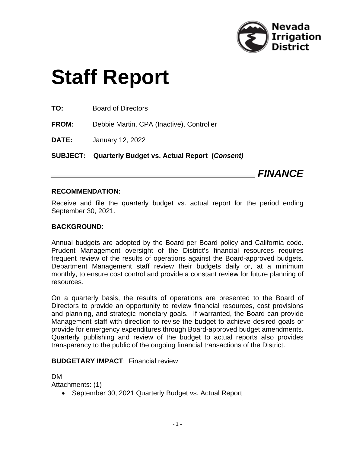

# **Staff Report**

**TO:** Board of Directors

**FROM:** Debbie Martin, CPA (Inactive), Controller

**DATE:** January 12, 2022

**SUBJECT: Quarterly Budget vs. Actual Report (***Consent)*

*FINANCE*

# **RECOMMENDATION:**

Receive and file the quarterly budget vs. actual report for the period ending September 30, 2021.

# **BACKGROUND**:

Annual budgets are adopted by the Board per Board policy and California code. Prudent Management oversight of the District's financial resources requires frequent review of the results of operations against the Board-approved budgets. Department Management staff review their budgets daily or, at a minimum monthly, to ensure cost control and provide a constant review for future planning of resources.

On a quarterly basis, the results of operations are presented to the Board of Directors to provide an opportunity to review financial resources, cost provisions and planning, and strategic monetary goals. If warranted, the Board can provide Management staff with direction to revise the budget to achieve desired goals or provide for emergency expenditures through Board-approved budget amendments. Quarterly publishing and review of the budget to actual reports also provides transparency to the public of the ongoing financial transactions of the District.

# **BUDGETARY IMPACT**: Financial review

DM

Attachments: (1)

• September 30, 2021 Quarterly Budget vs. Actual Report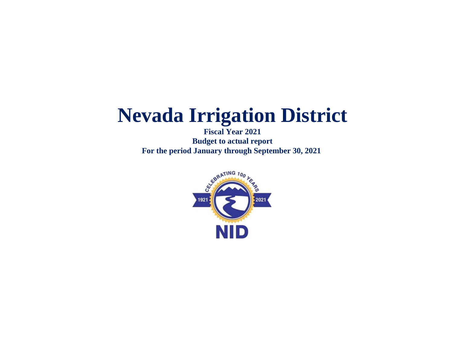**Fiscal Year 2021 Budget to actual report For the period January through September 30, 2021** 

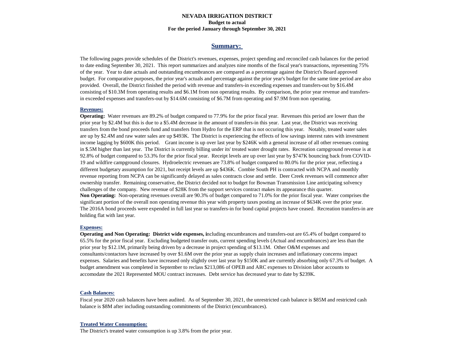#### **NEVADA IRRIGATION DISTRICT For the period January through September 30, 2021 Budget to actual**

#### **Summary:**

The following pages provide schedules of the District's revenues, expenses, project spending and reconciled cash balances for the period to date ending September 30, 2021. This report summarizes and analyzes nine months of the fiscal year's transactions, representing 75% of the year. Year to date actuals and outstanding encumbrances are compared as a percentage against the District's Board approved budget. For comparative purposes, the prior year's actuals and percentage against the prior year's budget for the same time period are also provided. Overall, the District finished the period with revenue and transfers-in exceeding expenses and transfers-out by \$16.4M consisting of \$10.3M from operating results and \$6.1M from non operating results. By comparison, the prior year revenue and transfersin exceeded expenses and transfers-out by \$14.6M consisting of \$6.7M from operating and \$7.9M from non operating.

#### **Revenues:**

**Operating:** Water revenues are 89.2% of budget compared to 77.9% for the prior fiscal year. Revenues this period are lower than the prior year by \$2.4M but this is due to a \$5.4M decrease in the amount of transfers-in this year. Last year, the District was receiving transfers from the bond proceeds fund and transfers from Hydro for the ERP that is not occuring this year. Notably, treated water sales are up by \$2.4M and raw water sales are up \$493K. The District is experiencing the effects of low savings interest rates with investment income lagging by \$600K this period. Grant income is up over last year by \$246K with a general increase of all other revenues coming in \$.5M higher than last year. The District is currently billing under its' treated water drought rates. Recreation campground revenue is at 92.8% of budget compared to 53.3% for the prior fiscal year. Receipt levels are up over last year by \$747K bouncing back from COVID-19 and wildfire campground closures. Hydroelectric revenues are 73.8% of budget compared to 80.0% for the prior year, reflecting a different budgetary assumption for 2021, but receipt levels are up \$436K. Combie South PH is contracted with NCPA and monthly revenue reporting from NCPA can be significantly delayed as sales contracts close and settle. Deer Creek revenues will commence after ownership transfer. Remaining conservative, the District decided not to budget for Bowman Transmission Line anticipating solvency challenges of the company. New revenue of \$28K from the support services contract makes its appearance this quarter. **Non Operating:** Non-operating revenues overall are 90.3% of budget compared to 71.0% for the prior fiscal year. Water comprises the significant portion of the overall non operating revenue this year with property taxes posting an increase of \$634K over the prior year. The 2016A bond proceeds were expended in full last year so transfers-in for bond capital projects have ceased. Recreation transfers-in are holding flat with last year.

#### **Expenses:**

**Operating and Non Operating: District wide expenses, i**ncluding encumbrances and transfers-out are 65.4% of budget compared to 65.5% for the prior fiscal year. Excluding budgeted transfer outs, current spending levels (Actual and encumbrances) are less than the prior year by \$12.1M, primarily being driven by a decrease in project spending of \$13.1M. Other O&M expenses and consultants/contactors have increased by over \$1.6M over the prior year as supply chain increases and inflationary concerns impact expenses. Salaries and benefits have increased only slightly over last year by \$150K and are currently absorbing only 67.3% of budget. A budget amendment was completed in September to reclass \$213,086 of OPEB and ARC expenses to Division labor accounts to accomodate the 2021 Represented MOU contract increases. Debt service has decreased year to date by \$239K.

#### **Cash Balances:**

Fiscal year 2020 cash balances have been audited. As of September 30, 2021, the unrestricted cash balance is \$85M and restricted cash balance is \$8M after including outstanding commitments of the District (encumbrances).

#### **Treated Water Consumption:**

The District's treated water consumption is up 3.8% from the prior year.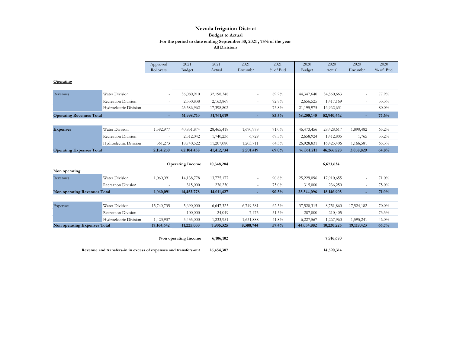|                                     |                            | Approved                 | 2021                    | 2021       | 2021      | 2021     | 2020       | 2020       | 2020       | 2020     |
|-------------------------------------|----------------------------|--------------------------|-------------------------|------------|-----------|----------|------------|------------|------------|----------|
|                                     |                            | Rollovers                | Budget                  | Actual     | Encumbr   | % of Bud | Budget     | Actual     | Encumbr    | % of Bud |
| Operating                           |                            |                          |                         |            |           |          |            |            |            |          |
| Revenues                            | Water Division             | $\overline{\phantom{a}}$ | 36,080,910              | 32,198,348 | $\sim$    | 89.2%    | 44,347,640 | 34,560,663 |            | 77.9%    |
|                                     | <b>Recreation Division</b> | ٠                        | 2,330,838               | 2,163,869  | $\sim$    | 92.8%    | 2,656,525  | 1,417,169  | ٠          | 53.3%    |
|                                     | Hydroelectric Division     | $\overline{\phantom{a}}$ | 23,586,962              | 17,398,802 | $\sim$    | 73.8%    | 21,195,975 | 16,962,631 |            | $80.0\%$ |
| <b>Operating Revenues Total</b>     |                            | ÷                        | 61,998,710              | 51,761,019 | ÷.        | 83.5%    | 68,200,140 | 52,940,462 |            | 77.6%    |
|                                     | Water Division             |                          |                         |            |           |          |            |            |            |          |
| <b>Expenses</b>                     |                            | 1,592,977                | 40,851,874              | 28,465,418 | 1,690,978 | 71.0%    | 46,473,456 | 28,428,617 | 1,890,482  | 65.2%    |
|                                     | <b>Recreation Division</b> | $\overline{\phantom{m}}$ | 2,512,042               | 1,740,236  | 6,729     | 69.5%    | 2,658,924  | 1,412,805  | 1,765      | 53.2%    |
|                                     | Hydroelectric Division     | 561,273                  | 18,740,522              | 11,207,080 | 1,203,711 | 64.3%    | 26,928,831 | 16,425,406 | 1,166,581  | 65.3%    |
| <b>Operating Expenses Total</b>     |                            | 2,154,250                | 62,104,438              | 41,412,734 | 2,901,419 | 69.0%    | 76,061,211 | 46,266,828 | 3,058,829  | 64.8%    |
|                                     |                            |                          | <b>Operating Income</b> | 10,348,284 |           |          |            | 6,673,634  |            |          |
| Non operating                       |                            |                          |                         |            |           |          |            |            |            |          |
| Revenues                            | Water Division             | 1,060,091                | 14,138,778              | 13,775,177 |           | 90.6%    | 25,229,096 | 17,910,655 |            | 71.0%    |
|                                     | Recreation Division        |                          | 315,000                 | 236,250    | $\sim$    | 75.0%    | 315,000    | 236,250    |            | 75.0%    |
| <b>Non operating Revenues Total</b> |                            | 1,060,091                | 14,453,778              | 14,011,427 | ÷.        | 90.3%    | 25,544,096 | 18,146,905 |            | 71.0%    |
|                                     |                            |                          |                         |            |           |          |            |            |            |          |
| Expenses                            | Water Division             | 15,740,735               | 5,690,000               | 6,647,325  | 6,749,381 | 62.5%    | 37,520,315 | 8,751,860  | 17,524,182 | 70.0%    |
|                                     | <b>Recreation Division</b> | $\overline{\phantom{m}}$ | 100,000                 | 24,049     | 7,475     | 31.5%    | 287,000    | 210,405    | $\sim$     | 73.3%    |
|                                     | Hydroelectric Division     | 1,423,907                | 5,435,000               | 1,233,951  | 1,631,888 | 41.8%    | 6,227,567  | 1,267,960  | 1,595,241  | 46.0%    |
| Non operating Expenses Total        |                            | 17,164,642               | 11,225,000              | 7,905,325  | 8,388,744 | 57.4%    | 44,034,882 | 10,230,225 | 19,119,423 | 66.7%    |
|                                     |                            |                          | Non operating Income    | 6,106,102  |           |          |            | 7,916,680  |            |          |

Revenue and transfers-in in excess of expenses and transfers-out 16,454,387 14,590,314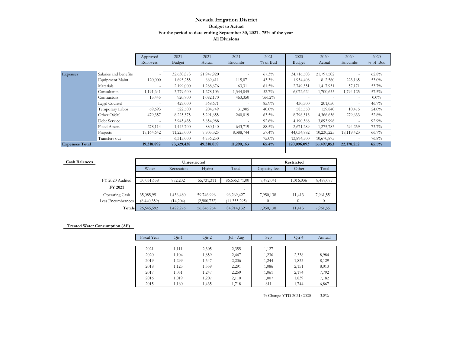|                       |                       | Approved   | 2021       | 2021       | 2021       | 2021     | 2020        | 2020       | 2020         | 2020     |
|-----------------------|-----------------------|------------|------------|------------|------------|----------|-------------|------------|--------------|----------|
|                       |                       | Rollovers  | Budget     | Actual     | Encumbr    | % of Bud | Budget      | Actual     | Encumbr      | % of Bud |
|                       |                       |            |            |            |            |          |             |            |              |          |
| Expenses              | Salaries and benefits |            | 32,630,873 | 21,947,920 | $\sim$     | $67.3\%$ | 34,716,508  | 21,797,502 |              | $62.8\%$ |
|                       | Equipment Maint       | 120,000    | 1,693,255  | 669,411    | 115,071    | $43.3\%$ | 1,954,408   | 812,560    | 223,165      | 53.0%    |
|                       | Materials             | ۰          | 2,199,000  | 1,288,676  | 63,311     | $61.5\%$ | 2,749,351   | 1,417,931  | 57,171       | 53.7%    |
|                       | Consultants           | 1,191,641  | 3,779,600  | 1,278,103  | 1,344,045  | 52.7%    | 6,072,624   | 1,700,655  | 1,794,125    | 57.5%    |
|                       | Contractors           | 15,445     | 920,700    | 1,092,170  | 463,350    | 166.2%   |             |            | $\sim$       | $0.0\%$  |
|                       | Legal Counsel         | ٠          | 429,000    | 368,671    | $\sim$     | 85.9%    | 430,300     | 201,050    |              | 46.7%    |
|                       | Temporary Labor       | 69,693     | 522,500    | 204,749    | 31,905     | $40.0\%$ | 585,550     | 129,840    | 10,475       | $24.0\%$ |
|                       | Other O&M             | 479,357    | 8,225,375  | 5,291,655  | 240,019    | $63.5\%$ | 8,796,313   | 4,366,636  | 279,633      | 52.8%    |
|                       | Debt Service          | ٠          | 3,945,435  | 3,654,988  | $\sim$     | $92.6\%$ | 4,190,368   | 3,893,996  | $\sim$       | 92.9%    |
|                       | <b>Fixed Assets</b>   | 278,114    | 1,443,700  | 880,140    | 643,719    | 88.5%    | 2,671,289   | 1,275,783  | 694,259      | 73.7%    |
|                       | Projects              | 17,164,642 | 11,225,000 | 7,905,325  | 8,388,744  | 57.4%    | 44,034,882  | 10,230,225 | 19,119,423   | $66.7\%$ |
|                       | Transfers out         | ٠          | 6,315,000  | 4,736,250  | ٠          | 75.0%    | 13,894,500  | 10,670,875 | $\sim$       | 76.8%    |
| <b>Expenses Total</b> |                       | 19,318,892 | 73,329,438 | 49,318,059 | 11,290,163 | 65.4%    | 120,096,093 | 56,497,053 | 22, 178, 252 | 65.5%    |
|                       |                       |            |            |            |            |          |             |            |              |          |

| <b>Cash Balances</b> |                   |             |            | Unrestricted |                 | <b>Restricted</b> |           |           |  |  |
|----------------------|-------------------|-------------|------------|--------------|-----------------|-------------------|-----------|-----------|--|--|
|                      |                   | Water       | Recreation | Hydro        | Total           | Capacity fees     | Other     | Total     |  |  |
|                      |                   |             |            |              |                 |                   |           |           |  |  |
|                      | FY 2020 Audited   | 30,031,658  | 872,202    | 55,731,311   | 86, 635, 171.00 | 7,472,041         | 1,016,036 | 8,488,077 |  |  |
|                      | FY 2021           |             |            |              | $\sim$          |                   |           |           |  |  |
|                      | Operating Cash    | 35,085,951  | 1,436,480  | 59,746,996   | 96,269,427      | 7,950,138         | 11,413    | 7,961,551 |  |  |
|                      | Less Encumbrances | (8,440,359) | (14,204)   | (2,900,732)  | (11, 355, 295)  |                   |           |           |  |  |
|                      | Totals            | 26,645,592  | 1,422,276  | 56,846,264   | 84,914,132      | 7,950,138         | 11,413    | 7,961,551 |  |  |

#### **Treated Water Consumption (AF)**

| Fiscal Year | Otr 1 | Otr 2 | Jul - Aug | Sep   | Otr 4 | Annual |
|-------------|-------|-------|-----------|-------|-------|--------|
|             |       |       |           |       |       |        |
| 2021        | 1,111 | 2,305 | 2,355     | 1,127 |       |        |
| 2020        | 1,104 | 1,859 | 2,447     | 1,236 | 2,338 | 8,984  |
| 2019        | 1,299 | 1,547 | 2,206     | 1,244 | 1,833 | 8,129  |
| 2018        | 1,125 | 1,359 | 2,291     | 1,086 | 2,151 | 8,013  |
| 2017        | 1,051 | 1,247 | 2,259     | 1,061 | 2,174 | 7,792  |
| 2016        | 1,019 | 1,207 | 2,110     | 1,007 | 1,839 | 7,182  |
| 2015        | 1,160 | 1,435 | 1,718     | 811   | 1,744 | 6,867  |

% Change YTD 2021/2020 3.8%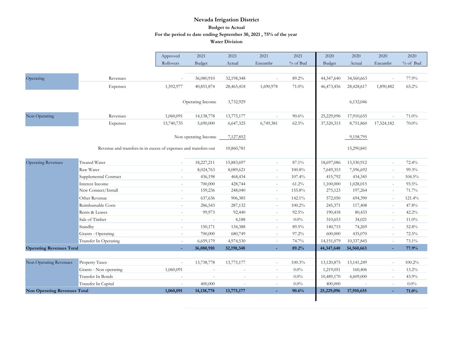|                                     |                                                                  | Approved                 | 2021                 | 2021       | 2021                     | 2021     | 2020       | 2020         | 2020                     | 2020     |
|-------------------------------------|------------------------------------------------------------------|--------------------------|----------------------|------------|--------------------------|----------|------------|--------------|--------------------------|----------|
|                                     |                                                                  | Rollovers                | Budget               | Actual     | Encumbr                  | % of Bud | Budget     | Actual       | Encumbr                  | % of Bud |
|                                     |                                                                  |                          |                      |            |                          |          |            |              |                          |          |
| Operating                           | Revenues                                                         | $\sim$                   | 36,080,910           | 32,198,348 | $\sim$                   | 89.2%    | 44,347,640 | 34,560,663   | $\sim$                   | 77.9%    |
|                                     | Expenses                                                         | 1,592,977                | 40,851,874           | 28,465,418 | 1,690,978                | 71.0%    | 46,473,456 | 28,428,617   | 1,890,482                | 65.2%    |
|                                     |                                                                  |                          |                      |            |                          |          |            |              |                          |          |
|                                     |                                                                  |                          | Operating Income     | 3,732,929  |                          |          |            | 6,132,046    |                          |          |
|                                     |                                                                  |                          |                      |            |                          |          |            |              |                          |          |
| Non Operating                       | Revenues                                                         | 1,060,091                | 14,138,778           | 13,775,177 | $\sim$                   | 90.6%    | 25,229,096 | 17,910,655   | $\sim$                   | 71.0%    |
|                                     | Expenses                                                         | 15,740,735               | 5,690,000            | 6,647,325  | 6,749,381                | $62.5\%$ | 37,520,315 | 8,751,860    | 17,524,182               | $70.0\%$ |
|                                     |                                                                  |                          | Non operating Income | 7,127,852  |                          |          |            | 9,158,795    |                          |          |
|                                     | Revenue and transfers-in in excess of expenses and transfers-out |                          |                      | 10,860,781 |                          |          |            | 15,290,841   |                          |          |
| <b>Operating Revenues</b>           | <b>Treated Water</b>                                             | $\bar{a}$                | 18,227,211           | 15,883,697 | $\overline{\phantom{a}}$ | 87.1%    | 18,697,086 | 13,530,912   | $\overline{\phantom{a}}$ | 72.4%    |
|                                     | Raw Water                                                        | $\sim$                   | 8,024,763            | 8,089,621  | $\overline{\phantom{a}}$ | 100.8%   | 7,649,353  | 7,596,692    | $\equiv$                 | 99.3%    |
|                                     | Supplemental Contract                                            | $\sim$                   | 436,198              | 468,434    | $\sim$                   | 107.4%   | 415,792    | 434,345      | $\sim$                   | 104.5%   |
|                                     | Interest Income                                                  | $\sim$                   | 700,000              | 428,744    | $\sim$                   | $61.2\%$ | 1,100,000  | 1,028,015    | $\sim$                   | 93.5%    |
|                                     | New Connect/Install                                              | $\sim$                   | 159,236              | 248,040    | $\sim$                   | 155.8%   | 275,123    | 197,264      | $\overline{\phantom{a}}$ | 71.7%    |
|                                     | Other Revenue                                                    | $\bar{a}$                | 637,636              | 906,385    | $\omega$                 | 142.1%   | 572,050    | 694,390      | $\overline{\phantom{a}}$ | 121.4%   |
|                                     | Reimbursable Costs                                               | $\overline{\phantom{a}}$ | 286,543              | 287,132    | $\overline{\phantom{a}}$ | 100.2%   | 245,371    | 117,408      | $\overline{\phantom{a}}$ | 47.8%    |
|                                     | Rents & Leases                                                   | $\sim$                   | 99,973               | 92,440     | $\sim$                   | 92.5%    | 190,418    | 80,433       | $\sim$                   | 42.2%    |
|                                     | Sale of Timber                                                   | $\sim$                   | $\sim$               | 4,188      | $\sim$                   | 0.0%     | 310,653    | 34,021       | $\sim$                   | $11.0\%$ |
|                                     | Standby                                                          | $\sim$                   | 150,171              | 134,388    | $\sim$                   | 89.5%    | 140,715    | 74,269       | $\sim$                   | 52.8%    |
|                                     | Grants - Operating                                               | $\bar{a}$                | 700,000              | 680,749    | $\overline{\phantom{a}}$ | 97.2%    | 600,000    | 435,070      | $\bar{\phantom{a}}$      | 72.5%    |
|                                     | Transfer In Operating                                            | $\bar{a}$                | 6,659,179            | 4,974,530  | $\omega$                 | 74.7%    | 14,151,079 | 10,337,845   | $\sim$                   | 73.1%    |
| <b>Operating Revenues Total</b>     |                                                                  | ÷                        | 36,080,910           | 32,198,348 | ٠                        | 89.2%    | 44,347,640 | 34,560,663   | ÷                        | 77.9%    |
|                                     |                                                                  |                          |                      |            |                          |          |            |              |                          |          |
| Non Operating Revenues              | Property Taxes                                                   | $\bar{a}$                | 13,738,778           | 13,775,177 | $\overline{\phantom{a}}$ | 100.3%   | 13,120,875 | 13, 141, 249 | $\bar{a}$                | 100.2%   |
|                                     | Grants - Non operating                                           | 1,060,091                |                      |            | $\overline{\phantom{a}}$ | 0.0%     | 1,219,051  | 160,406      | $\overline{\phantom{a}}$ | 13.2%    |
|                                     | Transfer In Bonds                                                | $\overline{\phantom{a}}$ | $\sim$               | $\sim$     | $\overline{\phantom{a}}$ | $0.0\%$  | 10,489,170 | 4,609,000    | $\bar{\phantom{a}}$      | 43.9%    |
|                                     | Transfer In Capital                                              |                          | 400,000              |            | ÷,                       | $0.0\%$  | 400,000    |              | $\overline{\phantom{a}}$ | $0.0\%$  |
| <b>Non Operating Revenues Total</b> |                                                                  | 1,060,091                | 14, 138, 778         | 13,775,177 | ٠                        | 90.6%    | 25,229,096 | 17,910,655   | ÷.                       | 71.0%    |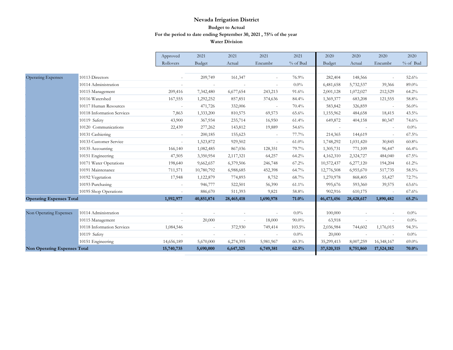|                                     |                            | Approved                 | 2021       | 2021       | 2021      | 2021     | 2020          | 2020       | 2020                     | 2020       |
|-------------------------------------|----------------------------|--------------------------|------------|------------|-----------|----------|---------------|------------|--------------------------|------------|
|                                     |                            | Rollovers                | Budget     | Actual     | Encumbr   | % of Bud | <b>Budget</b> | Actual     | Encumbr                  | $% of$ Bud |
|                                     |                            |                          |            |            |           |          |               |            |                          |            |
| <b>Operating Expenses</b>           | 10113 Directors            |                          | 209,749    | 161,347    | $\sim$    | 76.9%    | 282,404       | 148,566    |                          | 52.6%      |
|                                     | 10114 Administration       | $\omega$                 | $\sim$     | $\sim$     | $\sim$    | $0.0\%$  | 6,481,658     | 5,732,537  | 39,366                   | 89.0%      |
|                                     | 10115 Management           | 209,416                  | 7,342,480  | 6,677,654  | 243,213   | 91.6%    | 2,001,128     | 1,072,027  | 212,529                  | 64.2%      |
|                                     | 10116 Watershed            | 167,555                  | 1,292,252  | 857,851    | 374,636   | 84.4%    | 1,369,377     | 683,208    | 121,555                  | 58.8%      |
|                                     | 10117 Human Resources      | $\sim$                   | 471,726    | 332,006    | $\sim$    | 70.4%    | 583,842       | 326,859    | $\overline{\phantom{a}}$ | $56.0\%$   |
|                                     | 10118 Information Services | 7,863                    | 1,333,200  | 810,575    | 69,573    | 65.6%    | 1,155,962     | 484,658    | 18,415                   | 43.5%      |
|                                     | 10119 Safety               | 43,900                   | 367,934    | 235,714    | 16,950    | 61.4%    | 649,872       | 404,158    | 80,347                   | 74.6%      |
|                                     | 10120 Communications       | 22,439                   | 277,262    | 143,812    | 19,889    | 54.6%    | $\sim$        | $\sim$     | $\sim$                   | $0.0\%$    |
|                                     | 10131 Cashiering           | $\overline{\phantom{a}}$ | 200,185    | 155,623    | $\sim$    | 77.7%    | 214,365       | 144,619    | $\sim$                   | $67.5\%$   |
|                                     | 10133 Customer Service     | $\omega$                 | 1,523,872  | 929,502    | $\sim$    | $61.0\%$ | 1,748,292     | 1,031,420  | 30,845                   | 60.8%      |
|                                     | 10135 Accounting           | 166,140                  | 1,082,485  | 867,036    | 128,351   | 79.7%    | 1,305,731     | 771,109    | 96,447                   | 66.4%      |
|                                     | 10151 Engineering          | 47,505                   | 3,350,954  | 2,117,321  | 64,257    | $64.2\%$ | 4,162,310     | 2,324,727  | 484,040                  | 67.5%      |
|                                     | 10171 Water Operations     | 198,640                  | 9,662,657  | 6,379,506  | 246,748   | $67.2\%$ | 10,572,437    | 6,277,120  | 194,204                  | 61.2%      |
|                                     | 10191 Maintenance          | 711,571                  | 10,780,792 | 6,988,685  | 452,398   | $64.7\%$ | 12,776,508    | 6,955,670  | 517,735                  | 58.5%      |
|                                     | 10192 Vegetation           | 17,948                   | 1,122,879  | 774,893    | 8,752     | 68.7%    | 1,270,978     | 868,405    | 55,427                   | 72.7%      |
|                                     | 10193 Purchasing           |                          | 946,777    | 522,501    | 56,390    | $61.1\%$ | 995,676       | 593,360    | 39,575                   | 63.6%      |
|                                     | 10195 Shop Operations      | $\sim$                   | 886,670    | 511,393    | 9,821     | 58.8%    | 902,916       | 610,175    | $\overline{\phantom{a}}$ | 67.6%      |
| <b>Operating Expenses Total</b>     |                            | 1,592,977                | 40,851,874 | 28,465,418 | 1,690,978 | 71.0%    | 46,473,456    | 28,428,617 | 1,890,482                | 65.2%      |
|                                     |                            |                          |            |            |           |          |               |            |                          |            |
| Non Operating Expenses              | 10114 Administration       | $\sim$                   | $\sim$     | $\sim$     | $\sim$    | $0.0\%$  | 100,000       | $\sim$     | $\overline{\phantom{a}}$ | $0.0\%$    |
|                                     | 10115 Management           |                          | 20,000     |            | 18,000    | $90.0\%$ | 63,918        |            |                          | $0.0\%$    |
|                                     | 10118 Information Services | 1,084,546                | $\sim$     | 372,930    | 749,414   | 103.5%   | 2,036,984     | 744,602    | 1,176,015                | 94.3%      |
|                                     | 10119 Safety               | $\sim$                   | $\sim$     | $\sim$     | $\sim$    | $0.0\%$  | 20,000        |            | $\bar{\phantom{a}}$      | $0.0\%$    |
|                                     | 10151 Engineering          | 14,656,189               | 5,670,000  | 6,274,395  | 5,981,967 | 60.3%    | 35,299,413    | 8,007,259  | 16,348,167               | $69.0\%$   |
| <b>Non Operating Expenses Total</b> |                            | 15,740,735               | 5,690,000  | 6,647,325  | 6,749,381 | 62.5%    | 37,520,315    | 8,751,860  | 17,524,182               | 70.0%      |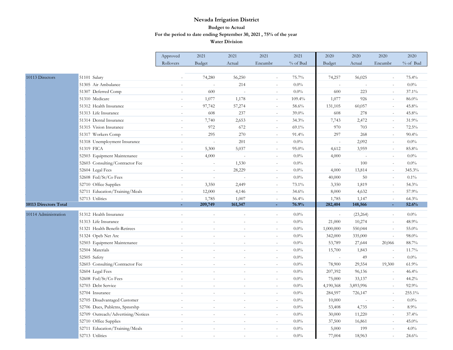|                       |                                    | Approved                 | 2021           | 2021                     | 2021                     | 2021     | 2020                     | 2020                | 2020                     | 2020       |
|-----------------------|------------------------------------|--------------------------|----------------|--------------------------|--------------------------|----------|--------------------------|---------------------|--------------------------|------------|
|                       |                                    | Rollovers                | Budget         | Actual                   | Encumbr                  | % of Bud | Budget                   | Actual              | Encumbr                  | $%$ of Bud |
|                       |                                    |                          |                |                          |                          |          |                          |                     |                          |            |
| 10113 Directors       | 51101 Salary                       |                          | 74,280         | 56,250                   | $\sim$                   | 75.7%    | 74,257                   | 56,025              | $\overline{\phantom{a}}$ | 75.4%      |
|                       | 51305 Air Ambulance                | $\overline{\phantom{a}}$ | $\sim$         | 214                      | $\sim$                   | $0.0\%$  | $\sim$                   |                     | $\sim$                   | $0.0\%$    |
|                       | 51307 Deferred Comp                | $\overline{a}$           | 600            |                          | $\sim$                   | $0.0\%$  | 600                      | 223                 | ÷,                       | 37.1%      |
|                       | 51310 Medicare                     | $\equiv$                 | 1,077          | 1,178                    | $\sim$                   | 109.4%   | 1,077                    | 926                 | $\sim$                   | 86.0%      |
|                       | 51312 Health Insurance             | $\sim$                   | 97,742         | 57,274                   | $\sim$                   | 58.6%    | 131,105                  | 60,057              | $\sim$                   | $45.8\%$   |
|                       | 51313 Life Insurance               | ÷,                       | 608            | 237                      | $\sim$                   | 39.0%    | 608                      | 278                 | $\sim$                   | 45.8%      |
|                       | 51314 Dental Insurance             | $\sim$                   | 7,740          | 2,653                    | $\sim$                   | 34.3%    | 7,743                    | 2,472               | $\sim$                   | 31.9%      |
|                       | 51315 Vision Insurance             | $\sim$                   | 972            | 672                      | $\overline{\phantom{a}}$ | 69.1%    | 970                      | 703                 | $\blacksquare$           | 72.5%      |
|                       | 51317 Workers Comp                 | $\overline{a}$           | 295            | 270                      | $\sim$                   | 91.4%    | 297                      | 268                 | $\bar{a}$                | 90.4%      |
|                       | 51318 Unemployment Insurance       | $\overline{a}$           | $\sim$         | 201                      | $\omega$                 | $0.0\%$  | $\sim$                   | 2,092               | $\sim$                   | 0.0%       |
|                       | 51319 FICA                         | $\bar{a}$                | 5,300          | 5,037                    | $\sim$                   | 95.0%    | 4,612                    | 3,959               | $\omega$                 | 85.8%      |
|                       | 52503 Equipment Maintenance        |                          | 4,000          |                          | $\sim$                   | $0.0\%$  | 4,000                    |                     | $\sim$                   | $0.0\%$    |
|                       | 52603 Consulting/Contractor Fee    | $\sim$                   | $\sim$         | 1,530                    | $\sim$                   | $0.0\%$  | $\sim$                   | 100                 | $\sim$                   | $0.0\%$    |
|                       | 52604 Legal Fees                   | $\overline{\phantom{a}}$ | $\sim$         | 28,229                   | $\overline{\phantom{a}}$ | $0.0\%$  | 4,000                    | 13,814              | $\blacksquare$           | 345.3%     |
|                       | 52608 Fed/St/Co Fees               |                          | $\overline{a}$ |                          | $\sim$                   | $0.0\%$  | 40,000                   | 50                  | $\sim$                   | $0.1\%$    |
|                       | 52710 Office Supplies              | $\sim$                   | 3,350          | 2,449                    | $\sim$                   | 73.1%    | 3,350                    | 1,819               | $\sim$                   | 54.3%      |
|                       | 52711 Education/Training/Meals     | $\sim$                   | 12,000         | 4,146                    | $\overline{\phantom{a}}$ | 34.6%    | 8,000                    | 4,632               | $\sim$                   | 57.9%      |
|                       | 52713 Utilities                    | $\sim$                   | 1,785          | 1,007                    | $\sim$                   | 56.4%    | 1,785                    | 1,147               | $\sim$                   | 64.3%      |
| 10113 Directors Total |                                    |                          | 209,749        | 161,347                  |                          | 76.9%    | 282,404                  | 148,566             | ä,                       | 52.6%      |
| 10114 Administration  | 51312 Health Insurance             | ÷,                       | L.             | $\sim$                   | $\mathcal{L}$            | $0.0\%$  | $\overline{\phantom{a}}$ | (23, 264)           | $\mathcal{L}$            | $0.0\%$    |
|                       | 51313 Life Insurance               |                          | ÷,             |                          | $\overline{\phantom{a}}$ | $0.0\%$  | 21,000                   | 10,274              | $\omega$                 | 48.9%      |
|                       | 51321 Health Benefit-Retirees      | $\sim$                   | $\overline{a}$ | $\overline{\phantom{a}}$ | $\sim$                   | $0.0\%$  | 1,000,000                | 550,044             | $\sim$                   | 55.0%      |
|                       | 51324 Opeb Net Arc                 |                          | ÷              |                          | $\sim$                   | $0.0\%$  | 342,000                  | 335,000             | $\sim$                   | 98.0%      |
|                       | 52503 Equipment Maintenance        | $\sim$                   | $\sim$         | $\sim$                   | $\sim$                   | 0.0%     | 53,789                   | 27,644              | 20,066                   | 88.7%      |
|                       | 52504 Materials                    | $\sim$                   | $\sim$         | $\sim$                   | $\sim$                   | $0.0\%$  | 15,700                   | 1,843               | $\omega$                 | 11.7%      |
|                       | 52505 Safety                       |                          | ÷              |                          | $\sim$                   | $0.0\%$  | $\sim$                   | 49                  | $\bar{a}$                | 0.0%       |
|                       | 52603 Consulting/Contractor Fee    |                          | $\sim$         |                          | $\overline{\phantom{a}}$ | $0.0\%$  | 78,900                   | 29,554              | 19,300                   | 61.9%      |
|                       | 52604 Legal Fees                   | $\sim$                   | $\sim$         | $\sim$                   | $\overline{\phantom{a}}$ | $0.0\%$  | 207,392                  | 96,136              | $\omega$                 | 46.4%      |
|                       | 52608 Fed/St/Co Fees               |                          | $\overline{a}$ |                          | $\sim$                   | $0.0\%$  | 75,000                   | 33,137              | $\bar{a}$                | 44.2%      |
|                       | 52703 Debt Service                 | $\overline{a}$           | ÷,             |                          | $\sim$                   | $0.0\%$  | 4,190,368                | 3,893,996           | $\sim$                   | 92.9%      |
|                       | 52704 Insurance                    | $\sim$                   | $\sim$         | $\sim$                   | $\sim$                   | 0.0%     | 284,597                  | 726,147             | $\sim$                   | 255.1%     |
|                       | 52705 Disadvantaged Customer       | $\bar{a}$                | $\bar{a}$      |                          | $\overline{\phantom{a}}$ | 0.0%     | 10,000                   | $\bar{\phantom{a}}$ | $\blacksquare$           | $0.0\%$    |
|                       | 52706 Dues, Publctns, Spnsrshp     |                          |                |                          | $\sim$                   | $0.0\%$  | 53,408                   | 4,735               | $\sim$                   | 8.9%       |
|                       | 52709 Outreach/Advertising/Notices | $\sim$                   | $\sim$         | $\sim$                   | $\overline{\phantom{a}}$ | $0.0\%$  | 30,000                   | 11,220              | $\sim$                   | 37.4%      |
|                       | 52710 Office Supplies              | $\overline{a}$           | $\bar{a}$      |                          | $\sim$                   | $0.0\%$  | 37,500                   | 16,861              | $\bar{a}$                | 45.0%      |
|                       | 52711 Education/Training/Meals     |                          | $\overline{a}$ |                          | $\sim$                   | $0.0\%$  | 5,000                    | 199                 | $\sim$                   | 4.0%       |
|                       | 52713 Utilities                    | $\overline{a}$           | ÷              |                          | $\sim$                   | $0.0\%$  | 77,004                   | 18,963              | ÷.                       | 24.6%      |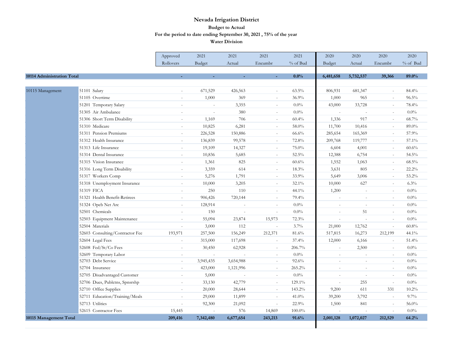|                            |                                 | Approved                 | 2021      | 2021                     | 2021                     | 2021      | 2020          | 2020                     | 2020                     | 2020     |
|----------------------------|---------------------------------|--------------------------|-----------|--------------------------|--------------------------|-----------|---------------|--------------------------|--------------------------|----------|
|                            |                                 | Rollovers                | Budget    | Actual                   | Encumbr                  | % of Bud  | Budget        | Actual                   | Encumbr                  | % of Bud |
|                            |                                 |                          |           |                          |                          |           |               |                          |                          |          |
| 10114 Administration Total |                                 |                          |           |                          |                          | 0.0%      | 6,481,658     | 5,732,537                | 39,366                   | 89.0%    |
|                            |                                 |                          |           |                          |                          |           |               |                          |                          |          |
| 10115 Management           | 51101 Salary                    | $\sim$                   | 671,529   | 426,563                  | $\sim$                   | $63.5\%$  | 806,931       | 681,347                  | $\sim$                   | 84.4%    |
|                            | 51105 Overtime                  | $\sim$                   | 1,000     | 369                      | $\sim$                   | 36.9%     | 1,000         | 965                      | $\sim$                   | 96.5%    |
|                            | 51201 Temporary Salary          | $\bar{a}$                | $\sim$    | 3,355                    | $\overline{\phantom{a}}$ | 0.0%      | 43,000        | 33,728                   | $\sim$                   | 78.4%    |
|                            | 51305 Air Ambulance             | $\sim$                   | ÷.        | 380                      | $\sim$                   | $0.0\%$   |               | ÷,                       | ÷.                       | $0.0\%$  |
|                            | 51306 Short Term Disability     | $\bar{a}$                | 1,169     | 706                      | $\sim$                   | 60.4%     | 1,336         | 917                      | $\sim$                   | 68.7%    |
|                            | 51310 Medicare                  | $\sim$                   | 10,825    | 6,281                    | $\bar{a}$                | 58.0%     | 11,700        | 10,416                   | $\sim$                   | 89.0%    |
|                            | 51311 Pension Premiums          | ÷.                       | 226,528   | 150,886                  | $\sim$                   | 66.6%     | 285,654       | 165,369                  | $\sim$                   | 57.9%    |
|                            | 51312 Health Insurance          | ÷.                       | 136,839   | 99,578                   | $\sim$                   | 72.8%     | 209,768       | 119,777                  | $\sim$                   | 57.1%    |
|                            | 51313 Life Insurance            | $\sim$                   | 19,109    | 14,327                   | $\sim$                   | 75.0%     | 6,604         | 4,001                    | $\sim$                   | 60.6%    |
|                            | 51314 Dental Insurance          | $\overline{\phantom{a}}$ | 10,836    | 5,685                    | $\sim$                   | 52.5%     | 12,388        | 6,754                    | $\sim$                   | 54.5%    |
|                            | 51315 Vision Insurance          | $\sim$                   | 1,361     | 825                      | $\omega$                 | 60.6%     | 1,552         | 1,063                    | $\sim$                   | 68.5%    |
|                            | 51316 Long Term Disability      | $\overline{a}$           | 3,359     | 614                      | $\sim$                   | 18.3%     | 3,631         | 805                      | ÷.                       | 22.2%    |
|                            | 51317 Workers Comp              |                          | 5,276     | 1,791                    | $\bar{a}$                | 33.9%     | 5,649         | 3,006                    | $\sim$                   | 53.2%    |
|                            | 51318 Unemployment Insurance    | $\sim$                   | 10,000    | 3,205                    | $\bar{a}$                | 32.1%     | 10,000        | 627                      | $\bar{a}$                | 6.3%     |
|                            | 51319 FICA                      | $\sim$                   | 250       | 110                      | $\overline{\phantom{a}}$ | 44.1%     | 1,200         | ÷.                       | $\blacksquare$           | $0.0\%$  |
|                            | 51321 Health Benefit-Retirees   | $\sim$                   | 906,426   | 720,144                  | $\sim$                   | 79.4%     | $\sim$        | $\sim$                   | $\sim$                   | $0.0\%$  |
|                            | 51324 Opeb Net Arc              | $\sim$                   | 128,914   | $\sim$                   | $\sim$                   | $0.0\%$   |               | $\sim$                   | $\sim$                   | $0.0\%$  |
|                            | 52501 Chemicals                 | $\sim$                   | 150       | $\overline{\phantom{a}}$ | $\bar{a}$                | $0.0\%$   | $\sim$        | 51                       | $\overline{\phantom{a}}$ | $0.0\%$  |
|                            | 52503 Equipment Maintenance     | $\sim$                   | 55,094    | 23,874                   | 15,973                   | 72.3%     |               |                          | $\sim$                   | $0.0\%$  |
|                            | 52504 Materials                 |                          | 3,000     | 112                      |                          | 3.7%      | 21,000        | 12,762                   | $\overline{a}$           | 60.8%    |
|                            | 52603 Consulting/Contractor Fee | 193,971                  | 257,500   | 156,249                  | 212,371                  | 81.6%     | 517,815       | 16,273                   | 212,199                  | 44.1%    |
|                            | 52604 Legal Fees                | $\sim$                   | 315,000   | 117,698                  | $\sim$                   | 37.4%     | 12,000        | 6,166                    | $\sim$                   | 51.4%    |
|                            | 52608 Fed/St/Co Fees            | $\sim$                   | 30,450    | 62,928                   | $\sim$                   | 206.7%    | $\sim$        | 2,500                    | $\sim$                   | $0.0\%$  |
|                            | 52609 Temporary Labor           | $\sim$                   | $\omega$  |                          | $\blacksquare$           | $0.0\%$   | $\sim$        | $\sim$                   | $\bar{a}$                | $0.0\%$  |
|                            | 52703 Debt Service              | $\sim$                   | 3,945,435 | 3,654,988                | $\bar{a}$                | 92.6%     | <b>Single</b> | ÷,                       | $\sim$                   | 0.0%     |
|                            | 52704 Insurance                 | $\sim$                   | 423,000   | 1,121,996                | $\sim$                   | 265.2%    | $\sim$        | $\sim$                   | $\sim$                   | $0.0\%$  |
|                            | 52705 Disadvantaged Customer    | $\overline{\phantom{a}}$ | 5,000     | $\overline{\phantom{a}}$ | $\equiv$                 | $0.0\%$   | $\sim$        | $\overline{\phantom{a}}$ | $\sim$                   | $0.0\%$  |
|                            | 52706 Dues, Publctns, Spnsrshp  | $\sim$                   | 33,130    | 42,779                   | $\sim$                   | 129.1%    | $\sim$        | 255                      | $\sim$                   | $0.0\%$  |
|                            | 52710 Office Supplies           | $\sim$                   | 20,000    | 28,644                   | $\overline{\phantom{a}}$ | 143.2%    | 9,200         | 611                      | 331                      | $10.2\%$ |
|                            | 52711 Education/Training/Meals  | L.                       | 29,000    | 11,899                   | L.                       | 41.0%     | 39,200        | 3,792                    | $\sim$                   | 9.7%     |
|                            | 52713 Utilities                 | $\overline{a}$           | 92,300    | 21,092                   | $\sim$                   | 22.9%     | 1,500         | 841                      | $\sim$                   | 56.0%    |
|                            | 52615 Contractor Fees           | 15,445                   | $\sim$    | 576                      | 14,869                   | $100.0\%$ |               |                          | $\overline{\phantom{a}}$ | $0.0\%$  |
| 10115 Management Total     |                                 | 209,416                  | 7,342,480 | 6,677,654                | 243,213                  | 91.6%     | 2,001,128     | 1,072,027                | 212,529                  | 64.2%    |
|                            |                                 |                          |           |                          |                          |           |               |                          |                          |          |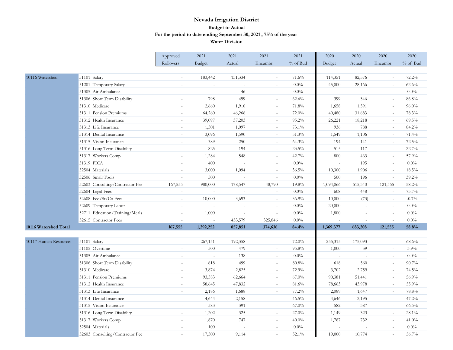|                       |                                 | Approved                 | 2021                     | 2021                     | 2021                     | 2021     | 2020           | 2020           | 2020     | 2020     |
|-----------------------|---------------------------------|--------------------------|--------------------------|--------------------------|--------------------------|----------|----------------|----------------|----------|----------|
|                       |                                 | Rollovers                | Budget                   | Actual                   | Encumbr                  | % of Bud | Budget         | Actual         | Encumbr  | % of Bud |
|                       |                                 |                          |                          |                          |                          |          |                |                |          |          |
| 10116 Watershed       | 51101 Salary                    |                          | 183,442                  | 131,334                  | $\sim$                   | 71.6%    | 114,351        | 82,576         | $\sim$   | 72.2%    |
|                       | 51201 Temporary Salary          | $\sim$                   | $\sim$                   | $\overline{a}$           | $\sim$                   | $0.0\%$  | 45,000         | 28,166         | $\sim$   | 62.6%    |
|                       | 51305 Air Ambulance             | $\sim$                   | $\overline{\phantom{a}}$ | 46                       | $\sim$                   | $0.0\%$  | $\overline{a}$ | $\sim$         | $\sim$   | $0.0\%$  |
|                       | 51306 Short Term Disability     | $\overline{\phantom{a}}$ | 798                      | 499                      | $\overline{\phantom{a}}$ | 62.6%    | 399            | 346            | $\sim$   | 86.8%    |
|                       | 51310 Medicare                  |                          | 2,660                    | 1,910                    |                          | 71.8%    | 1,658          | 1,591          | $\sim$   | $96.0\%$ |
|                       | 51311 Pension Premiums          | $\sim$                   | 64,260                   | 46,266                   |                          | 72.0%    | 40,480         | 31,683         | $\sim$   | 78.3%    |
|                       | 51312 Health Insurance          | $\sim$                   | 39,097                   | 37,203                   | $\sim$                   | 95.2%    | 26,221         | 18,218         | $\sim$   | 69.5%    |
|                       | 51313 Life Insurance            |                          | 1,501                    | 1,097                    | $\overline{\phantom{a}}$ | 73.1%    | 936            | 788            | $\sim$   | 84.2%    |
|                       | 51314 Dental Insurance          |                          | 3,096                    | 1,590                    | $\omega$                 | 51.3%    | 1,549          | 1,106          | $\sim$   | 71.4%    |
|                       | 51315 Vision Insurance          |                          | 389                      | 250                      | $\sim$                   | 64.3%    | 194            | 141            | $\sim$   | 72.5%    |
|                       | 51316 Long Term Disability      | $\sim$                   | 825                      | 194                      | $\sim$                   | 23.5%    | 515            | 117            | $\sim$   | 22.7%    |
|                       | 51317 Workers Comp              | $\overline{\phantom{a}}$ | 1,284                    | 548                      | $\sim$                   | 42.7%    | 800            | 463            | $\sim$   | 57.9%    |
|                       | 51319 FICA                      |                          | 400                      |                          | $\sim$                   | 0.0%     | L.             | 195            | $\sim$   | $0.0\%$  |
|                       | 52504 Materials                 | $\sim$                   | 3,000                    | 1,094                    | $\sim$                   | 36.5%    | 10,300         | 1,906          | $\sim$   | $18.5\%$ |
|                       | 52506 Small Tools               | $\sim$                   | 500                      | $\sim$                   | $\sim$                   | 0.0%     | 500            | 196            | $\omega$ | 39.2%    |
|                       | 52603 Consulting/Contractor Fee | 167,555                  | 980,000                  | 178,547                  | 48,790                   | 19.8%    | 1,094,066      | 515,340        | 121,555  | 58.2%    |
|                       | 52604 Legal Fees                | $\sim$                   | $\omega$                 |                          | $\omega$                 | 0.0%     | 608            | 448            | $\sim$   | 73.7%    |
|                       | 52608 Fed/St/Co Fees            |                          | 10,000                   | 3,693                    | $\sim$                   | 36.9%    | 10,000         | (73)           |          | $-0.7%$  |
|                       | 52609 Temporary Labor           | $\sim$                   | $\sim$                   | $\sim$                   | $\sim$                   | $0.0\%$  | 20,000         | $\overline{a}$ | $\sim$   | $0.0\%$  |
|                       | 52711 Education/Training/Meals  | $\overline{\phantom{a}}$ | 1,000                    | $\overline{\phantom{a}}$ | $\equiv$                 | 0.0%     | 1,800          | $\sim$         | $\sim$   | $0.0\%$  |
|                       | 52615 Contractor Fees           | $\sim$                   | $\bar{a}$                | 453,579                  | 325,846                  | $0.0\%$  |                |                |          | $0.0\%$  |
| 10116 Watershed Total |                                 | 167,555                  | 1,292,252                | 857,851                  | 374,636                  | 84.4%    | 1,369,377      | 683,208        | 121,555  | 58.8%    |
|                       |                                 |                          |                          |                          |                          |          |                |                |          |          |
| 10117 Human Resources | 51101 Salary                    | $\sim$                   | 267,151                  | 192,358                  | $\sim$                   | 72.0%    | 255,315        | 175,093        | $\sim$   | 68.6%    |
|                       | 51105 Overtime                  |                          | 500                      | 479                      | $\sim$                   | 95.8%    | 1,000          | 39             | $\sim$   | 3.9%     |
|                       | 51305 Air Ambulance             |                          | ÷,                       | 138                      | $\sim$                   | $0.0\%$  | L.             |                | $\sim$   | 0.0%     |
|                       | 51306 Short Term Disability     | $\sim$                   | 618                      | 499                      | $\sim$                   | 80.8%    | 618            | 560            | $\sim$   | 90.7%    |
|                       | 51310 Medicare                  | $\sim$                   | 3,874                    | 2,825                    | $\sim$                   | 72.9%    | 3,702          | 2,759          | $\sim$   | 74.5%    |
|                       | 51311 Pension Premiums          |                          | 93,583                   | 62,664                   | $\sim$                   | $67.0\%$ | 90,381         | 51,441         | $\sim$   | 56.9%    |
|                       | 51312 Health Insurance          |                          | 58,645                   | 47,832                   |                          | 81.6%    | 78,663         | 43,978         |          | 55.9%    |
|                       | 51313 Life Insurance            | $\overline{a}$           | 2,186                    | 1,688                    | $\sim$                   | 77.2%    | 2,089          | 1,647          | $\sim$   | 78.8%    |
|                       | 51314 Dental Insurance          | $\sim$                   | 4,644                    | 2,158                    | $\sim$                   | $46.5\%$ | 4,646          | 2,195          | $\sim$   | 47.2%    |
|                       | 51315 Vision Insurance          | $\sim$                   | 583                      | 391                      | $\sim$                   | $67.0\%$ | 582            | 387            | $\sim$   | 66.5%    |
|                       | 51316 Long Term Disability      |                          | 1,202                    | 325                      | $\omega$                 | $27.0\%$ | 1,149          | 323            |          | 28.1%    |
|                       | 51317 Workers Comp              | $\sim$                   | 1,870                    | 747                      | $\sim$                   | $40.0\%$ | 1,787          | 732            | $\sim$   | 41.0%    |
|                       | 52504 Materials                 | $\sim$                   | 100                      | $\sim$                   | $\sim$                   | $0.0\%$  |                |                | $\sim$   | 0.0%     |
|                       | 52603 Consulting/Contractor Fee |                          | 17,500                   | 9,114                    |                          | 52.1%    | 19,000         | 10,774         |          | 56.7%    |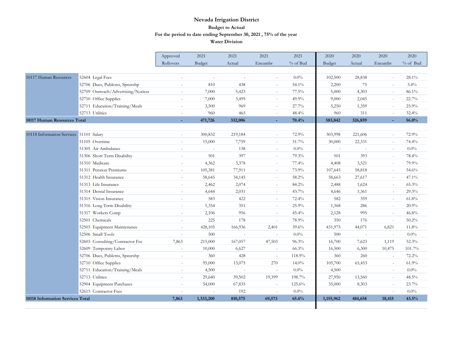|                                         |                                    | Approved                 | 2021      | 2021    | 2021                     | 2021     | 2020      | 2020    | 2020                     | 2020     |
|-----------------------------------------|------------------------------------|--------------------------|-----------|---------|--------------------------|----------|-----------|---------|--------------------------|----------|
|                                         |                                    | Rollovers                | Budget    | Actual  | Encumbr                  | % of Bud | Budget    | Actual  | Encumbr                  | % of Bud |
|                                         |                                    |                          |           |         |                          |          |           |         |                          |          |
| 10117 Human Resources                   | 52604 Legal Fees                   | ÷,                       | $\sim$    | $\sim$  | $\sim$                   | 0.0%     | 102,500   | 28,838  | $\sim$                   | 28.1%    |
|                                         | 52706 Dues, Publctns, Spnsrshp     | L,                       | 810       | 438     | $\sim$                   | 54.1%    | 2,200     | 75      | $\sim$                   | 3.4%     |
|                                         | 52709 Outreach/Advertising/Notices | $\overline{a}$           | 7,000     | 5,423   | $\sim$                   | 77.5%    | 5,000     | 4,303   | $\sim$                   | 86.1%    |
|                                         | 52710 Office Supplies              | ÷                        | 7,000     | 3,495   | $\sim$                   | 49.9%    | 9,000     | 2,045   | $\sim$                   | 22.7%    |
|                                         | 52711 Education/Training/Meals     | $\overline{\phantom{a}}$ | 3,500     | 969     | $\overline{\phantom{a}}$ | 27.7%    | 5,250     | 1,359   | $\overline{\phantom{a}}$ | 25.9%    |
|                                         | 52713 Utilities                    | $\sim$                   | 960       | 465     | $\overline{\phantom{a}}$ | 48.4%    | 960       | 311     | $\overline{\phantom{a}}$ | 32.4%    |
| 10117 Human Resources Total             |                                    |                          | 471,726   | 332,006 | ٠                        | 70.4%    | 583,842   | 326,859 | ÷                        | 56.0%    |
|                                         |                                    |                          |           |         |                          |          |           |         |                          |          |
| 10118 Information Services 51101 Salary |                                    |                          | 300,832   | 219,184 | $\sim$                   | 72.9%    | 303,998   | 221,606 | $\sim$                   | 72.9%    |
|                                         | 51105 Overtime                     | ÷,                       | 15,000    | 7,759   | $\sim$                   | 51.7%    | 30,000    | 22,331  | ÷.                       | 74.4%    |
|                                         | 51305 Air Ambulance                | ÷,                       | $\sim$    | 138     | $\sim$                   | $0.0\%$  | $\sim$    | $\sim$  | $\sim$                   | $0.0\%$  |
|                                         | 51306 Short Term Disability        | $\overline{\phantom{a}}$ | 501       | 397     | $\overline{\phantom{a}}$ | 79.3%    | 501       | 393     | $\overline{\phantom{a}}$ | 78.4%    |
|                                         | 51310 Medicare                     | $\equiv$                 | 4,362     | 3,378   | $\overline{\phantom{a}}$ | 77.4%    | 4,408     | 3,521   | $\overline{\phantom{a}}$ | 79.9%    |
|                                         | 51311 Pension Premiums             | $\overline{a}$           | 105,381   | 77,911  | $\overline{\phantom{a}}$ | 73.9%    | 107,645   | 58,818  | $\overline{\phantom{a}}$ | 54.6%    |
|                                         | 51312 Health Insurance             | $\overline{a}$           | 58,645    | 34,145  | $\sim$                   | 58.2%    | 58,663    | 27,617  | $\sim$                   | 47.1%    |
|                                         | 51313 Life Insurance               |                          | 2,462     | 2,074   | $\sim$                   | 84.2%    | 2,488     | 1,624   | $\sim$                   | 65.3%    |
|                                         | 51314 Dental Insurance             | ÷                        | 4,644     | 2,031   | $\sim$                   | 43.7%    | 4,646     | 1,361   | $\sim$                   | 29.3%    |
|                                         | 51315 Vision Insurance             | $\sim$                   | 583       | 422     | $\sim$                   | 72.4%    | 582       | 359     | $\sim$                   | 61.8%    |
|                                         | 51316 Long Term Disability         | $\sim$                   | 1,354     | 351     | $\sim$                   | 25.9%    | 1,368     | 286     | $\sim$                   | 20.9%    |
|                                         | 51317 Workers Comp                 | $\sim$                   | 2,106     | 956     | $\sim$                   | 45.4%    | 2,128     | 995     | $\sim$                   | 46.8%    |
|                                         | 52501 Chemicals                    | $\sim$                   | 225       | 178     | $\sim$                   | 78.9%    | 350       | 176     | $\sim$                   | 50.2%    |
|                                         | 52503 Equipment Maintenance        | $\sim$                   | 428,105   | 166,936 | 2,401                    | 39.6%    | 431,975   | 44,071  | 6,821                    | 11.8%    |
|                                         | 52506 Small Tools                  |                          | 500       | $\sim$  | $\sim$                   | 0.0%     | 500       | $\sim$  | $\sim$                   | $0.0\%$  |
|                                         | 52603 Consulting/Contractor Fee    | 7,863                    | 215,000   | 167,057 | 47,503                   | 96.3%    | 16,700    | 7,623   | 1,119                    | 52.3%    |
|                                         | 52609 Temporary Labor              | L,                       | 10,000    | 6,627   | $\sim$                   | 66.3%    | 16,500    | 6,300   | 10,475                   | 101.7%   |
|                                         | 52706 Dues, Publctns, Spnsrshp     | L,                       | 360       | 428     | $\sim$                   | 118.9%   | 360       | 260     | $\sim$                   | $72.2\%$ |
|                                         | 52710 Office Supplies              | $\equiv$                 | 95,000    | 13,075  | 270                      | $14.0\%$ | 105,700   | 65,453  | $\overline{\phantom{a}}$ | 61.9%    |
|                                         | 52711 Education/Training/Meals     | $\equiv$                 | 4,500     | $\sim$  | $\sim$                   | $0.0\%$  | 4,500     | $\sim$  | $\overline{\phantom{a}}$ | 0.0%     |
|                                         | 52713 Utilities                    | L.                       | 29,640    | 39,502  | 19,399                   | 198.7%   | 27,950    | 13,560  | $\blacksquare$           | 48.5%    |
|                                         | 52904 Equipment Purchases          |                          | 54,000    | 67,835  | $\sim$                   | 125.6%   | 35,000    | 8,303   | $\sim$                   | 23.7%    |
|                                         | 52615 Contractor Fees              |                          |           | 192     | $\sim$                   | $0.0\%$  |           |         | ÷.                       | 0.0%     |
| 10118 Information Services Total        |                                    | 7,863                    | 1,333,200 | 810,575 | 69,573                   | 65.6%    | 1,155,962 | 484,658 | 18,415                   | 43.5%    |
|                                         |                                    |                          |           |         |                          |          |           |         |                          |          |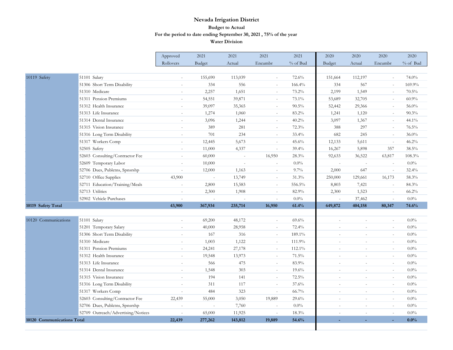|                            |                                    | Approved                 | 2021                     | 2021    | 2021                     | 2021     | 2020           | 2020    | 2020                     | 2020     |
|----------------------------|------------------------------------|--------------------------|--------------------------|---------|--------------------------|----------|----------------|---------|--------------------------|----------|
|                            |                                    | Rollovers                | Budget                   | Actual  | Encumbr                  | % of Bud | Budget         | Actual  | Encumbr                  | % of Bud |
|                            |                                    |                          |                          |         |                          |          |                |         |                          |          |
| 10119 Safety               | 51101 Salary                       | $\sim$                   | 155,690                  | 113,039 | $\sim$                   | 72.6%    | 151,664        | 112,197 | $\sim$                   | 74.0%    |
|                            | 51306 Short Term Disability        | $\sim$                   | 334                      | 556     | $\sim$                   | 166.4%   | 334            | 567     | $\sim$                   | 169.9%   |
|                            | 51310 Medicare                     | $\overline{\phantom{a}}$ | 2,257                    | 1,651   | $\sim$                   | 73.2%    | 2,199          | 1,549   | $\sim$                   | 70.5%    |
|                            | 51311 Pension Premiums             | $\bar{ }$                | 54,551                   | 39,871  | $\sim$                   | 73.1%    | 53,689         | 32,705  | $\overline{\phantom{a}}$ | 60.9%    |
|                            | 51312 Health Insurance             | $\sim$                   | 39,097                   | 35,365  | $\sim$                   | 90.5%    | 52,442         | 29,366  | $\sim$                   | 56.0%    |
|                            | 51313 Life Insurance               | $\sim$                   | 1,274                    | 1,060   | $\sim$                   | 83.2%    | 1,241          | 1,120   | $\sim$                   | 90.3%    |
|                            | 51314 Dental Insurance             | $\sim$                   | 3,096                    | 1,244   | $\sim$                   | 40.2%    | 3,097          | 1,367   | ÷.                       | 44.1%    |
|                            | 51315 Vision Insurance             | $\sim$                   | 389                      | 281     | $\bar{a}$                | 72.3%    | 388            | 297     | $\sim$                   | 76.5%    |
|                            | 51316 Long Term Disability         | $\bar{a}$                | 701                      | 234     | $\bar{a}$                | 33.4%    | 682            | 245     | $\sim$                   | 36.0%    |
|                            | 51317 Workers Comp                 | $\sim$                   | 12,445                   | 5,673   | $\sim$                   | 45.6%    | 12,133         | 5,611   | $\sim$                   | 46.2%    |
|                            | 52505 Safety                       | $\sim$                   | 11,000                   | 4,337   | $\sim$                   | 39.4%    | 16,267         | 5,898   | 357                      | 38.5%    |
|                            | 52603 Consulting/Contractor Fee    | $\sim$                   | 60,000                   | $\sim$  | 16,950                   | 28.3%    | 92,633         | 36,522  | 63,817                   | 108.3%   |
|                            | 52609 Temporary Labor              | ÷.                       | 10,000                   | $\sim$  | $\bar{a}$                | $0.0\%$  |                | $\sim$  | $\sim$                   | $0.0\%$  |
|                            | 52706 Dues, Publctns, Spnsrshp     | $\sim$                   | 12,000                   | 1,163   | $\sim$                   | 9.7%     | 2,000          | 647     | $\sim$                   | 32.4%    |
|                            | 52710 Office Supplies              | 43,900                   | $\overline{\phantom{a}}$ | 13,749  | $\bar{a}$                | 31.3%    | 250,000        | 129,661 | 16,173                   | 58.3%    |
|                            | 52711 Education/Training/Meals     | $\sim$                   | 2,800                    | 15,583  | $\overline{\phantom{a}}$ | 556.5%   | 8,803          | 7,421   | $\sim$                   | 84.3%    |
|                            | 52713 Utilities                    | $\bar{a}$                | 2,300                    | 1,908   | $\overline{\phantom{a}}$ | 82.9%    | 2,300          | 1,523   | $\sim$                   | 66.2%    |
|                            | 52902 Vehicle Purchases            | $\sim$                   |                          |         | $\bar{ }$                | $0.0\%$  |                | 37,462  | $\bar{a}$                | $0.0\%$  |
| 10119 Safety Total         |                                    | 43,900                   | 367,934                  | 235,714 | 16,950                   | 61.4%    | 649,872        | 404,158 | 80,347                   | 74.6%    |
|                            |                                    |                          |                          |         |                          |          |                |         |                          |          |
| 10120 Communications       | 51101 Salary                       |                          | 69,200                   | 48,172  |                          | 69.6%    |                |         |                          | $0.0\%$  |
|                            | 51201 Temporary Salary             | $\sim$                   | 40,000                   | 28,958  | $\bar{a}$                | 72.4%    |                | ÷.      | $\sim$                   | $0.0\%$  |
|                            | 51306 Short Term Disability        | ÷.                       | 167                      | 316     | $\sim$                   | 189.1%   | $\sim$         | ÷.      | $\sim$                   | $0.0\%$  |
|                            | 51310 Medicare                     | $\sim$                   | 1,003                    | 1,122   | $\sim$                   | 111.9%   | $\sim$         | ÷.      | $\sim$                   | $0.0\%$  |
|                            | 51311 Pension Premiums             | $\sim$                   | 24,241                   | 27,178  | $\sim$                   | 112.1%   | $\sim$         | $\sim$  | $\sim$                   | $0.0\%$  |
|                            | 51312 Health Insurance             | ÷.                       | 19,548                   | 13,973  | $\sim$                   | 71.5%    | $\overline{a}$ | $\sim$  | $\sim$                   | $0.0\%$  |
|                            | 51313 Life Insurance               | $\sim$                   | 566                      | 475     | $\sim$                   | 83.9%    | $\sim$         | $\sim$  | $\sim$                   | $0.0\%$  |
|                            | 51314 Dental Insurance             | $\sim$                   | 1,548                    | 303     | $\sim$                   | 19.6%    | $\sim$         | $\sim$  | $\sim$                   | $0.0\%$  |
|                            | 51315 Vision Insurance             | $\sim$                   | 194                      | 141     | $\omega$                 | 72.5%    | $\sim$         | $\sim$  | $\blacksquare$           | 0.0%     |
|                            | 51316 Long Term Disability         | $\sim$                   | 311                      | 117     | $\omega$                 | 37.6%    | $\sim$         | $\sim$  | $\sim$                   | 0.0%     |
|                            | 51317 Workers Comp                 | $\sim$                   | 484                      | 323     | $\bar{a}$                | 66.7%    |                | ÷.      | $\sim$                   | 0.0%     |
|                            | 52603 Consulting/Contractor Fee    | 22,439                   | 55,000                   | 3,050   | 19,889                   | 29.6%    |                | ÷.      | $\sim$                   | $0.0\%$  |
|                            | 52706 Dues, Publctns, Spnsrshp     |                          |                          | 7,760   |                          | $0.0\%$  |                | $\sim$  | $\sim$                   | $0.0\%$  |
|                            | 52709 Outreach/Advertising/Notices |                          | 65,000                   | 11,925  | ÷,                       | 18.3%    |                |         | $\bar{a}$                | $0.0\%$  |
| 10120 Communications Total |                                    | 22,439                   | 277,262                  | 143,812 | 19,889                   | 54.6%    |                |         |                          | $0.0\%$  |

 $\overline{\phantom{a}}$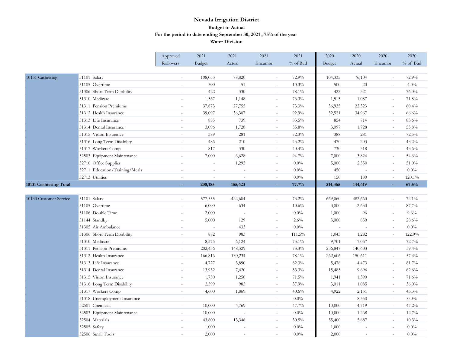|                        |                                | Approved                 | 2021          | 2021                     | 2021                     | 2021     | 2020           | 2020           | 2020                     | 2020     |
|------------------------|--------------------------------|--------------------------|---------------|--------------------------|--------------------------|----------|----------------|----------------|--------------------------|----------|
|                        |                                | Rollovers                | <b>Budget</b> | Actual                   | Encumbr                  | % of Bud | <b>Budget</b>  | Actual         | Encumbr                  | % of Bud |
|                        |                                |                          |               |                          |                          |          |                |                |                          |          |
| 10131 Cashiering       | 51101 Salary                   | $\bar{a}$                | 108,053       | 78,820                   | $\sim$                   | 72.9%    | 104,335        | 76,104         | $\sim$                   | 72.9%    |
|                        | 51105 Overtime                 | $\bar{a}$                | 500           | 51                       | $\sim$                   | 10.3%    | 500            | 20             | $\sim$                   | 4.0%     |
|                        | 51306 Short Term Disability    | $\bar{a}$                | 422           | 330                      | $\sim$                   | 78.1%    | 422            | 321            | $\sim$                   | 76.0%    |
|                        | 51310 Medicare                 |                          | 1,567         | 1,148                    | $\overline{\phantom{a}}$ | 73.3%    | 1,513          | 1,087          | $\overline{\phantom{a}}$ | 71.8%    |
|                        | 51311 Pension Premiums         | $\sim$                   | 37,873        | 27,755                   | $\sim$                   | 73.3%    | 36,935         | 22,323         | $\sim$                   | 60.4%    |
|                        | 51312 Health Insurance         | $\overline{\phantom{a}}$ | 39,097        | 36,307                   | $\sim$                   | 92.9%    | 52,521         | 34,967         | $\sim$                   | 66.6%    |
|                        | 51313 Life Insurance           | $\sim$                   | 885           | 739                      | $\sim$                   | 83.5%    | 854            | 714            | $\sim$                   | 83.6%    |
|                        | 51314 Dental Insurance         | $\overline{\phantom{a}}$ | 3,096         | 1,728                    | $\overline{\phantom{a}}$ | 55.8%    | 3,097          | 1,728          | $\bar{ }$                | 55.8%    |
|                        | 51315 Vision Insurance         | $\bar{a}$                | 389           | 281                      | $\sim$                   | 72.3%    | 388            | 281            | $\sim$                   | 72.5%    |
|                        | 51316 Long Term Disability     | $\overline{a}$           | 486           | 210                      | $\sim$                   | 43.2%    | 470            | 203            | $\sim$                   | $43.2\%$ |
|                        | 51317 Workers Comp             | $\sim$                   | 817           | 330                      | $\sim$                   | 40.4%    | 730            | 318            | $\sim$                   | 43.6%    |
|                        | 52503 Equipment Maintenance    | $\bar{ }$                | 7,000         | 6,628                    | $\overline{\phantom{a}}$ | 94.7%    | 7,000          | 3,824          | $\bar{ }$                | 54.6%    |
|                        | 52710 Office Supplies          | $\sim$                   | $\sim$        | 1,295                    | $\sim$                   | $0.0\%$  | 5,000          | 2,550          | $\sim$                   | 51.0%    |
|                        | 52711 Education/Training/Meals | $\overline{\phantom{a}}$ | $\sim$        | $\sim$                   | $\sim$                   | $0.0\%$  | 450            | $\overline{a}$ | $\sim$                   | $0.0\%$  |
|                        | 52713 Utilities                | $\sim$                   | $\sim$        | $\sim$                   | $\sim$                   | $0.0\%$  | 150            | 180            | $\sim$                   | 120.1%   |
| 10131 Cashiering Total |                                |                          | 200,185       | 155,623                  | ä,                       | 77.7%    | 214,365        | 144,619        |                          | 67.5%    |
|                        |                                |                          |               |                          |                          |          |                |                |                          |          |
| 10133 Customer Service | 51101 Salary                   |                          | 577,555       | 422,604                  | $\sim$                   | 73.2%    | 669,060        | 482,660        | $\sim$                   | 72.1%    |
|                        | 51105 Overtime                 | $\sim$                   | 6,000         | 634                      | $\sim$                   | 10.6%    | 3,000          | 2,630          | $\sim$                   | 87.7%    |
|                        | 51106 Double Time              | $\bar{ }$                | 2,000         | $\overline{\phantom{a}}$ | $\equiv$                 | 0.0%     | 1,000          | 96             | $\bar{ }$                | 9.6%     |
|                        | 51144 Standby                  | $\bar{a}$                | 5,000         | 129                      | $\sim$                   | 2.6%     | 3,000          | 859            | $\sim$                   | 28.6%    |
|                        | 51305 Air Ambulance            | $\overline{\phantom{a}}$ | $\sim$        | 433                      | $\sim$                   | $0.0\%$  | $\overline{a}$ |                | $\sim$                   | $0.0\%$  |
|                        | 51306 Short Term Disability    | $\omega$                 | 882           | 983                      | $\sim$                   | 111.5%   | 1,043          | 1,282          | $\sim$                   | 122.9%   |
|                        | 51310 Medicare                 | $\blacksquare$           | 8,375         | 6,124                    | $\sim$                   | 73.1%    | 9,701          | 7,057          | $\bar{ }$                | 72.7%    |
|                        | 51311 Pension Premiums         | $\sim$                   | 202,436       | 148,329                  | $\sim$                   | 73.3%    | 236,847        | 140,603        | $\sim$                   | 59.4%    |
|                        | 51312 Health Insurance         |                          | 166,816       | 130,234                  | $\sim$                   | 78.1%    | 262,606        | 150,611        | $\sim$                   | 57.4%    |
|                        | 51313 Life Insurance           | $\sim$                   | 4,727         | 3,890                    | $\sim$                   | 82.3%    | 5,476          | 4,473          | $\sim$                   | 81.7%    |
|                        | 51314 Dental Insurance         | $\overline{\phantom{a}}$ | 13,932        | 7,420                    | $\equiv$                 | 53.3%    | 15,485         | 9,696          | $\bar{ }$                | 62.6%    |
|                        | 51315 Vision Insurance         | $\sim$                   | 1,750         | 1,250                    | $\sim$                   | 71.5%    | 1,941          | 1,390          | $\sim$                   | 71.6%    |
|                        | 51316 Long Term Disability     | $\overline{\phantom{a}}$ | 2,599         | 985                      | $\sim$                   | 37.9%    | 3,011          | 1,085          | $\sim$                   | 36.0%    |
|                        | 51317 Workers Comp             | $\omega$                 | 4,600         | 1,869                    | $\sim$                   | 40.6%    | 4,922          | 2,131          | $\sim$                   | 43.3%    |
|                        | 51318 Unemployment Insurance   | $\sim$                   | $\sim$        | $\sim$                   | $\equiv$                 | $0.0\%$  | $\sim$         | 8,550          | $\bar{ }$                | $0.0\%$  |
|                        | 52501 Chemicals                | $\sim$                   | 10,000        | 4,769                    | $\omega$                 | 47.7%    | 10,000         | 4,719          | $\sim$                   | 47.2%    |
|                        | 52503 Equipment Maintenance    |                          | 10,000        |                          | $\sim$                   | $0.0\%$  | 10,000         | 1,268          | $\sim$                   | 12.7%    |
|                        | 52504 Materials                | $\sim$                   | 43,800        | 13,346                   | $\sim$                   | 30.5%    | 55,400         | 5,687          | $\sim$                   | 10.3%    |
|                        | 52505 Safety                   | $\overline{\phantom{a}}$ | 1,000         | $\bar{ }$                | $\equiv$                 | $0.0\%$  | 1,000          | $\sim$         | $\overline{\phantom{a}}$ | 0.0%     |
|                        | 52506 Small Tools              |                          | 2,000         |                          |                          | $0.0\%$  | 2,000          |                |                          | 0.0%     |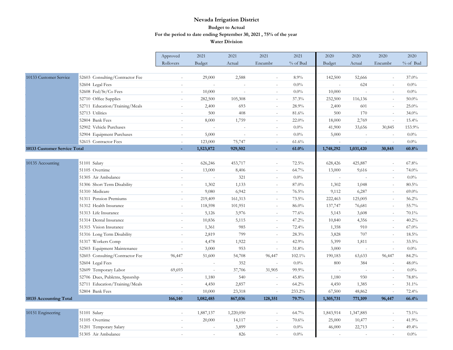|                              |                                 | Approved                 | 2021      | 2021                     | 2021                     | 2021     | 2020           | 2020      | 2020                     | 2020     |
|------------------------------|---------------------------------|--------------------------|-----------|--------------------------|--------------------------|----------|----------------|-----------|--------------------------|----------|
|                              |                                 | Rollovers                | Budget    | Actual                   | Encumbr                  | % of Bud | <b>Budget</b>  | Actual    | Encumbr                  | % of Bud |
|                              |                                 |                          |           |                          |                          |          |                |           |                          |          |
| 10133 Customer Service       | 52603 Consulting/Contractor Fee |                          | 29,000    | 2,588                    | $\sim$                   | 8.9%     | 142,500        | 52,666    | $\sim$                   | 37.0%    |
|                              | 52604 Legal Fees                | $\sim$                   | $\sim$    | $\sim$                   | $\sim$                   | $0.0\%$  | $\overline{a}$ | 624       | $\sim$                   | $0.0\%$  |
|                              | 52608 Fed/St/Co Fees            | $\sim$                   | 10,000    | $\overline{\phantom{a}}$ | $\overline{\phantom{a}}$ | $0.0\%$  | 10,000         | $\sim$    | $\blacksquare$           | $0.0\%$  |
|                              | 52710 Office Supplies           | $\sim$                   | 282,500   | 105,308                  |                          | 37.3%    | 232,500        | 116,136   | $\sim$                   | $50.0\%$ |
|                              | 52711 Education/Training/Meals  | $\overline{a}$           | 2,400     | 693                      | $\overline{\phantom{a}}$ | 28.9%    | 2,400          | 601       | $\omega$                 | 25.0%    |
|                              | 52713 Utilities                 | $\sim$                   | 500       | 408                      | $\sim$                   | 81.6%    | 500            | 170       | $\sim$                   | 34.0%    |
|                              | 52804 Bank Fees                 | $\overline{\phantom{a}}$ | 8,000     | 1,759                    | $\overline{\phantom{a}}$ | 22.0%    | 18,000         | 2,769     | $\omega$                 | 15.4%    |
|                              | 52902 Vehicle Purchases         |                          | $\sim$    |                          | $\sim$                   | $0.0\%$  | 41,900         | 33,656    | 30,845                   | 153.9%   |
|                              | 52904 Equipment Purchases       | $\sim$                   | 5,000     | $\sim$                   | $\sim$                   | $0.0\%$  | 5,000          | $\omega$  | $\sim$                   | 0.0%     |
|                              | 52615 Contractor Fees           | $\sim$                   | 123,000   | 75,747                   | $\sim$                   | 61.6%    | $\sim$         | $\sim$    | $\sim$                   | $0.0\%$  |
| 10133 Customer Service Total |                                 |                          | 1,523,872 | 929,502                  |                          | 61.0%    | 1,748,292      | 1,031,420 | 30,845                   | 60.8%    |
|                              |                                 |                          |           |                          |                          |          |                |           |                          |          |
| 10135 Accounting             | 51101 Salary                    | $\sim$                   | 626,246   | 453,717                  | $\sim$                   | 72.5%    | 628,426        | 425,887   | $\sim$                   | 67.8%    |
|                              | 51105 Overtime                  | $\sim$                   | 13,000    | 8,406                    | $\overline{\phantom{a}}$ | 64.7%    | 13,000         | 9,616     | $\sim$                   | 74.0%    |
|                              | 51305 Air Ambulance             | $\sim$                   | $\sim$    | 321                      | $\sim$                   | $0.0\%$  | $\overline{a}$ | $\sim$    | $\sim$                   | 0.0%     |
|                              | 51306 Short Term Disability     | $\bar{a}$                | 1,302     | 1,133                    | $\sim$                   | 87.0%    | 1,302          | 1,048     | $\omega$                 | 80.5%    |
|                              | 51310 Medicare                  | $\sim$                   | 9,080     | 6,942                    | $\sim$                   | 76.5%    | 9,112          | 6,287     | $\sim$                   | $69.0\%$ |
|                              | 51311 Pension Premiums          |                          | 219,409   | 161,313                  | $\overline{\phantom{a}}$ | 73.5%    | 222,463        | 125,005   | $\overline{\phantom{a}}$ | 56.2%    |
|                              | 51312 Health Insurance          |                          | 118,598   | 101,951                  | $\sim$                   | $86.0\%$ | 137,747        | 76,681    | $\sim$                   | 55.7%    |
|                              | 51313 Life Insurance            | $\sim$                   | 5,126     | 3,976                    | $\sim$                   | 77.6%    | 5,143          | 3,608     | $\omega$                 | 70.1%    |
|                              | 51314 Dental Insurance          | $\sim$                   | 10,836    | 5,115                    | $\sim$                   | 47.2%    | 10,840         | 4,356     | $\sim$                   | 40.2%    |
|                              | 51315 Vision Insurance          | $\sim$                   | 1,361     | 985                      | $\sim$                   | 72.4%    | 1,358          | 910       | $\sim$                   | $67.0\%$ |
|                              | 51316 Long Term Disability      |                          | 2,819     | 799                      | $\sim$                   | 28.3%    | 3,828          | 707       | $\sim$                   | 18.5%    |
|                              | 51317 Workers Comp              | $\sim$                   | 4,478     | 1,922                    | $\overline{\phantom{a}}$ | 42.9%    | 5,399          | 1,811     | $\sim$                   | 33.5%    |
|                              | 52503 Equipment Maintenance     | $\bar{a}$                | 3,000     | 953                      | $\sim$                   | 31.8%    | 3,000          | $\sim$    | $\overline{\phantom{a}}$ | $0.0\%$  |
|                              | 52603 Consulting/Contractor Fee | 96,447                   | 51,600    | 54,708                   | 96,447                   | 102.1%   | 190,183        | 63,633    | 96,447                   | 84.2%    |
|                              | 52604 Legal Fees                | $\sim$                   | $\sim$    | 352                      | $\sim$                   | $0.0\%$  | 800            | 384       | $\sim$                   | 48.0%    |
|                              | 52609 Temporary Labor           | 69,693                   | $\sim$    | 37,706                   | 31,905                   | 99.9%    | $\omega$       | $\sim$    | $\sim$                   | $0.0\%$  |
|                              | 52706 Dues, Publctns, Spnsrshp  | $\sim$                   | 1,180     | 540                      | $\sim$                   | 45.8%    | 1,180          | 930       | $\omega$                 | 78.8%    |
|                              | 52711 Education/Training/Meals  | ÷,                       | 4,450     | 2,857                    | $\overline{a}$           | 64.2%    | 4,450          | 1,385     | $\sim$                   | 31.1%    |
|                              | 52804 Bank Fees                 | $\sim$                   | 10,000    | 23,318                   | $\sim$                   | 233.2%   | 67,500         | 48,862    | $\sim$                   | 72.4%    |
| 10135 Accounting Total       |                                 | 166,140                  | 1,082,485 | 867,036                  | 128,351                  | 79.7%    | 1,305,731      | 771,109   | 96,447                   | 66.4%    |
|                              |                                 |                          |           |                          |                          |          |                |           |                          |          |
| 10151 Engineering            | 51101 Salary                    | $\bar{a}$                | 1,887,137 | 1,220,050                | $\sim$                   | 64.7%    | 1,843,914      | 1,347,885 | $\sim$                   | 73.1%    |
|                              | 51105 Overtime                  | $\sim$                   | 20,000    | 14,117                   | $\sim$                   | 70.6%    | 25,000         | 10,477    | $\sim$                   | 41.9%    |
|                              | 51201 Temporary Salary          | $\bar{a}$                | $\sim$    | 3,899                    | $\sim$                   | $0.0\%$  | 46,000         | 22,713    | $\bar{a}$                | 49.4%    |
|                              | 51305 Air Ambulance             |                          |           | 826                      | $\sim$                   | $0.0\%$  |                |           |                          | $0.0\%$  |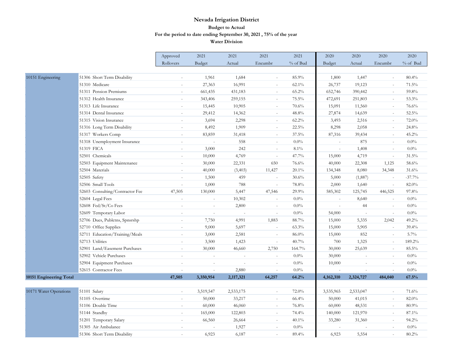|                         |                                 | Approved                 | 2021                     | 2021                     | 2021          | 2021     | 2020                     | 2020                     | 2020                     | 2020     |
|-------------------------|---------------------------------|--------------------------|--------------------------|--------------------------|---------------|----------|--------------------------|--------------------------|--------------------------|----------|
|                         |                                 | Rollovers                | Budget                   | Actual                   | Encumbr       | % of Bud | Budget                   | Actual                   | Encumbr                  | % of Bud |
|                         |                                 |                          |                          |                          |               |          |                          |                          |                          |          |
| 10151 Engineering       | 51306 Short Term Disability     |                          | 1,961                    | 1,684                    |               | 85.9%    | 1,800                    | 1,447                    | $\sim$                   | 80.4%    |
|                         | 51310 Medicare                  | $\sim$                   | 27,363                   | 16,991                   | $\sim$        | $62.1\%$ | 26,737                   | 19,123                   | $\sim$                   | 71.5%    |
|                         | 51311 Pension Premiums          | $\sim$                   | 661,435                  | 431,183                  | $\sim$        | 65.2%    | 652,746                  | 390,442                  | $\sim$                   | 59.8%    |
|                         | 51312 Health Insurance          | $\sim$                   | 343,406                  | 259,155                  | $\sim$        | 75.5%    | 472,691                  | 251,803                  | $\sim$                   | 53.3%    |
|                         | 51313 Life Insurance            |                          | 15,445                   | 10,905                   |               | 70.6%    | 15,091                   | 11,560                   | $\sim$                   | 76.6%    |
|                         | 51314 Dental Insurance          | $\sim$                   | 29,412                   | 14,362                   | $\sim$        | 48.8%    | 27,874                   | 14,639                   | $\sim$                   | 52.5%    |
|                         | 51315 Vision Insurance          | $\sim$                   | 3,694                    | 2,298                    | $\sim$        | $62.2\%$ | 3,493                    | 2,516                    | $\sim$                   | 72.0%    |
|                         | 51316 Long Term Disability      |                          | 8,492                    | 1,909                    | $\sim$        | 22.5%    | 8,298                    | 2,058                    | $\sim$                   | 24.8%    |
|                         | 51317 Workers Comp              |                          | 83,859                   | 31,418                   | $\sim$        | $37.5\%$ | 87,316                   | 39,434                   | $\sim$                   | 45.2%    |
|                         | 51318 Unemployment Insurance    | $\sim$                   | $\sim$                   | 558                      | $\sim$        | 0.0%     | $\overline{a}$           | 875                      | $\sim$                   | $0.0\%$  |
|                         | 51319 FICA                      |                          | 3,000                    | 242                      | $\sim$        | 8.1%     | $\sim$                   | 1,408                    | $\overline{\phantom{a}}$ | $0.0\%$  |
|                         | 52501 Chemicals                 |                          | 10,000                   | 4,769                    |               | 47.7%    | 15,000                   | 4,719                    | $\sim$                   | 31.5%    |
|                         | 52503 Equipment Maintenance     |                          | 30,000                   | 22,331                   | 650           | 76.6%    | 40,000                   | 22,308                   | 1,125                    | 58.6%    |
|                         | 52504 Materials                 | $\sim$                   | 40,000                   | (3,403)                  | 11,427        | $20.1\%$ | 134,348                  | 8,080                    | 34,348                   | 31.6%    |
|                         | 52505 Safety                    | $\sim$                   | 1,500                    | 459                      | $\sim$        | 30.6%    | 5,000                    | (1,887)                  | $\overline{\phantom{a}}$ | $-37.7%$ |
|                         | 52506 Small Tools               | $\sim$                   | 1,000                    | 788                      | $\sim$        | 78.8%    | 2,000                    | 1,640                    | $\sim$                   | 82.0%    |
|                         | 52603 Consulting/Contractor Fee | 47,505                   | 130,000                  | 5,447                    | 47,546        | 29.9%    | 585,302                  | 125,745                  | 446,525                  | 97.8%    |
|                         | 52604 Legal Fees                | $\sim$                   | $\sim$                   | 10,302                   | $\sim$        | $0.0\%$  | $\overline{a}$           | 8,640                    | $\omega$                 | $0.0\%$  |
|                         | 52608 Fed/St/Co Fees            |                          | $\overline{\phantom{a}}$ | 2,800                    | $\equiv$      | $0.0\%$  | $\overline{\phantom{a}}$ | 44                       | $\sim$                   | $0.0\%$  |
|                         | 52609 Temporary Labor           |                          | ÷,                       |                          |               | 0.0%     | 54,000                   |                          | $\sim$                   | $0.0\%$  |
|                         | 52706 Dues, Publctns, Spnsrshp  | $\sim$                   | 7,750                    | 4,991                    | 1,883         | 88.7%    | 15,000                   | 5,335                    | 2,042                    | 49.2%    |
|                         | 52710 Office Supplies           | $\sim$                   | 9,000                    | 5,697                    | $\omega$      | 63.3%    | 15,000                   | 5,905                    | $\omega$                 | 39.4%    |
|                         | 52711 Education/Training/Meals  | $\sim$                   | 3,000                    | 2,581                    | $\sim$        | 86.0%    | 15,000                   | 852                      | $\omega$                 | 5.7%     |
|                         | 52713 Utilities                 |                          | 3,500                    | 1,423                    |               | 40.7%    | 700                      | 1,325                    | $\sim$                   | 189.2%   |
|                         | 52901 Land/Easement Purchases   |                          | 30,000                   | 46,660                   | 2,750         | 164.7%   | 30,000                   | 25,639                   | $\sim$                   | 85.5%    |
|                         | 52902 Vehicle Purchases         | $\overline{\phantom{a}}$ | $\omega$                 | $\sim$                   | $\sim$        | $0.0\%$  | 30,000                   | $\sim$                   | $\sim$                   | $0.0\%$  |
|                         | 52904 Equipment Purchases       |                          | $\sim$                   | $\overline{\phantom{a}}$ | $\equiv$      | $0.0\%$  | 10,000                   | $\overline{\phantom{a}}$ | $\bar{\phantom{a}}$      | 0.0%     |
|                         | 52615 Contractor Fees           |                          | L.                       | 2,880                    |               | $0.0\%$  |                          |                          |                          | $0.0\%$  |
| 10151 Engineering Total |                                 | 47,505                   | 3,350,954                | 2,117,321                | 64,257        | 64.2%    | 4,162,310                | 2,324,727                | 484,040                  | 67.5%    |
|                         |                                 |                          |                          |                          |               |          |                          |                          |                          |          |
| 10171 Water Operations  | 51101 Salary                    | $\sim$                   | 3,519,547                | 2,533,175                | $\sim$        | 72.0%    | 3,535,965                | 2,533,047                | $\omega$                 | 71.6%    |
|                         | 51105 Overtime                  |                          | 50,000                   | 33,217                   | $\mathcal{L}$ | 66.4%    | 50,000                   | 41,015                   | $\mathcal{L}$            | 82.0%    |
|                         | 51106 Double Time               | $\sim$                   | 60,000                   | 46,060                   | $\sim$        | 76.8%    | 60,000                   | 48,531                   | $\sim$                   | 80.9%    |
|                         | 51144 Standby                   | $\sim$                   | 165,000                  | 122,803                  | $\sim$        | 74.4%    | 140,000                  | 121,970                  | $\omega$                 | 87.1%    |
|                         | 51201 Temporary Salary          |                          | 66,560                   | 26,664                   | $\sim$        | $40.1\%$ | 33,280                   | 31,360                   | $\sim$                   | 94.2%    |
|                         | 51305 Air Ambulance             |                          |                          | 1,927                    |               | $0.0\%$  |                          |                          |                          | $0.0\%$  |
|                         | 51306 Short Term Disability     |                          | 6,923                    | 6,187                    |               | 89.4%    | 6,923                    | 5,554                    | $\sim$                   | 80.2%    |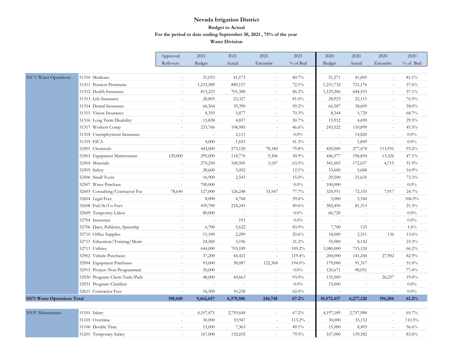|                              |                                 | Approved  | 2021                     | 2021      | 2021                     | 2021     | 2020       | 2020           | 2020                     | 2020     |
|------------------------------|---------------------------------|-----------|--------------------------|-----------|--------------------------|----------|------------|----------------|--------------------------|----------|
|                              |                                 | Rollovers | <b>Budget</b>            | Actual    | Encumbr                  | % of Bud | Budget     | Actual         | Encumbr                  | % of Bud |
|                              |                                 |           |                          |           |                          |          |            |                |                          |          |
| 10171 Water Operations       | 51310 Medicare                  |           | 51,033                   | 41,173    | $\sim$                   | 80.7%    | 51,271     | 41,605         | $\omega$                 | 81.1%    |
|                              | 51311 Pension Premiums          |           | 1,233,589                | 889,157   |                          | 72.1%    | 1,251,732  | 721,176        | $\sim$                   | 57.6%    |
|                              | 51312 Health Insurance          |           | 813,223                  | 701,388   |                          | 86.2%    | 1,129,206  | 644,553        | $\sim$                   | 57.1%    |
|                              | 51313 Life Insurance            | $\sim$    | 28,805                   | 23,327    | $\sim$                   | 81.0%    | 28,923     | 22,115         | $\sim$                   | 76.5%    |
|                              | 51314 Dental Insurance          |           | 66,564                   | 39,390    | $\sim$                   | 59.2%    | 66,587     | 38,609         | $\sim$                   | 58.0%    |
|                              | 51315 Vision Insurance          |           | 8,359                    | 5,877     |                          | 70.3%    | 8,344      | 5,729          | $\mathcal{L}$            | 68.7%    |
|                              | 51316 Long Term Disability      | $\sim$    | 15,838                   | 4,857     | $\sim$                   | 30.7%    | 15,912     | 4,690          | $\sim$                   | 29.5%    |
|                              | 51317 Workers Comp              |           | 233,766                  | 108,985   | $\sim$                   | 46.6%    | 243,522    | 110,899        | $\sim$                   | 45.5%    |
|                              | 51318 Unemployment Insurance    |           | $\overline{a}$           | 2,111     |                          | $0.0\%$  | $\sim$     | 14,820         | $\sim$                   | 0.0%     |
|                              | 51319 FICA                      | $\sim$    | 4,000                    | 1,653     | $\sim$                   | 41.3%    | $\sim$     | 1,849          | $\omega$                 | 0.0%     |
|                              | 52501 Chemicals                 |           | 443,000                  | 275,120   | 78,340                   | 79.8%    | 420,000    | 277,478        | 113,951                  | 93.2%    |
|                              | 52503 Equipment Maintenance     | 120,000   | 295,000                  | 118,776   | 9,306                    | 30.9%    | 446,577    | 196,854        | 13,326                   | 47.1%    |
|                              | 52504 Materials                 | $\sim$    | 270,250                  | 168,505   | 3,187                    | $63.5\%$ | 341,603    | 172,637        | 4,715                    | 51.9%    |
|                              | 52505 Safety                    | $\sim$    | 28,600                   | 3,452     | $\overline{\phantom{a}}$ | $12.1\%$ | 33,600     | 5,688          | $\overline{\phantom{a}}$ | 16.9%    |
|                              | 52506 Small Tools               | $\sim$    | 16,900                   | 2,543     | $\sim$                   | $15.0\%$ | 29,500     | 21,635         | $\sim$                   | 73.3%    |
|                              | 52507 Water Purchase            | $\sim$    | 700,000                  | $\sim$    | $\sim$                   | 0.0%     | 100,000    | $\omega$       | $\omega$                 | 0.0%     |
|                              | 52603 Consulting/Contractor Fee | 78,640    | 127,000                  | 126,248   | 33,547                   | 77.7%    | 324,951    | 72,335         | 7,917                    | 24.7%    |
|                              | 52604 Legal Fees                |           | 8,000                    | 4,768     | $\overline{a}$           | 59.6%    | 5,000      | 5,344          | $\overline{a}$           | 106.9%   |
|                              | 52608 Fed/St/Co Fees            | $\sim$    | 439,700                  | 218,245   | $\sim$                   | 49.6%    | 382,450    | 81,313         | $\sim$                   | 21.3%    |
|                              | 52609 Temporary Labor           | $\sim$    | 80,000                   |           | $\sim$                   | $0.0\%$  | 66,720     | $\sim$         | $\sim$                   | 0.0%     |
|                              | 52704 Insurance                 |           | ÷,                       | 193       | $\sim$                   | 0.0%     |            |                | $\sim$                   | $0.0\%$  |
|                              | 52706 Dues, Publctns, Spnsrshp  | $\sim$    | 6,700                    | 5,622     | $\sim$                   | 83.9%    | 7,700      | 125            | $\omega$                 | 1.6%     |
|                              | 52710 Office Supplies           | $\sim$    | 11,100                   | 2,290     | $\sim$                   | 20.6%    | 18,000     | 2,311          | 136                      | 13.6%    |
|                              | 52711 Education/Training/Meals  |           | 24,500                   | 5,196     | $\sim$                   | 21.2%    | 35,000     | 8,142          | $\sim$                   | 23.3%    |
|                              | 52713 Utilities                 |           | 644,000                  | 703,189   |                          | 109.2%   | 1,080,000  | 715,124        | $\sim$                   | 66.2%    |
|                              | 52902 Vehicle Purchases         | $\sim$    | 37,200                   | 44,421    | $\sim$                   | 119.4%   | 204,000    | 141,244        | 27,902                   | 82.9%    |
|                              | 52904 Equipment Purchases       |           | 93,000                   | 58,087    | 122,368                  | 194.0%   | 179,000    | 91,317         | $\overline{\phantom{a}}$ | 51.0%    |
|                              | 52915 Project: Non-Programmati  |           | 50,000                   |           |                          | 0.0%     | 126,671    | 98,051         | $\overline{a}$           | 77.4%    |
|                              | 52930 Program: Chem Tank/Pads   | $\sim$    | 48,000                   | 44,663    | $\sim$                   | $93.0\%$ | 135,000    | $\overline{a}$ | 26,257                   | 19.4%    |
|                              | 52931 Program: Clarifiers       | $\sim$    | $\overline{\phantom{a}}$ | $\sim$    | $\sim$                   | 0.0%     | 15,000     | $\sim$         | $\sim$                   | 0.0%     |
|                              | 52615 Contractor Fees           |           | 16,500                   | 10,238    |                          | $62.0\%$ |            |                | $\sim$                   | 0.0%     |
| 10171 Water Operations Total |                                 | 198,640   | 9,662,657                | 6,379,506 | 246,748                  | 67.2%    | 10,572,437 | 6,277,120      | 194,204                  | 61.2%    |
|                              |                                 |           |                          |           |                          |          |            |                |                          |          |
| 10191 Maintenance            | 51101 Salary                    |           | 4,107,471                | 2,759,644 |                          | $67.2\%$ | 4,197,189  | 2,757,988      | $\sim$                   | 65.7%    |
|                              | 51105 Overtime                  | $\sim$    | 30,000                   | 33,947    | $\omega$                 | 113.2%   | 30,000     | 33,152         | $\sim$                   | 110.5%   |
|                              | 51106 Double Time               |           | 15,000                   | 7,363     | $\sim$                   | 49.1%    | 15,000     | 8,493          | $\sim$                   | 56.6%    |
|                              | 51201 Temporary Salary          |           | 167,000                  | 132,692   |                          | 79.5%    | 167,000    | 139,582        | $\sim$                   | 83.6%    |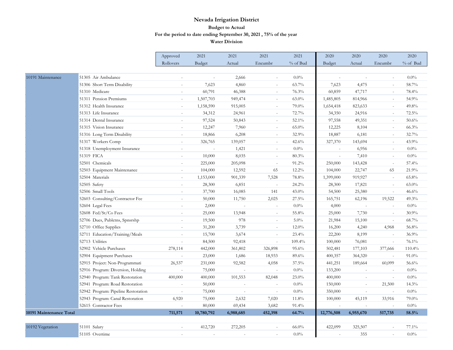|                         |                                     | Approved       | 2021          | 2021      | 2021                     | 2021     | 2020       | 2020      | 2020           | 2020       |
|-------------------------|-------------------------------------|----------------|---------------|-----------|--------------------------|----------|------------|-----------|----------------|------------|
|                         |                                     | Rollovers      | <b>Budget</b> | Actual    | Encumbr                  | % of Bud | Budget     | Actual    | Encumbr        | $%$ of Bud |
|                         |                                     |                |               |           |                          |          |            |           |                |            |
| 10191 Maintenance       | 51305 Air Ambulance                 | $\sim$         | $\sim$        | 2,666     | $\sim$                   | $0.0\%$  | $\sim$     | $\sim$    | $\bar{a}$      | 0.0%       |
|                         | 51306 Short Term Disability         |                | 7,623         | 4,860     | $\sim$                   | 63.7%    | 7,623      | 4,475     | ÷.             | 58.7%      |
|                         | 51310 Medicare                      | $\sim$         | 60,791        | 46,388    | $\sim$                   | 76.3%    | 60,859     | 47,717    |                | 78.4%      |
|                         | 51311 Pension Premiums              | $\sim$         | 1,507,703     | 949,474   | $\sim$                   | $63.0\%$ | 1,485,805  | 814,966   | $\sim$         | 54.9%      |
|                         | 51312 Health Insurance              | $\sim$         | 1,158,590     | 915,005   | $\sim$                   | 79.0%    | 1,654,418  | 823,633   | $\sim$         | 49.8%      |
|                         | 51313 Life Insurance                |                | 34,312        | 24,961    | $\sim$                   | 72.7%    | 34,350     | 24,916    | ä,             | 72.5%      |
|                         | 51314 Dental Insurance              | $\sim$         | 97,524        | 50,843    | $\sim$                   | 52.1%    | 97,558     | 49,351    | $\sim$         | 50.6%      |
|                         | 51315 Vision Insurance              | $\sim$         | 12,247        | 7,960     | $\overline{\phantom{a}}$ | $65.0\%$ | 12,225     | 8,104     | $\omega$       | 66.3%      |
|                         | 51316 Long Term Disability          |                | 18,866        | 6,208     |                          | $32.9\%$ | 18,887     | 6,181     | $\sim$         | 32.7%      |
|                         | 51317 Workers Comp                  | $\sim$         | 326,765       | 139,057   | $\sim$                   | 42.6%    | 327,370    | 143,694   | $\sim$         | 43.9%      |
|                         | 51318 Unemployment Insurance        | $\sim$         | $\sim$        | 1,421     | $\overline{\phantom{a}}$ | $0.0\%$  |            | 6,956     | $\blacksquare$ | $0.0\%$    |
|                         | 51319 FICA                          |                | 10,000        | 8,035     | $\sim$                   | 80.3%    |            | 7,410     | $\sim$         | $0.0\%$    |
|                         | 52501 Chemicals                     | $\sim$         | 225,000       | 205,098   | $\sim$                   | 91.2%    | 250,000    | 143,428   | $\bar{a}$      | 57.4%      |
|                         | 52503 Equipment Maintenance         | $\sim$         | 104,000       | 12,592    | 65                       | $12.2\%$ | 104,000    | 22,747    | 65             | 21.9%      |
|                         | 52504 Materials                     |                | 1,153,000     | 901,339   | 7,528                    | 78.8%    | 1,399,000  | 919,927   | $\sim$         | 65.8%      |
|                         | 52505 Safety                        | $\sim$         | 28,300        | 6,851     | $\sim$                   | 24.2%    | 28,300     | 17,821    | $\omega$       | $63.0\%$   |
|                         | 52506 Small Tools                   | $\sim$         | 37,700        | 16,085    | 141                      | 43.0%    | 54,500     | 25,380    | $\omega$       | 46.6%      |
|                         | 52603 Consulting/Contractor Fee     |                | 50,000        | 11,750    | 2,025                    | 27.5%    | 165,751    | 62,196    | 19,522         | 49.3%      |
|                         | 52604 Legal Fees                    | $\sim$         | 2,000         | $\sim$    | $\sim$                   | 0.0%     | 4,000      | $\sim$    | $\mathcal{L}$  | $0.0\%$    |
|                         | 52608 Fed/St/Co Fees                | $\bar{a}$      | 25,000        | 13,948    | $\sim$                   | 55.8%    | 25,000     | 7,730     | $\sim$         | 30.9%      |
|                         | 52706 Dues, Publctns, Spnsrshp      | $\sim$         | 19,500        | 978       | $\sim$                   | 5.0%     | 21,984     | 15,100    | $\sim$         | 68.7%      |
|                         | 52710 Office Supplies               | $\overline{a}$ | 31,200        | 3,739     | $\overline{a}$           | $12.0\%$ | 16,200     | 4,240     | 4,968          | 56.8%      |
|                         | 52711 Education/Training/Meals      | $\sim$         | 15,700        | 3,674     | $\sim$                   | $23.4\%$ | 22,200     | 8,199     | $\sim$         | 36.9%      |
|                         | 52713 Utilities                     |                | 84,500        | 92,418    | $\sim$                   | 109.4%   | 100,000    | 76,081    | $\omega$       | 76.1%      |
|                         | 52902 Vehicle Purchases             | 278,114        | 442,000       | 361,802   | 326,898                  | 95.6%    | 502,481    | 177,103   | 377,666        | 110.4%     |
|                         | 52904 Equipment Purchases           | $\sim$         | 23,000        | 1,686     | 18,933                   | 89.6%    | 400,357    | 364,320   | $\sim$         | $91.0\%$   |
|                         | 52915 Project: Non-Programmati      | 26,537         | 231,000       | 92,582    | 4,058                    | 37.5%    | 441,251    | 189,664   | 60,099         | 56.6%      |
|                         | 52916 Program: Diversion, Holding   |                | 75,000        |           |                          | $0.0\%$  | 133,200    |           |                | $0.0\%$    |
|                         | 52940 Program: Tank Restoration     | 400,000        | 400,000       | 101,553   | 82,048                   | $23.0\%$ | 400,000    | $\sim$    | $\omega$       | $0.0\%$    |
|                         | 52941 Program: Road Restoration     | $\sim$         | 50,000        | $\sim$    | $\sim$                   | $0.0\%$  | 150,000    | $\omega$  | 21,500         | 14.3%      |
|                         | 52942 Program: Pipeline Restoration | ÷,             | 75,000        |           | $\sim$                   | $0.0\%$  | 350,000    | $\sim$    | $\overline{a}$ | 0.0%       |
|                         | 52943 Program: Canal Restoration    | 6,920          | 75,000        | 2,632     | 7,020                    | 11.8%    | 100,000    | 45,119    | 33,916         | 79.0%      |
|                         | 52615 Contractor Fees               |                | 80,000        | 69,434    | 3,682                    | 91.4%    |            |           | $\sim$         | $0.0\%$    |
| 10191 Maintenance Total |                                     | 711,571        | 10,780,792    | 6,988,685 | 452,398                  | 64.7%    | 12,776,508 | 6,955,670 | 517,735        | 58.5%      |
|                         |                                     |                |               |           |                          |          |            |           |                |            |
| 10192 Vegetation        | 51101 Salary                        | $\sim$         | 412,720       | 272,205   | $\overline{\phantom{a}}$ | $66.0\%$ | 422,099    | 325,507   | $\sim$         | 77.1%      |
|                         | 51105 Overtime                      |                |               |           |                          | $0.0\%$  |            | 355       |                | 0.0%       |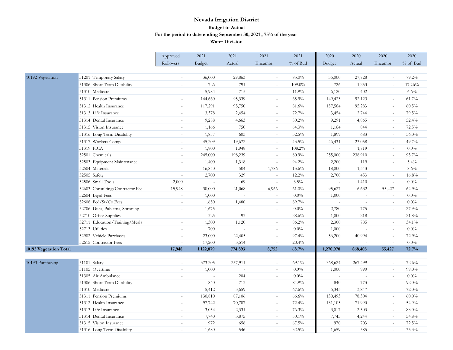| Rollovers<br>% of Bud<br>% of Bud<br>Budget<br>Actual<br>Encumbr<br>Budget<br>Actual<br>Encumbr<br>10192 Vegetation<br>51201 Temporary Salary<br>36,000<br>83.0%<br>35,000<br>27,728<br>79.2%<br>29,863<br>$\sim$<br>$\sim$<br>51306 Short Term Disability<br>726<br>791<br>109.0%<br>726<br>172.6%<br>1,253<br>$\sim$<br>$\sim$<br>51310 Medicare<br>5,984<br>715<br>11.9%<br>6,120<br>402<br>6.6%<br>$\sim$<br>$\sim$<br>$\sim$<br>51311 Pension Premiums<br>65.9%<br>61.7%<br>144,660<br>95,339<br>149,423<br>92,123<br>$\sim$<br>$\sim$<br>$\sim$<br>51312 Health Insurance<br>60.5%<br>117,291<br>95,750<br>81.6%<br>157,564<br>95,283<br>$\overline{\phantom{a}}$<br>$\sim$ |                      | Approved | 2021  | 2021  | 2021 | 2021  | 2020  | 2020  | 2020 | 2020  |
|-----------------------------------------------------------------------------------------------------------------------------------------------------------------------------------------------------------------------------------------------------------------------------------------------------------------------------------------------------------------------------------------------------------------------------------------------------------------------------------------------------------------------------------------------------------------------------------------------------------------------------------------------------------------------------------|----------------------|----------|-------|-------|------|-------|-------|-------|------|-------|
|                                                                                                                                                                                                                                                                                                                                                                                                                                                                                                                                                                                                                                                                                   |                      |          |       |       |      |       |       |       |      |       |
|                                                                                                                                                                                                                                                                                                                                                                                                                                                                                                                                                                                                                                                                                   |                      |          |       |       |      |       |       |       |      |       |
|                                                                                                                                                                                                                                                                                                                                                                                                                                                                                                                                                                                                                                                                                   |                      |          |       |       |      |       |       |       |      |       |
|                                                                                                                                                                                                                                                                                                                                                                                                                                                                                                                                                                                                                                                                                   |                      |          |       |       |      |       |       |       |      |       |
|                                                                                                                                                                                                                                                                                                                                                                                                                                                                                                                                                                                                                                                                                   |                      |          |       |       |      |       |       |       |      |       |
|                                                                                                                                                                                                                                                                                                                                                                                                                                                                                                                                                                                                                                                                                   |                      |          |       |       |      |       |       |       |      |       |
|                                                                                                                                                                                                                                                                                                                                                                                                                                                                                                                                                                                                                                                                                   |                      |          |       |       |      |       |       |       |      |       |
| $\sim$<br>$\sim$                                                                                                                                                                                                                                                                                                                                                                                                                                                                                                                                                                                                                                                                  | 51313 Life Insurance |          | 3,378 | 2,454 |      | 72.7% | 3,454 | 2,744 |      | 79.5% |
| 51314 Dental Insurance<br>4,663<br>$50.2\%$<br>9,291<br>52.4%<br>9,288<br>4,865<br>$\overline{a}$<br>$\overline{a}$                                                                                                                                                                                                                                                                                                                                                                                                                                                                                                                                                               |                      |          |       |       |      |       |       |       |      |       |
| 51315 Vision Insurance<br>750<br>64.3%<br>844<br>72.5%<br>1,166<br>1,164<br>$\sim$<br>$\sim$<br>$\sim$                                                                                                                                                                                                                                                                                                                                                                                                                                                                                                                                                                            |                      |          |       |       |      |       |       |       |      |       |
| 51316 Long Term Disability<br>1,857<br>603<br>32.5%<br>1,899<br>683<br>36.0%<br>$\omega$<br>$\omega$<br>$\sim$                                                                                                                                                                                                                                                                                                                                                                                                                                                                                                                                                                    |                      |          |       |       |      |       |       |       |      |       |
| 51317 Workers Comp<br>19,672<br>43.5%<br>49.7%<br>45,209<br>46,431<br>23,058<br>$\sim$<br>$\overline{\phantom{a}}$<br>$\sim$                                                                                                                                                                                                                                                                                                                                                                                                                                                                                                                                                      |                      |          |       |       |      |       |       |       |      |       |
| 51319 FICA<br>1,948<br>$0.0\%$<br>108.2%<br>1,719<br>1,800<br>$\overline{a}$<br>$\overline{a}$                                                                                                                                                                                                                                                                                                                                                                                                                                                                                                                                                                                    |                      |          |       |       |      |       |       |       |      |       |
| 52501 Chemicals<br>198,239<br>80.9%<br>255,000<br>93.7%<br>245,000<br>238,910<br>$\sim$<br>$\sim$<br>$\sim$                                                                                                                                                                                                                                                                                                                                                                                                                                                                                                                                                                       |                      |          |       |       |      |       |       |       |      |       |
| 52503 Equipment Maintenance<br>1,400<br>1,318<br>94.2%<br>2,200<br>119<br>$5.4\%$<br>$\sim$<br>$\sim$                                                                                                                                                                                                                                                                                                                                                                                                                                                                                                                                                                             |                      |          |       |       |      |       |       |       |      |       |
| 52504 Materials<br>16,850<br>504<br>1,786<br>13.6%<br>18,000<br>1,543<br>8.6%<br>$\overline{\phantom{a}}$<br>$\sim$                                                                                                                                                                                                                                                                                                                                                                                                                                                                                                                                                               |                      |          |       |       |      |       |       |       |      |       |
| 52505 Safety<br>2,700<br>329<br>12.2%<br>2,700<br>453<br>16.8%<br>$\sim$<br>$\omega$<br>$\sim$                                                                                                                                                                                                                                                                                                                                                                                                                                                                                                                                                                                    |                      |          |       |       |      |       |       |       |      |       |
| 52506 Small Tools<br>2,000<br>69<br>3.5%<br>$0.0\%$<br>1,410<br>L.<br>$\mathbf{r}$<br>$\sim$                                                                                                                                                                                                                                                                                                                                                                                                                                                                                                                                                                                      |                      |          |       |       |      |       |       |       |      |       |
| 52603 Consulting/Contractor Fee<br>15,948<br>30,000<br>21,068<br>$61.0\%$<br>95,627<br>6,632<br>55,427<br>64.9%<br>6,966                                                                                                                                                                                                                                                                                                                                                                                                                                                                                                                                                          |                      |          |       |       |      |       |       |       |      |       |
| 52604 Legal Fees<br>$0.0\%$<br>$0.0\%$<br>1,000<br>1,000<br>$\omega$<br>$\overline{a}$<br>$\sim$<br>$\sim$                                                                                                                                                                                                                                                                                                                                                                                                                                                                                                                                                                        |                      |          |       |       |      |       |       |       |      |       |
| 52608 Fed/St/Co Fees<br>89.7%<br>$0.0\%$<br>1,650<br>1,480<br>$\sim$<br>$\sim$<br>$\sim$<br>$\sim$<br>$\sim$                                                                                                                                                                                                                                                                                                                                                                                                                                                                                                                                                                      |                      |          |       |       |      |       |       |       |      |       |
| 52706 Dues, Publctns, Spnsrshp<br>1,675<br>$0.0\%$<br>2,780<br>775<br>27.9%<br>$\sim$<br>$\sim$<br>$\overline{\phantom{a}}$<br>$\sim$                                                                                                                                                                                                                                                                                                                                                                                                                                                                                                                                             |                      |          |       |       |      |       |       |       |      |       |
| 52710 Office Supplies<br>325<br>93<br>28.6%<br>1,000<br>218<br>21.8%<br>$\mathcal{L}$<br>$\sim$                                                                                                                                                                                                                                                                                                                                                                                                                                                                                                                                                                                   |                      |          |       |       |      |       |       |       |      |       |
| 52711 Education/Training/Meals<br>1,120<br>86.2%<br>2,300<br>1,300<br>785<br>34.1%<br>$\sim$<br>$\sim$<br>$\sim$                                                                                                                                                                                                                                                                                                                                                                                                                                                                                                                                                                  |                      |          |       |       |      |       |       |       |      |       |
| 52713 Utilities<br>$0.0\%$<br>700<br>$0.0\%$<br>1,000<br>$\sim$<br>$\sim$                                                                                                                                                                                                                                                                                                                                                                                                                                                                                                                                                                                                         |                      |          |       |       |      |       |       |       |      |       |
| 52902 Vehicle Purchases<br>23,000<br>22,405<br>97.4%<br>56,200<br>40,994<br>72.9%<br>$\sim$<br>$\overline{a}$<br>$\overline{a}$                                                                                                                                                                                                                                                                                                                                                                                                                                                                                                                                                   |                      |          |       |       |      |       |       |       |      |       |
| 3,514<br>$0.0\%$<br>52615 Contractor Fees<br>17,200<br>20.4%<br>$\sim$<br>$\sim$<br>$\sim$                                                                                                                                                                                                                                                                                                                                                                                                                                                                                                                                                                                        |                      |          |       |       |      |       |       |       |      |       |
| 1,122,879<br>72.7%<br>10192 Vegetation Total<br>17,948<br>774,893<br>8,752<br>68.7%<br>1,270,978<br>868,405<br>55,427                                                                                                                                                                                                                                                                                                                                                                                                                                                                                                                                                             |                      |          |       |       |      |       |       |       |      |       |
|                                                                                                                                                                                                                                                                                                                                                                                                                                                                                                                                                                                                                                                                                   |                      |          |       |       |      |       |       |       |      |       |
| 10193 Purchasing<br>51101 Salary<br>373,205<br>257,911<br>$69.1\%$<br>72.6%<br>368,624<br>267,499<br>$\sim$<br>$\sim$                                                                                                                                                                                                                                                                                                                                                                                                                                                                                                                                                             |                      |          |       |       |      |       |       |       |      |       |
| $0.0\%$<br>99.0%<br>51105 Overtime<br>1,000<br>1,000<br>990<br>$\sim$<br>$\sim$<br>$\sim$<br>$\sim$                                                                                                                                                                                                                                                                                                                                                                                                                                                                                                                                                                               |                      |          |       |       |      |       |       |       |      |       |
| 51305 Air Ambulance<br>204<br>$0.0\%$<br>$0.0\%$<br>÷,<br>$\sim$<br>$\sim$<br>$\sim$<br>$\overline{a}$                                                                                                                                                                                                                                                                                                                                                                                                                                                                                                                                                                            |                      |          |       |       |      |       |       |       |      |       |
| 51306 Short Term Disability<br>713<br>84.9%<br>92.0%<br>840<br>840<br>773<br>$\omega$<br>$\overline{a}$<br>$\sim$                                                                                                                                                                                                                                                                                                                                                                                                                                                                                                                                                                 |                      |          |       |       |      |       |       |       |      |       |
| 51310 Medicare<br>72.0%<br>5,412<br>3,659<br>67.6%<br>5,345<br>3,847<br>$\sim$<br>$\equiv$<br>$\sim$                                                                                                                                                                                                                                                                                                                                                                                                                                                                                                                                                                              |                      |          |       |       |      |       |       |       |      |       |
| 51311 Pension Premiums<br>130,810<br>87,106<br>66.6%<br>130,493<br>78,304<br>$60.0\%$<br>$\sim$<br>$\sim$<br>51312 Health Insurance<br>72.4%<br>54.9%                                                                                                                                                                                                                                                                                                                                                                                                                                                                                                                             |                      |          |       |       |      |       |       |       |      |       |
| 97,742<br>71,990<br>70,787<br>131,105<br>$\sim$<br>$\sim$<br>$\overline{\phantom{a}}$<br>76.3%<br>83.0%<br>51313 Life Insurance<br>$\sim$<br>$\sim$<br>$\sim$                                                                                                                                                                                                                                                                                                                                                                                                                                                                                                                     |                      |          |       |       |      |       |       |       |      |       |
| 3,054<br>2,331<br>3,017<br>2,503<br>51314 Dental Insurance<br>7,740<br>$50.1\%$<br>7,743<br>54.8%<br>3,875<br>4,244<br>$\sim$<br>$\overline{a}$<br>$\sim$                                                                                                                                                                                                                                                                                                                                                                                                                                                                                                                         |                      |          |       |       |      |       |       |       |      |       |
| 656<br>$67.5\%$<br>970<br>703<br>72.5%<br>51315 Vision Insurance<br>972<br>$\sim$<br>$\sim$                                                                                                                                                                                                                                                                                                                                                                                                                                                                                                                                                                                       |                      |          |       |       |      |       |       |       |      |       |
| 1,680<br>546<br>32.5%<br>1,659<br>585<br>35.3%<br>51316 Long Term Disability<br>$\sim$<br>$\overline{a}$                                                                                                                                                                                                                                                                                                                                                                                                                                                                                                                                                                          |                      |          |       |       |      |       |       |       |      |       |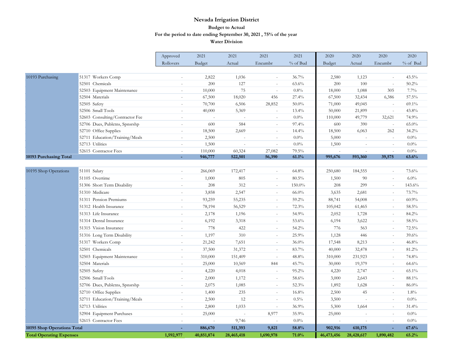|                                 |                                 | Approved                 | 2021       | 2021       | 2021                     | 2021     | 2020           | 2020       | 2020                     | 2020     |
|---------------------------------|---------------------------------|--------------------------|------------|------------|--------------------------|----------|----------------|------------|--------------------------|----------|
|                                 |                                 | Rollovers                | Budget     | Actual     | Encumbr                  | % of Bud | Budget         | Actual     | Encumbr                  | % of Bud |
|                                 |                                 |                          |            |            |                          |          |                |            |                          |          |
| 10193 Purchasing                | 51317 Workers Comp              | $\bar{a}$                | 2,822      | 1,036      | $\sim$                   | 36.7%    | 2,580          | 1,123      | ä,                       | 43.5%    |
|                                 | 52501 Chemicals                 | $\equiv$                 | 200        | 127        | $\sim$                   | 63.6%    | 200            | 100        | $\sim$                   | 50.2%    |
|                                 | 52503 Equipment Maintenance     | $\sim$                   | 10,000     | 75         |                          | $0.8\%$  | 18,000         | 1,088      | 305                      | 7.7%     |
|                                 | 52504 Materials                 | $\sim$                   | 67,500     | 18,020     | 456                      | 27.4%    | 67,500         | 32,434     | 6,386                    | 57.5%    |
|                                 | 52505 Safety                    |                          | 70,700     | 6,506      | 28,852                   | $50.0\%$ | 71,000         | 49,045     | ä,                       | 69.1%    |
|                                 | 52506 Small Tools               | ÷.                       | 40,000     | 5,369      | $\bar{a}$                | 13.4%    | 50,000         | 21,899     | $\sim$                   | 43.8%    |
|                                 | 52603 Consulting/Contractor Fee |                          |            |            | $\sim$                   | $0.0\%$  | 110,000        | 49,779     | 32,621                   | 74.9%    |
|                                 | 52706 Dues, Publctns, Spnsrshp  | $\omega$                 | 600        | 584        | $\sim$                   | 97.4%    | 600            | 390        | $\omega$                 | $65.0\%$ |
|                                 | 52710 Office Supplies           |                          | 18,500     | 2,669      | $\sim$                   | 14.4%    | 18,500         | 6,063      | 262                      | 34.2%    |
|                                 | 52711 Education/Training/Meals  | ÷                        | 2,500      | $\sim$     | $\overline{a}$           | 0.0%     | 5,000          | $\sim$     | $\sim$                   | $0.0\%$  |
|                                 | 52713 Utilities                 | L.                       | 1,500      |            | $\sim$                   | 0.0%     | 1,500          | ÷.         | $\sim$                   | $0.0\%$  |
|                                 | 52615 Contractor Fees           | $\overline{a}$           | 110,000    | 60,324     | 27,082                   | 79.5%    | $\overline{a}$ | $\sim$     | $\omega$                 | 0.0%     |
| 10193 Purchasing Total          |                                 |                          | 946,777    | 522,501    | 56,390                   | 61.1%    | 995,676        | 593,360    | 39,575                   | 63.6%    |
|                                 |                                 |                          |            |            |                          |          |                |            |                          |          |
| 10195 Shop Operations           | 51101 Salary                    |                          | 266,069    | 172,417    | $\sim$                   | 64.8%    | 250,680        | 184,555    | $\sim$                   | 73.6%    |
|                                 | 51105 Overtime                  | $\sim$                   | 1,000      | 805        | $\sim$                   | 80.5%    | 1,500          | 90         | $\bar{a}$                | 6.0%     |
|                                 | 51306 Short Term Disability     | $\bar{a}$                | 208        | 312        | $\sim$                   | 150.0%   | 208            | 299        | $\sim$                   | 143.6%   |
|                                 | 51310 Medicare                  | $\equiv$                 | 3,858      | 2,547      | $\sim$                   | $66.0\%$ | 3,635          | 2,681      | $\overline{\phantom{a}}$ | 73.7%    |
|                                 | 51311 Pension Premiums          |                          | 93,259     | 55,235     | $\sim$                   | 59.2%    | 88,741         | 54,008     | $\sim$                   | 60.9%    |
|                                 | 51312 Health Insurance          | L.                       | 78,194     | 56,529     | $\sim$                   | 72.3%    | 105,042        | 61,465     | $\blacksquare$           | 58.5%    |
|                                 | 51313 Life Insurance            | $\bar{a}$                | 2,178      | 1,196      | $\sim$                   | 54.9%    | 2,052          | 1,728      | $\omega$                 | 84.2%    |
|                                 | 51314 Dental Insurance          | $\overline{\phantom{a}}$ | 6,192      | 3,318      | $\sim$                   | 53.6%    | 6,194          | 3,622      | $\sim$                   | 58.5%    |
|                                 | 51315 Vision Insurance          | $\overline{a}$           | 778        | 422        | $\sim$                   | 54.2%    | 776            | 563        | $\sim$                   | 72.5%    |
|                                 | 51316 Long Term Disability      | $\sim$                   | 1,197      | 310        | $\sim$                   | 25.9%    | 1,128          | 446        | $\sim$                   | 39.6%    |
|                                 | 51317 Workers Comp              | $\sim$                   | 21,242     | 7,651      | $\sim$                   | $36.0\%$ | 17,548         | 8,213      | $\omega$                 | 46.8%    |
|                                 | 52501 Chemicals                 |                          | 37,500     | 31,372     | $\sim$                   | 83.7%    | 40,000         | 32,478     | $\sim$                   | 81.2%    |
|                                 | 52503 Equipment Maintenance     | L.                       | 310,000    | 151,409    | $\overline{\phantom{a}}$ | 48.8%    | 310,000        | 231,923    | $\omega$                 | 74.8%    |
|                                 | 52504 Materials                 | $\overline{\phantom{a}}$ | 25,000     | 10,569     | 844                      | 45.7%    | 30,000         | 19,379     | $\sim$                   | 64.6%    |
|                                 | 52505 Safety                    |                          | 4,220      | 4,018      | $\equiv$                 | 95.2%    | 4,220          | 2,747      | $\overline{\phantom{a}}$ | 65.1%    |
|                                 | 52506 Small Tools               |                          | 2,000      | 1,172      | $\overline{a}$           | 58.6%    | 3,000          | 2,643      | $\sim$                   | 88.1%    |
|                                 | 52706 Dues, Publctns, Spnsrshp  | $\sim$                   | 2,075      | 1,085      | $\sim$                   | 52.3%    | 1,892          | 1,628      | $\sim$                   | 86.0%    |
|                                 | 52710 Office Supplies           | $\sim$                   | 1,400      | 235        | $\sim$                   | 16.8%    | 2,500          | 45         | $\overline{\phantom{a}}$ | 1.8%     |
|                                 |                                 |                          |            |            |                          |          |                |            |                          |          |
|                                 | 52711 Education/Training/Meals  | $\sim$                   | 2,500      | 12         | $\sim$                   | 0.5%     | 3,500          | $\sim$     | $\bar{a}$                | 0.0%     |
|                                 | 52713 Utilities                 |                          | 2,800      | 1,033      | $\sim$                   | 36.9%    | 5,300          | 1,664      | $\sim$                   | 31.4%    |
|                                 | 52904 Equipment Purchases       | $\sim$                   | 25,000     | $\sim$     | 8,977                    | 35.9%    | 25,000         | $\sim$     | $\sim$                   | $0.0\%$  |
|                                 | 52615 Contractor Fees           |                          |            | 9,746      | $\overline{\phantom{a}}$ | $0.0\%$  |                | $\sim$     | $\sim$                   | $0.0\%$  |
| 10195 Shop Operations Total     |                                 |                          | 886,670    | 511,393    | 9,821                    | 58.8%    | 902,916        | 610,175    |                          | 67.6%    |
| <b>Total Operating Expenses</b> |                                 | 1,592,977                | 40,851,874 | 28,465,418 | 1,690,978                | 71.0%    | 46,473,456     | 28,428,617 | 1,890,482                | 65.2%    |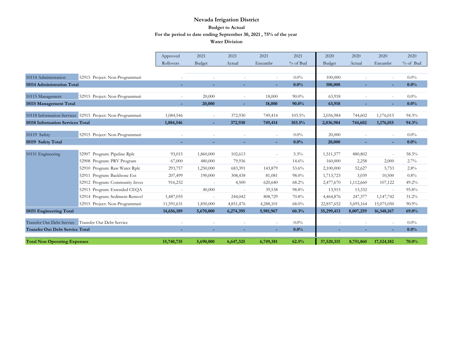|                                         |                                                           | Approved         | 2021                     | 2021                     | 2021      | 2021     | 2020       | 2020      | 2020       | 2020       |
|-----------------------------------------|-----------------------------------------------------------|------------------|--------------------------|--------------------------|-----------|----------|------------|-----------|------------|------------|
|                                         |                                                           | <b>Rollovers</b> | Budget                   | Actual                   | Encumbr   | % of Bud | Budget     | Actual    | Encumbr    | $%$ of Bud |
|                                         |                                                           |                  |                          |                          |           |          |            |           |            |            |
| 10114 Administration                    | 52915 Project: Non-Programmati                            |                  |                          |                          |           | $0.0\%$  | 100,000    |           |            | $0.0\%$    |
| 10114 Administration Total              |                                                           |                  |                          |                          | ٠         | 0.0%     | 100,000    |           | ٠          | $0.0\%$    |
|                                         |                                                           |                  |                          |                          |           |          |            |           |            |            |
| 10115 Management                        | 52915 Project: Non-Programmati                            |                  | 20,000                   |                          | 18,000    | $90.0\%$ | 63,918     |           |            | $0.0\%$    |
| 10115 Management Total                  |                                                           |                  | 20,000                   |                          | 18,000    | 90.0%    | 63,918     |           |            | 0.0%       |
|                                         | 10118 Information Services 52915 Project: Non-Programmati | 1,084,546        |                          | 372,930                  | 749,414   | 103.5%   | 2,036,984  | 744,602   | 1,176,015  | 94.3%      |
| <b>10118 Information Services Total</b> |                                                           | 1,084,546        |                          | 372,930                  | 749,414   | 103.5%   | 2,036,984  | 744,602   | 1,176,015  | 94.3%      |
|                                         |                                                           |                  |                          |                          |           |          |            |           |            |            |
| 10119 Safety                            | 52915 Project: Non-Programmati                            |                  |                          |                          |           | $0.0\%$  | 20,000     |           | $\sim$     | $0.0\%$    |
| 10119 Safety Total                      |                                                           |                  |                          |                          |           | 0.0%     | 20,000     |           | ÷.         | 0.0%       |
| 10151 Engineering                       | 52907 Program: Pipeline Rplc                              | 93,015           | 1,860,000                | 102,613                  |           | 5.3%     | 1,511,577  | 880,802   |            | 58.3%      |
|                                         | 52908 Program: PRV Program                                | 67,000           | 480,000                  | 79,936                   |           | 14.6%    | 160,000    | 2,258     | 2,000      | 2.7%       |
|                                         |                                                           |                  |                          |                          | $\sim$    |          |            |           |            |            |
|                                         | Program: Raw Water Rplc<br>52910                          | 293,757          | 1,250,000                | 683,391                  | 143,879   | 53.6%    | 2,100,000  | 52,627    | 5,753      | 2.8%       |
|                                         | Program: Backbone Ext<br>52911                            | 207,499          | 190,000                  | 308,438                  | 81,081    | 98.0%    | 1,713,723  | 3,039     | 10,500     | 0.8%       |
|                                         | 52912 Program: Community Inves                            | 916,232          |                          | 4,500                    | 620,640   | 68.2%    | 2,477,670  | 1,112,660 | 107,122    | 49.2%      |
|                                         | 52913 Program: Extended CEQA                              | $\sim$           | 40,000                   | $\overline{\phantom{a}}$ | 39,538    | 98.8%    | 13,915     | 13,332    | $\sim$     | 95.8%      |
|                                         | Program: Sediment Removl<br>52914                         | 1,487,055        | $\overline{\phantom{a}}$ | 244,042                  | 808,729   | 70.8%    | 4,464,876  | 247,377   | 1,147,742  | 31.2%      |
|                                         | 52915 Project: Non-Programmati                            | 11,591,631       | 1,850,000                | 4,851,476                | 4,288,101 | $68.0\%$ | 22,857,652 | 5,695,164 | 15,075,050 | 90.9%      |
| 10151 Engineering Total                 |                                                           | 14,656,189       | 5,670,000                | 6,274,395                | 5,981,967 | 60.3%    | 35,299,413 | 8,007,259 | 16,348,167 | 69.0%      |
|                                         | Transfer Out Debt Service Transfer Out Debt Service       |                  |                          |                          |           | 0.0%     |            |           |            | $0.0\%$    |
| <b>Transfer Out Debt Service Total</b>  |                                                           |                  |                          |                          |           | $0.0\%$  |            |           |            | $0.0\%$    |
| <b>Total Non Operating Expenses</b>     |                                                           | 15,740,735       | 5,690,000                | 6,647,325                | 6,749,381 | 62.5%    | 37,520,315 | 8,751,860 | 17,524,182 | 70.0%      |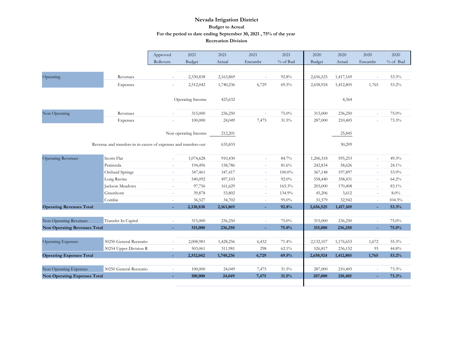|                                     |                                                                  | Approved                 | 2021                 | 2021      | 2021                     | 2021      | 2020          | 2020      | 2020                     | 2020     |
|-------------------------------------|------------------------------------------------------------------|--------------------------|----------------------|-----------|--------------------------|-----------|---------------|-----------|--------------------------|----------|
|                                     |                                                                  | Rollovers                | <b>Budget</b>        | Actual    | Encumbr                  | % of Bud  | <b>Budget</b> | Actual    | Encumbr                  | % of Bud |
|                                     |                                                                  |                          |                      |           |                          |           |               |           |                          |          |
| Operating                           | Revenues                                                         | ×.                       | 2,330,838            | 2,163,869 | $\sim$                   | 92.8%     | 2,656,525     | 1,417,169 | ÷.                       | 53.3%    |
|                                     | Expenses                                                         | $\overline{\phantom{a}}$ | 2,512,042            | 1,740,236 | 6,729                    | 69.5%     | 2,658,924     | 1,412,805 | 1,765                    | 53.2%    |
|                                     |                                                                  |                          |                      |           |                          |           |               |           |                          |          |
|                                     |                                                                  |                          | Operating Income     | 423,632   |                          |           |               | 4,364     |                          |          |
|                                     |                                                                  |                          |                      |           |                          |           |               |           |                          |          |
| Non Operating                       | Revenues                                                         | $\sim$                   | 315,000              | 236,250   | ٠                        | 75.0%     | 315,000       | 236,250   | $\sim$                   | 75.0%    |
|                                     | Expenses                                                         |                          | 100,000              | 24,049    | 7,475                    | 31.5%     | 287,000       | 210,405   |                          | 73.3%    |
|                                     |                                                                  |                          |                      |           |                          |           |               |           |                          |          |
|                                     |                                                                  |                          | Non operating Income | 212,201   |                          |           |               | 25,845    |                          |          |
|                                     | Revenue and transfers-in in excess of expenses and transfers-out |                          |                      | 635,833   |                          |           |               | 30,209    |                          |          |
|                                     |                                                                  |                          |                      |           |                          |           |               |           |                          |          |
| <b>Operating Revenues</b>           | Scotts Flat                                                      | ×.                       | 1,074,628            | 910,430   | ٠                        | 84.7%     | 1,206,318     | 595,253   | ×.                       | 49.3%    |
|                                     | Peninsula                                                        | $\sim$                   | 194,496              | 158,786   | $\overline{\phantom{a}}$ | 81.6%     | 242,834       | 58,626    | $\sim$                   | 24.1%    |
|                                     | Orchard Springs                                                  | $\sim$                   | 347,461              | 347,417   | ÷.                       | $100.0\%$ | 367,148       | 197,897   | ×.                       | 53.9%    |
|                                     | Long Ravine                                                      | ×.                       | 540,092              | 497,103   | $\sim$                   | $92.0\%$  | 558,440       | 358,431   | $\sim$                   | 64.2%    |
|                                     | Jackson Meadows                                                  | ×.                       | 97,756               | 161,629   | $\sim$                   | 165.3%    | 205,000       | 170,408   | ×.                       | 83.1%    |
|                                     | Greenhorn                                                        | $\sim$                   | 39,878               | 53,802    | $\overline{\phantom{a}}$ | 134.9%    | 45,206        | 3,612     | $\overline{\phantom{a}}$ | 8.0%     |
|                                     | Combie                                                           | $\sim$                   | 36,527               | 34,702    | $\overline{\phantom{a}}$ | 95.0%     | 31,579        | 32,942    | $\sim$                   | 104.3%   |
| <b>Operating Revenues Total</b>     |                                                                  | ÷.                       | 2,330,838            | 2,163,869 | ÷                        | 92.8%     | 2,656,525     | 1,417,169 | ÷                        | 53.3%    |
|                                     |                                                                  |                          |                      |           |                          |           |               |           |                          |          |
| Non Operating Revenues              | Transfer In Capital                                              | $\sim$                   | 315,000              | 236,250   | ÷,                       | 75.0%     | 315,000       | 236,250   | $\sim$                   | 75.0%    |
| <b>Non Operating Revenues Total</b> |                                                                  | $\sim$                   | 315,000              | 236,250   | L                        | 75.0%     | 315,000       | 236,250   | ÷                        | 75.0%    |
|                                     |                                                                  |                          |                      |           |                          |           |               |           |                          |          |
| <b>Operating Expenses</b>           | 30250 General Recreatio                                          | ×.                       | 2,008,981            | 1,428,256 | 6,432                    | 71.4%     | 2,132,107     | 1,176,653 | 1,672                    | 55.3%    |
|                                     | 30254 Upper Division R                                           | ×.                       | 503,061              | 311,981   | 298                      | 62.1%     | 526,817       | 236,152   | 93                       | 44.8%    |
| <b>Operating Expenses Total</b>     |                                                                  | ÷                        | 2,512,042            | 1,740,236 | 6,729                    | 69.5%     | 2,658,924     | 1,412,805 | 1,765                    | 53.2%    |
| Non Operating Expenses              | 30250 General Recreatio                                          |                          | 100,000              | 24,049    | 7,475                    | 31.5%     | 287,000       | 210,405   | $\sim$                   | 73.3%    |
| <b>Non Operating Expenses Total</b> |                                                                  | $\sim$<br>÷              | 100,000              | 24,049    | 7,475                    | 31.5%     | 287,000       | 210,405   |                          | 73.3%    |
|                                     |                                                                  |                          |                      |           |                          |           |               |           |                          |          |
|                                     |                                                                  |                          |                      |           |                          |           |               |           |                          |          |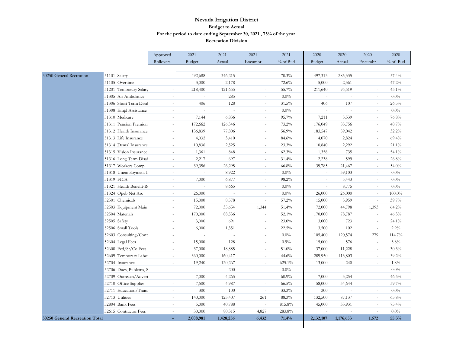|                                |                         | Approved                 | 2021                     | 2021                     | 2021                     | 2021     | 2020      | 2020                     | 2020                     | 2020     |
|--------------------------------|-------------------------|--------------------------|--------------------------|--------------------------|--------------------------|----------|-----------|--------------------------|--------------------------|----------|
|                                |                         | Rollovers                | Budget                   | Actual                   | Encumbr                  | % of Bud | Budget    | Actual                   | Encumbr                  | % of Bud |
|                                |                         |                          |                          |                          |                          |          |           |                          |                          |          |
| 30250 General Recreation       | 51101 Salary            | $\sim$                   | 492,688                  | 346,215                  | ä,                       | 70.3%    | 497,313   | 285,335                  | ÷.                       | 57.4%    |
|                                | 51105 Overtime          | $\overline{\phantom{a}}$ | 3,000                    | 2,178                    | $\overline{\phantom{a}}$ | 72.6%    | 5,000     | 2,361                    | $\overline{\phantom{a}}$ | 47.2%    |
|                                | 51201 Temporary Salary  | $\sim$                   | 218,400                  | 121,655                  |                          | 55.7%    | 211,640   | 95,519                   | ×.                       | 45.1%    |
|                                | 51305 Air Ambulance     |                          | J.                       | 285                      |                          | $0.0\%$  |           |                          |                          | $0.0\%$  |
|                                | 51306 Short Term Disal  | $\sim$                   | 406                      | 128                      | $\sim$                   | 31.5%    | 406       | 107                      | $\sim$                   | 26.5%    |
|                                | 51308 Empl Assistance   | $\sim$                   | $\sim$                   | $\sim$                   | $\sim$                   | $0.0\%$  | $\sim$    | $\overline{\phantom{a}}$ | $\sim$                   | $0.0\%$  |
|                                | 51310 Medicare          | $\sim$                   | 7,144                    | 6,836                    | ÷                        | 95.7%    | 7,211     | 5,539                    | ÷.                       | 76.8%    |
|                                | 51311 Pension Premiun   | $\sim$                   | 172,662                  | 126,346                  |                          | 73.2%    | 176,049   | 85,756                   |                          | 48.7%    |
|                                | 51312 Health Insurance  | $\sim$                   | 136,839                  | 77,806                   | $\sim$                   | 56.9%    | 183,547   | 59,042                   | $\sim$                   | 32.2%    |
|                                | 51313 Life Insurance    | $\sim$                   | 4,032                    | 3,410                    | $\sim$                   | 84.6%    | 4,070     | 2,824                    | $\overline{\phantom{a}}$ | 69.4%    |
|                                | 51314 Dental Insurance  | ×.                       | 10,836                   | 2,525                    | ÷                        | 23.3%    | 10,840    | 2,292                    |                          | 21.1%    |
|                                | 51315 Vision Insurance  | $\sim$                   | 1,361                    | 848                      | ÷                        | 62.3%    | 1,358     | 735                      | ÷.                       | 54.1%    |
|                                | 51316 Long Term Disal   | $\sim$                   | 2,217                    | 697                      | $\sim$                   | 31.4%    | 2,238     | 599                      | $\sim$                   | 26.8%    |
|                                | 51317 Workers Comp      | $\sim$                   | 39,356                   | 26,295                   | $\bar{a}$                | 66.8%    | 39,785    | 21,467                   | $\sim$                   | 54.0%    |
|                                | 51318 Unemployment I    | $\sim$                   | $\overline{\phantom{a}}$ | 8,922                    | $\overline{a}$           | $0.0\%$  | ÷,        | 39,103                   | $\sim$                   | $0.0\%$  |
|                                | 51319 FICA              | $\sim$                   | 7,000                    | 6,877                    |                          | 98.2%    |           | 5,443                    |                          | $0.0\%$  |
|                                | 51321 Health Benefit-R  | $\sim$                   | $\sim$                   | 8,665                    | $\sim$                   | $0.0\%$  | $\omega$  | 8,775                    | $\sim$                   | $0.0\%$  |
|                                | 51324 Opeb Net Arc      | $\overline{\phantom{a}}$ | 26,000                   | $\overline{\phantom{a}}$ | $\overline{\phantom{a}}$ | $0.0\%$  | 26,000    | 26,000                   | $\overline{\phantom{a}}$ | 100.0%   |
|                                | 52501 Chemicals         | ×.                       | 15,000                   | 8,578                    | ÷.                       | 57.2%    | 15,000    | 5,959                    | ÷.                       | 39.7%    |
|                                | 52503 Equipment Main    | $\sim$                   | 72,000                   | 35,654                   | 1,344                    | 51.4%    | 72,000    | 44,798                   | 1,393                    | $64.2\%$ |
|                                | 52504 Materials         | $\sim$                   | 170,000                  | 88,536                   | $\sim$                   | 52.1%    | 170,000   | 78,787                   | $\sim$                   | 46.3%    |
|                                | 52505 Safety            | $\sim$                   | 3,000                    | 691                      | $\sim$                   | 23.0%    | 3,000     | 723                      | $\sim$                   | 24.1%    |
|                                | 52506 Small Tools       | ×.                       | 6,000                    | 1,351                    | ÷.                       | 22.5%    | 3,500     | 102                      | ÷.                       | 2.9%     |
|                                | 52603 Consulting/Cont   | $\sim$                   | $\sim$                   | $\sim$                   | ÷,                       | $0.0\%$  | 105,400   | 120,574                  | 279                      | 114.7%   |
|                                | 52604 Legal Fees        | $\sim$                   | 15,000                   | 128                      | $\sim$                   | $0.9\%$  | 15,000    | 576                      | ×.                       | 3.8%     |
|                                | 52608 Fed/St/Co Fees    | $\sim$                   | 37,000                   | 18,885                   | $\overline{\phantom{a}}$ | 51.0%    | 37,000    | 11,228                   | $\overline{\phantom{a}}$ | 30.3%    |
|                                | 52609 Temporary Labo:   | ÷,                       | 360,000                  | 160,417                  |                          | 44.6%    | 289,950   | 113,803                  |                          | 39.2%    |
|                                | 52704 Insurance         | $\sim$                   | 19,240                   | 120,267                  | ÷                        | 625.1%   | 13,000    | 240                      | ÷.                       | 1.8%     |
|                                | 52706 Dues, Publctns, S | $\sim$                   | $\sim$                   | 200                      | $\sim$                   | $0.0\%$  | $\sim$    | $\sim$                   | $\sim$                   | $0.0\%$  |
|                                | 52709 Outreach/Advert   | $\sim$                   | 7,000                    | 4,265                    | ÷,                       | 60.9%    | 7,000     | 3,254                    | ×.                       | 46.5%    |
|                                | 52710 Office Supplies   | ×.                       | 7,500                    | 4,987                    | ÷.                       | $66.5\%$ | 58,000    | 34,644                   |                          | 59.7%    |
|                                | 52711 Education/Train   | $\sim$                   | 300                      | 100                      | $\sim$                   | 33.3%    | 300       |                          | $\sim$                   | $0.0\%$  |
|                                | 52713 Utilities         | $\sim$                   | 140,000                  | 123,407                  | 261                      | 88.3%    | 132,500   | 87,137                   | $\sim$                   | 65.8%    |
|                                | 52804 Bank Fees         | $\overline{\phantom{a}}$ | 5,000                    | 40,788                   | $\overline{\phantom{a}}$ | 815.8%   | 45,000    | 33,931                   | $\overline{\phantom{a}}$ | 75.4%    |
|                                | 52615 Contractor Fees   | $\sim$                   | 30,000                   | 80,315                   | 4,827                    | 283.8%   |           |                          | ÷.                       | $0.0\%$  |
| 30250 General Recreation Total |                         | н.                       | 2,008,981                | 1,428,256                | 6,432                    | 71.4%    | 2,132,107 | 1,176,653                | 1.672                    | 55.3%    |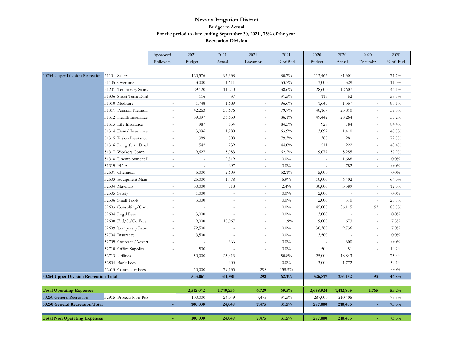|                                              |                        | Approved                 | 2021                     | 2021      | 2021                     | 2021     | 2020      | 2020      | 2020                     | 2020     |
|----------------------------------------------|------------------------|--------------------------|--------------------------|-----------|--------------------------|----------|-----------|-----------|--------------------------|----------|
|                                              |                        | Rollovers                | <b>Budget</b>            | Actual    | Encumbr                  | % of Bud | Budget    | Actual    | Encumbr                  | % of Bud |
|                                              |                        |                          |                          |           |                          |          |           |           |                          |          |
| 30254 Upper Division Recreation 51101 Salary |                        | $\overline{\phantom{a}}$ | 120,576                  | 97,338    | $\sim$                   | 80.7%    | 113,465   | 81,301    |                          | 71.7%    |
|                                              | 51105 Overtime         | $\sim$                   | 3,000                    | 1,611     |                          | 53.7%    | 3,000     | 329       | $\sim$                   | 11.0%    |
|                                              | 51201 Temporary Salary | $\sim$                   | 29,120                   | 11,240    |                          | 38.6%    | 28,600    | 12,607    | $\sim$                   | 44.1%    |
|                                              | 51306 Short Term Disal | ä,                       | 116                      | 37        |                          | 31.5%    | 116       | 62        | ×.                       | 53.5%    |
|                                              | 51310 Medicare         | $\sim$                   | 1,748                    | 1,689     | $\sim$                   | 96.6%    | 1,645     | 1,367     | $\sim$                   | 83.1%    |
|                                              | 51311 Pension Premiun  | $\sim$                   | 42,263                   | 33,676    | $\overline{\phantom{a}}$ | 79.7%    | 40,167    | 23,810    | $\sim$                   | 59.3%    |
|                                              | 51312 Health Insurance | $\sim$                   | 39,097                   | 33,650    | $\sim$                   | 86.1%    | 49,442    | 28,264    | $\sim$                   | 57.2%    |
|                                              | 51313 Life Insurance   | ÷.                       | 987                      | 834       | $\sim$                   | 84.5%    | 929       | 784       | $\sim$                   | 84.4%    |
|                                              | 51314 Dental Insurance | ÷,                       | 3,096                    | 1,980     |                          | 63.9%    | 3,097     | 1,410     | ×.                       | 45.5%    |
|                                              | 51315 Vision Insurance | ÷,                       | 389                      | 308       | ×.                       | 79.3%    | 388       | 281       | $\sim$                   | 72.5%    |
|                                              | 51316 Long Term Disal  | $\sim$                   | 542                      | 239       | $\sim$                   | 44.0%    | 511       | 222       | $\sim$                   | 43.4%    |
|                                              | 51317 Workers Comp     | $\overline{\phantom{a}}$ | 9,627                    | 5,983     | ×.                       | 62.2%    | 9,077     | 5,255     | $\sim$                   | 57.9%    |
|                                              | 51318 Unemployment I   | $\sim$                   | $\sim$                   | 2,319     |                          | $0.0\%$  |           | 1,688     | $\overline{\phantom{a}}$ | 0.0%     |
|                                              | 51319 FICA             | ä,                       | $\overline{a}$           | 697       |                          | $0.0\%$  |           | 782       | $\sim$                   | $0.0\%$  |
|                                              | 52501 Chemicals        | ä,                       | 5,000                    | 2,603     |                          | 52.1%    | 5,000     | ÷,        | $\sim$                   | $0.0\%$  |
|                                              | 52503 Equipment Main   | ä,                       | 25,000                   | 1,478     | $\sim$                   | 5.9%     | 10,000    | 6,402     | $\sim$                   | 64.0%    |
|                                              | 52504 Materials        | $\overline{\phantom{a}}$ | 30,000                   | 718       | $\sim$                   | 2.4%     | 30,000    | 3,589     | $\sim$                   | 12.0%    |
|                                              | 52505 Safety           | $\sim$                   | 1,000                    | ÷,        | $\sim$                   | $0.0\%$  | 2,000     | $\sim$    | $\sim$                   | $0.0\%$  |
|                                              | 52506 Small Tools      | ÷,                       | 3,000                    | ä,        |                          | $0.0\%$  | 2,000     | 510       | $\sim$                   | 25.5%    |
|                                              | 52603 Consulting/Cont  | ÷,                       |                          | L.        |                          | $0.0\%$  | 45,000    | 36,115    | 93                       | 80.5%    |
|                                              | 52604 Legal Fees       | ÷,                       | 3,000                    | L.        | $\sim$                   | $0.0\%$  | 3,000     | $\sim$    | $\sim$                   | $0.0\%$  |
|                                              | 52608 Fed/St/Co Fees   | $\sim$                   | 9,000                    | 10,067    | $\sim$                   | 111.9%   | 9,000     | 673       | $\sim$                   | 7.5%     |
|                                              | 52609 Temporary Labo:  | $\sim$                   | 72,500                   | ÷,        | $\sim$                   | $0.0\%$  | 138,380   | 9,736     | $\sim$                   | $7.0\%$  |
|                                              | 52704 Insurance        | $\sim$                   | 3,500                    | ÷,        | $\sim$                   | $0.0\%$  | 3,500     | $\sim$    | $\overline{\phantom{a}}$ | $0.0\%$  |
|                                              | 52709 Outreach/Advert  | ÷,                       | $\overline{\phantom{a}}$ | 366       |                          | $0.0\%$  |           | 300       | ×.                       | $0.0\%$  |
|                                              | 52710 Office Supplies  | ÷,                       | 500                      | L,        |                          | $0.0\%$  | 500       | 51        | ×.                       | $10.2\%$ |
|                                              | 52713 Utilities        | ٠                        | 50,000                   | 25,413    | ×.                       | 50.8%    | 25,000    | 18,843    | $\sim$                   | 75.4%    |
|                                              | 52804 Bank Fees        | $\overline{\phantom{a}}$ | $\sim$                   | 600       | $\sim$                   | $0.0\%$  | 3,000     | 1,772     | $\sim$                   | 59.1%    |
|                                              | 52615 Contractor Fees  | $\sim$                   | 50,000                   | 79,135    | 298                      | 158.9%   |           | $\sim$    | $\overline{\phantom{a}}$ | 0.0%     |
| 30254 Upper Division Recreation Total        |                        |                          | 503,061                  | 311,981   | 298                      | 62.1%    | 526,817   | 236,152   | 93                       | 44.8%    |
|                                              |                        |                          |                          |           |                          |          |           |           |                          |          |
| <b>Total Operating Expenses</b>              |                        |                          | 2,512,042                | 1,740,236 | 6,729                    | 69.5%    | 2,658,924 | 1,412,805 | 1,765                    | 53.2%    |
| 30250 General Recreation                     | 52915 Project: Non-Pro | ÷,                       | 100,000                  | 24,049    | 7,475                    | 31.5%    | 287,000   | 210,405   |                          | 73.3%    |
| <b>30250 General Recreation Total</b>        |                        | $\overline{\phantom{a}}$ | 100,000                  | 24,049    | 7,475                    | 31.5%    | 287,000   | 210,405   |                          | 73.3%    |
|                                              |                        |                          |                          |           |                          |          |           |           |                          |          |
| <b>Total Non Operating Expenses</b>          |                        |                          | 100,000                  | 24,049    | 7,475                    | 31.5%    | 287,000   | 210,405   |                          | 73.3%    |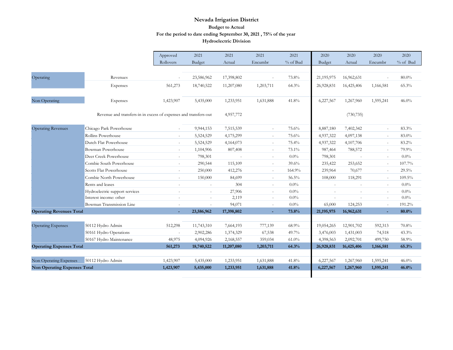|                                     |                                                                  | Approved                 | 2021          | 2021                     | 2021                     | 2021     | 2020       | 2020       | 2020      | 2020     |
|-------------------------------------|------------------------------------------------------------------|--------------------------|---------------|--------------------------|--------------------------|----------|------------|------------|-----------|----------|
|                                     |                                                                  | Rollovers                | <b>Budget</b> | Actual                   | Encumbr                  | % of Bud | Budget     | Actual     | Encumbr   | % of Bud |
|                                     |                                                                  |                          |               |                          |                          |          |            |            |           |          |
| Operating                           | Revenues                                                         | $\sim$                   | 23,586,962    | 17,398,802               |                          | 73.8%    | 21,195,975 | 16,962,631 | $\sim$    | $80.0\%$ |
|                                     | Expenses                                                         | 561,273                  | 18,740,522    | 11,207,080               | 1,203,711                | 64.3%    | 26,928,831 | 16,425,406 | 1,166,581 | 65.3%    |
| Non Operating                       | Expenses                                                         | 1,423,907                | 5,435,000     | 1,233,951                | 1,631,888                | 41.8%    | 6,227,567  | 1,267,960  | 1,595,241 | $46.0\%$ |
|                                     | Revenue and transfers-in in excess of expenses and transfers-out |                          |               | 4,957,772                |                          |          |            | (730, 735) |           |          |
| <b>Operating Revenues</b>           | Chicago Park Powerhouse                                          | $\overline{\phantom{a}}$ | 9,944,153     | 7,515,539                | $\bar{a}$                | 75.6%    | 8,887,180  | 7,402,342  | $\sim$    | 83.3%    |
|                                     | Rollins Powerhouse                                               | $\overline{\phantom{a}}$ | 5,524,529     | 4,175,299                | $\bar{a}$                | 75.6%    | 4,937,322  | 4,097,138  | $\sim$    | 83.0%    |
|                                     | Dutch Flat Powerhouse                                            | $\overline{\phantom{a}}$ | 5,524,529     | 4,164,073                | $\overline{\phantom{a}}$ | 75.4%    | 4,937,322  | 4,107,706  | $\sim$    | 83.2%    |
|                                     | <b>Bowman Powerhouse</b>                                         | $\sim$                   | 1,104,906     | 807,408                  | $\omega$                 | 73.1%    | 987,464    | 788,572    | $\sim$    | 79.9%    |
|                                     | Deer Creek Powerhouse                                            | $\overline{\phantom{a}}$ | 798,301       | $\overline{\phantom{a}}$ | $\overline{\phantom{a}}$ | $0.0\%$  | 798,301    | $\sim$     | $\sim$    | 0.0%     |
|                                     | Combie South Powerhouse                                          | $\overline{\phantom{a}}$ | 290,544       | 115,109                  | $\overline{\phantom{a}}$ | 39.6%    | 235,422    | 253,652    | $\sim$    | 107.7%   |
|                                     | Scotts Flat Powerhouse                                           | $\sim$                   | 250,000       | 412,276                  | $\overline{\phantom{a}}$ | 164.9%   | 239,964    | 70,677     | $\sim$    | 29.5%    |
|                                     | Combie North Powerhouse                                          | $\overline{\phantom{a}}$ | 150,000       | 84,699                   | $\overline{\phantom{a}}$ | 56.5%    | 108,000    | 118,291    | $\sim$    | 109.5%   |
|                                     | Rents and leases                                                 | $\sim$                   | $\sim$        | 304                      | $\bar{a}$                | $0.0\%$  |            |            | $\sim$    | 0.0%     |
|                                     | Hydroelectric support services                                   |                          | $\equiv$      | 27,906                   | $\overline{\phantom{a}}$ | $0.0\%$  |            | $\sim$     | $\sim$    | $0.0\%$  |
|                                     | Interest income: other                                           | ٠                        | ÷             | 2,119                    | $\sim$                   | $0.0\%$  | $\sim$     | $\sim$     | ÷         | 0.0%     |
|                                     | Bowman Transmission Line                                         |                          | ä,            | 94,071                   | ÷.                       | $0.0\%$  | 65,000     | 124,253    | $\sim$    | 191.2%   |
| <b>Operating Revenues Total</b>     |                                                                  | ÷                        | 23,586,962    | 17,398,802               | ÷                        | 73.8%    | 21,195,975 | 16,962,631 |           | 80.0%    |
|                                     |                                                                  |                          |               |                          |                          |          |            |            |           |          |
| <b>Operating Expenses</b>           | 50112 Hydro Admin                                                | 512,298                  | 11,743,310    | 7,664,193                | 777,139                  | 68.9%    | 19,054,265 | 12,901,702 | 592,313   | 70.8%    |
|                                     | 50161 Hydro Operations                                           | $\sim$                   | 2,902,286     | 1,374,329                | 67,538                   | 49.7%    | 3,476,003  | 1,431,003  | 74,518    | 43.3%    |
|                                     | 50167 Hydro Maintenance                                          | 48,975                   | 4,094,926     | 2,168,557                | 359,034                  | $61.0\%$ | 4,398,563  | 2,092,701  | 499,750   | 58.9%    |
| <b>Operating Expenses Total</b>     |                                                                  | 561,273                  | 18,740,522    | 11,207,080               | 1,203,711                | 64.3%    | 26,928,831 | 16,425,406 | 1,166,581 | 65.3%    |
|                                     |                                                                  |                          |               |                          |                          |          |            |            |           |          |
| Non Operating Expenses              | 50112 Hydro Admin                                                | 1,423,907                | 5,435,000     | 1,233,951                | 1,631,888                | 41.8%    | 6,227,567  | 1,267,960  | 1,595,241 | $46.0\%$ |
| <b>Non Operating Expenses Total</b> |                                                                  | 1,423,907                | 5,435,000     | 1,233,951                | 1,631,888                | 41.8%    | 6,227,567  | 1,267,960  | 1,595,241 | 46.0%    |
|                                     |                                                                  |                          |               |                          |                          |          |            |            |           |          |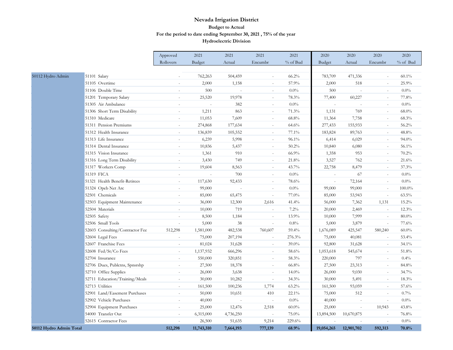|                         |                                 | Approved                 | 2021           | 2021      | 2021                     | 2021     | 2020       | 2020                     | 2020                     | 2020       |
|-------------------------|---------------------------------|--------------------------|----------------|-----------|--------------------------|----------|------------|--------------------------|--------------------------|------------|
|                         |                                 | Rollovers                | Budget         | Actual    | Encumbr                  | % of Bud | Budget     | Actual                   | Encumbr                  | $%$ of Bud |
|                         |                                 |                          |                |           |                          |          |            |                          |                          |            |
| 50112 Hydro Admin       | 51101 Salary                    |                          | 762,263        | 504,459   | ÷,                       | 66.2%    | 783,709    | 471,336                  |                          | $60.1\%$   |
|                         | 51105 Overtime                  | i.                       | 2,000          | 1,158     | $\sim$                   | 57.9%    | 2,000      | 518                      | $\sim$                   | 25.9%      |
|                         | 51106 Double Time               | $\sim$                   | 500            |           | $\overline{\phantom{a}}$ | 0.0%     | 500        | $\sim$                   | $\sim$                   | $0.0\%$    |
|                         | 51201 Temporary Salary          | $\sim$                   | 25,520         | 19,978    | $\sim$                   | 78.3%    | 77,400     | 60,227                   | $\sim$                   | 77.8%      |
|                         | 51305 Air Ambulance             | $\overline{\phantom{a}}$ | $\overline{a}$ | 382       | ÷.                       | $0.0\%$  | L.         | $\overline{a}$           | ÷.                       | $0.0\%$    |
|                         | 51306 Short Term Disability     | $\sim$                   | 1,211          | 863       | ÷.                       | 71.3%    | 1,131      | 769                      | $\sim$                   | $68.0\%$   |
|                         | 51310 Medicare                  | $\sim$                   | 11,053         | 7,609     | $\sim$                   | 68.8%    | 11,364     | 7,758                    | $\sim$                   | 68.3%      |
|                         | 51311 Pension Premiums          | ÷.                       | 274,868        | 177,634   | ÷,                       | 64.6%    | 277,433    | 155,933                  | $\sim$                   | 56.2%      |
|                         | 51312 Health Insurance          |                          | 136,839        | 105,552   | $\sim$                   | 77.1%    | 183,824    | 89,763                   | $\overline{\phantom{a}}$ | 48.8%      |
|                         | 51313 Life Insurance            | $\overline{\phantom{a}}$ | 6,239          | 5,998     | $\sim$                   | 96.1%    | 6,414      | 6,029                    | $\sim$                   | 94.0%      |
|                         | 51314 Dental Insurance          | $\overline{\phantom{a}}$ | 10,836         | 5,437     | $\overline{\phantom{a}}$ | 50.2%    | 10,840     | 6,080                    | $\sim$                   | 56.1%      |
|                         | 51315 Vision Insurance          | $\sim$                   | 1,361          | 910       | $\sim$                   | 66.9%    | 1,358      | 953                      | in 1919.                 | 70.2%      |
|                         | 51316 Long Term Disability      | $\sim$                   | 3,430          | 749       | $\sim$                   | 21.8%    | 3,527      | 762                      | $\sim$                   | 21.6%      |
|                         | 51317 Workers Comp              | $\sim$                   | 19,604         | 8,563     | $\sim$                   | 43.7%    | 22,758     | 8,479                    | $\sim$                   | 37.3%      |
|                         | 51319 FICA                      | $\overline{\phantom{a}}$ | $\sim$         | 700       | $\overline{\phantom{a}}$ | 0.0%     | $\bar{a}$  | 67                       | $\overline{\phantom{a}}$ | $0.0\%$    |
|                         | 51321 Health Benefit-Retirees   |                          | 117,630        | 92,433    | L.                       | 78.6%    | $\sim$     | 72,164                   |                          | $0.0\%$    |
|                         | 51324 Opeb Net Arc              | ÷.                       | 99,000         |           | ÷,                       | 0.0%     | 99,000     | 99,000                   | ×.                       | 100.0%     |
|                         | 52501 Chemicals                 | $\sim$                   | 85,000         | 65,475    | $\sim$                   | 77.0%    | 85,000     | 53,943                   | $\sim$                   | 63.5%      |
|                         | 52503 Equipment Maintenance     | $\overline{\phantom{a}}$ | 36,000         | 12,300    | 2,616                    | 41.4%    | 56,000     | 7,362                    | 1,131                    | 15.2%      |
|                         | 52504 Materials                 |                          | 10,000         | 719       |                          | 7.2%     | 20,000     | 2,469                    |                          | 12.3%      |
|                         | 52505 Safety                    | ÷.                       | 8,500          | 1,184     | $\sim$                   | 13.9%    | 10,000     | 7,999                    | ×.                       | $80.0\%$   |
|                         | 52506 Small Tools               | $\sim$                   | 5,000          | 38        | $\sim$                   | 0.8%     | 5,000      | 3,879                    | $\overline{\phantom{a}}$ | 77.6%      |
|                         | 52603 Consulting/Contractor Fee | 512,298                  | 1,581,000      | 482,538   | 760,607                  | 59.4%    | 1,676,089  | 425,547                  | 580,240                  | $60.0\%$   |
|                         | 52604 Legal Fees                |                          | 75,000         | 207,194   |                          | 276.3%   | 75,000     | 40,081                   | $\sim$                   | 53.4%      |
|                         | 52607 Franchise Fees            |                          | 81,024         | 31,628    | $\sim$                   | 39.0%    | 92,800     | 31,628                   | $\sim$                   | 34.1%      |
|                         | 52608 Fed/St/Co Fees            | $\sim$                   | 1,137,932      | 666,296   | $\overline{\phantom{a}}$ | 58.6%    | 1,053,618  | 545,674                  | $\sim$                   | 51.8%      |
|                         | 52704 Insurance                 | $\sim$                   | 550,000        | 320,851   | $\sim$                   | 58.3%    | 220,000    | 797                      | $\sim$                   | 0.4%       |
|                         | 52706 Dues, Publctns, Spnsrshp  |                          | 27,500         | 18,378    | ÷,                       | 66.8%    | 27,500     | 23,313                   |                          | 84.8%      |
|                         | 52710 Office Supplies           | $\sim$                   | 26,000         | 3,638     | $\sim$                   | 14.0%    | 26,000     | 9,030                    | $\sim$                   | 34.7%      |
|                         | 52711 Education/Training/Meals  | $\sim$                   | 30,000         | 10,282    | $\overline{\phantom{a}}$ | 34.3%    | 30,000     | 5,491                    | $\sim$                   | 18.3%      |
|                         | 52713 Utilities                 | $\sim$                   | 161,500        | 100,236   | 1,774                    | 63.2%    | 161,500    | 93,059                   | ÷.                       | 57.6%      |
|                         | 52901 Land/Easement Purchases   |                          | 50,000         | 10,651    | 410                      | 22.1%    | 75,000     | 512                      | $\sim$                   | 0.7%       |
|                         | 52902 Vehicle Purchases         | $\sim$                   | 40,000         | $\sim$    | ÷,                       | 0.0%     | 40,000     | $\sim$                   | $\sim$                   | 0.0%       |
|                         | 52904 Equipment Purchases       | $\sim$                   | 25,000         | 12,476    | 2,518                    | $60.0\%$ | 25,000     | $\overline{\phantom{a}}$ | 10,943                   | 43.8%      |
|                         | 54000 Transfer Out              | $\sim$                   | 6,315,000      | 4,736,250 |                          | 75.0%    | 13,894,500 | 10,670,875               |                          | 76.8%      |
|                         | 52615 Contractor Fees           |                          | 26,500         | 51,635    | 9,214                    | 229.6%   |            |                          |                          | $0.0\%$    |
| 50112 Hydro Admin Total |                                 | 512,298                  | 11,743,310     | 7,664,193 | 777,139                  | 68.9%    | 19,054,265 | 12,901,702               | 592,313                  | 70.8%      |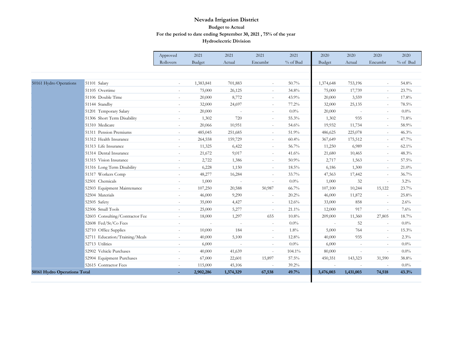|                              |                                   | Approved                 | 2021      | 2021                     | 2021                     | 2021     | 2020      | 2020                     | 2020                     | 2020       |
|------------------------------|-----------------------------------|--------------------------|-----------|--------------------------|--------------------------|----------|-----------|--------------------------|--------------------------|------------|
|                              |                                   | Rollovers                | Budget    | Actual                   | Encumbr                  | % of Bud | Budget    | Actual                   | Encumbr                  | $%$ of Bud |
|                              |                                   |                          |           |                          |                          |          |           |                          |                          |            |
|                              |                                   |                          |           |                          |                          |          |           |                          |                          |            |
| 50161 Hydro Operations       | 51101 Salary                      | $\sim$                   | 1,383,841 | 701,883                  | $\overline{\phantom{a}}$ | 50.7%    | 1,374,648 | 753,196                  | $\overline{\phantom{a}}$ | 54.8%      |
|                              | 51105 Overtime                    |                          | 75,000    | 26,125                   | $\overline{\phantom{a}}$ | 34.8%    | 75,000    | 17,739                   | $\sim$                   | 23.7%      |
|                              | 51106 Double Time                 | $\sim$                   | 20,000    | 8,772                    | $\sim$                   | 43.9%    | 20,000    | 3,559                    | $\sim$                   | 17.8%      |
|                              | 51144 Standby                     | $\overline{\phantom{a}}$ | 32,000    | 24,697                   | $\overline{\phantom{a}}$ | 77.2%    | 32,000    | 25,135                   | $\sim$                   | 78.5%      |
|                              | 51201 Temporary Salary            | $\overline{\phantom{a}}$ | 20,000    | $\sim$                   | $\sim$                   | 0.0%     | 20,000    | $\sim$                   | $\sim$                   | 0.0%       |
|                              | 51306 Short Term Disability       | $\overline{\phantom{a}}$ | 1,302     | 720                      | $\overline{\phantom{a}}$ | 55.3%    | 1,302     | 935                      | $\overline{\phantom{a}}$ | 71.8%      |
|                              | 51310 Medicare                    | $\sim$                   | 20,066    | 10,951                   | $\overline{\phantom{a}}$ | 54.6%    | 19,932    | 11,734                   | $\sim$                   | 58.9%      |
|                              | 51311 Pension Premiums            | $\overline{\phantom{a}}$ | 485,045   | 251,685                  | $\overline{\phantom{a}}$ | 51.9%    | 486,625   | 225,078                  | $\overline{\phantom{a}}$ | 46.3%      |
|                              | 51312 Health Insurance            | $\sim$                   | 264,558   | 159,729                  | $\overline{\phantom{a}}$ | 60.4%    | 367,649   | 175,512                  | $\sim$                   | 47.7%      |
|                              | 51313 Life Insurance              | $\sim$                   | 11,325    | 6,422                    | $\sim$                   | 56.7%    | 11,250    | 6,989                    | $\sim$                   | 62.1%      |
|                              | 51314 Dental Insurance            | $\overline{\phantom{a}}$ | 21,672    | 9,017                    | $\overline{\phantom{a}}$ | 41.6%    | 21,680    | 10,465                   | $\sim$                   | 48.3%      |
|                              | 51315 Vision Insurance            | $\sim$                   | 2,722     | 1,386                    | $\sim$                   | 50.9%    | 2,717     | 1,563                    | $\sim$                   | 57.5%      |
|                              | 51316 Long Term Disability        | $\overline{\phantom{a}}$ | 6,228     | 1,150                    | $\overline{\phantom{a}}$ | 18.5%    | 6,186     | 1,300                    | $\sim$                   | 21.0%      |
|                              | 51317 Workers Comp                | $\overline{\phantom{a}}$ | 48,277    | 16,284                   | $\sim$                   | 33.7%    | 47,563    | 17,442                   | $\sim$                   | 36.7%      |
|                              | 52501 Chemicals                   | $\overline{\phantom{a}}$ | 1,000     | $\overline{\phantom{a}}$ | $\overline{\phantom{a}}$ | 0.0%     | 1,000     | 32                       | $\sim$                   | $3.2\%$    |
|                              | 52503 Equipment Maintenance       | $\overline{\phantom{a}}$ | 107,250   | 20,588                   | 50,987                   | 66.7%    | 107,100   | 10,244                   | 15,122                   | 23.7%      |
|                              | 52504 Materials                   | $\sim$                   | 46,000    | 9,290                    | $\overline{\phantom{a}}$ | 20.2%    | 46,000    | 11,872                   | $\sim$                   | 25.8%      |
|                              | 52505 Safety                      | $\overline{\phantom{a}}$ | 35,000    | 4,427                    | $\overline{\phantom{a}}$ | 12.6%    | 33,000    | 858                      | $\sim$                   | 2.6%       |
|                              | 52506 Small Tools                 | $\sim$                   | 25,000    | 5,277                    | $\overline{\phantom{a}}$ | 21.1%    | 12,000    | 917                      | $\sim$                   | 7.6%       |
|                              | 52603 Consulting/Contractor Fee   | $\overline{\phantom{a}}$ | 18,000    | 1,297                    | 655                      | 10.8%    | 209,000   | 11,360                   | 27,805                   | 18.7%      |
|                              | 52608 Fed/St/Co Fees              | $\sim$                   | $\sim$    |                          | $\sim$                   | $0.0\%$  | $\sim$    | 52                       | $\sim$                   | $0.0\%$    |
|                              | 52710 Office Supplies             | $\overline{\phantom{a}}$ | 10,000    | 184                      | $\overline{\phantom{a}}$ | 1.8%     | 5,000     | 764                      | $\sim$                   | 15.3%      |
|                              | Education/Training/Meals<br>52711 | $\overline{\phantom{a}}$ | 40,000    | 5,100                    | $\sim$                   | 12.8%    | 40,000    | 935                      | $\sim$                   | 2.3%       |
|                              | 52713 Utilities                   | $\sim$                   | 6,000     |                          | $\sim$                   | 0.0%     | 6,000     | ÷                        | $\sim$                   | 0.0%       |
|                              | 52902 Vehicle Purchases           | $\overline{\phantom{a}}$ | 40,000    | 41,639                   | $\overline{\phantom{a}}$ | 104.1%   | 80,000    | $\overline{\phantom{a}}$ | $\overline{\phantom{a}}$ | 0.0%       |
|                              | 52904 Equipment Purchases         | $\overline{\phantom{a}}$ | 67,000    | 22,601                   | 15,897                   | 57.5%    | 450,351   | 143,323                  | 31,590                   | 38.8%      |
|                              | 52615 Contractor Fees             | $\overline{\phantom{a}}$ | 115,000   | 45,106                   |                          | 39.2%    |           |                          |                          | $0.0\%$    |
| 50161 Hydro Operations Total |                                   |                          | 2,902,286 | 1,374,329                | 67,538                   | 49.7%    | 3,476,003 | 1,431,003                | 74,518                   | 43.3%      |
|                              |                                   |                          |           |                          |                          |          |           |                          |                          |            |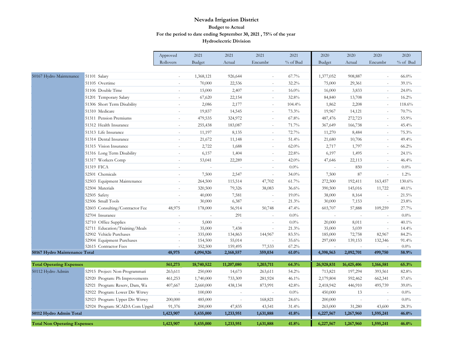|                                     |                                                    | Approved                 | 2021               | 2021              | 2021                     | 2021           | 2020       | 2020              | 2020                     | 2020             |
|-------------------------------------|----------------------------------------------------|--------------------------|--------------------|-------------------|--------------------------|----------------|------------|-------------------|--------------------------|------------------|
|                                     |                                                    | Rollovers                | Budget             | Actual            | Encumbr                  | % of Bud       | Budget     | Actual            | Encumbr                  | % of Bud         |
|                                     |                                                    |                          |                    |                   |                          |                |            |                   |                          |                  |
| 50167 Hydro Maintenance             | 51101 Salary                                       | ÷.                       | 1,368,121          | 926,644           |                          | 67.7%          | 1,377,052  | 908,887           | ÷.                       | $66.0\%$         |
|                                     | 51105 Overtime                                     |                          | 70,000             | 22,536            |                          | 32.2%          | 75,000     | 29,361            | ÷.                       | 39.1%            |
|                                     | 51106 Double Time                                  | $\sim$                   | 15,000             | 2,407             | $\overline{\phantom{a}}$ | $16.0\%$       | 16,000     | 3,833             | $\overline{\phantom{a}}$ | 24.0%            |
|                                     | 51201 Temporary Salary                             | $\sim$                   | 67,620             | 22,154            | $\sim$                   | 32.8%          | 84,840     | 13,708            | $\sim$                   | 16.2%            |
|                                     | 51306 Short Term Disability                        | $\overline{\phantom{a}}$ | 2,086              | 2,177             | $\overline{\phantom{a}}$ | 104.4%         | 1,862      | 2,208             | $\sim$                   | 118.6%           |
|                                     | 51310 Medicare                                     | $\overline{\phantom{a}}$ | 19,837             | 14,545            | $\sim$                   | 73.3%          | 19,967     | 14,121            | $\sim$                   | 70.7%            |
|                                     | 51311 Pension Premiums                             | ÷,                       | 479,535            | 324,972           | $\sim$                   | 67.8%          | 487,476    | 272,723           | ÷.                       | 55.9%            |
|                                     | 51312 Health Insurance                             | $\sim$                   | 255,438            | 183,087           | $\sim$                   | 71.7%          | 367,649    | 166,738           | $\sim$                   | 45.4%            |
|                                     | 51313 Life Insurance                               | $\sim$                   | 11,197             | 8,135             | $\sim$                   | 72.7%          | 11,270     | 8,484             | $\sim$                   | 75.3%            |
|                                     | 51314 Dental Insurance                             | $\sim$                   | 21,672             | 11,148            | $\sim$                   | 51.4%          | 21,680     | 10,706            | $\sim$                   | 49.4%            |
|                                     | 51315 Vision Insurance                             | $\sim$                   | 2,722              | 1,688             | $\sim$                   | 62.0%          | 2,717      | 1,797             | $\sim$                   | $66.2\%$         |
|                                     | 51316 Long Term Disability                         | $\sim$                   | 6,157              | 1,404             | $\sim$                   | 22.8%          | 6,197      | 1,495             | $\sim$                   | 24.1%            |
|                                     | 51317 Workers Comp                                 | ÷,                       | 53,041             | 22,289            | $\overline{\phantom{a}}$ | 42.0%          | 47,646     | 22,113            | $\sim$                   | 46.4%            |
|                                     | 51319 FICA                                         | $\overline{a}$           |                    |                   | $\sim$                   | $0.0\%$        |            | 850               | $\sim$                   | 0.0%             |
|                                     | 52501 Chemicals                                    | ä,                       | 7,500              | 2,547             | $\sim$                   | 34.0%          | 7,500      | 87                | $\overline{\phantom{a}}$ | 1.2%             |
|                                     | 52503 Equipment Maintenance                        | $\bar{a}$                | 264,500            | 115,514           | 47,702                   | 61.7%          | 272,500    | 192,411           | 163,457                  | 130.6%           |
|                                     | 52504 Materials                                    | $\sim$                   | 320,500            | 79,326            | 38,083                   | 36.6%          | 390,500    | 145,016           | 11,722                   | 40.1%            |
|                                     | 52505 Safety                                       | ÷,                       | 40,000             | 7,581             |                          | 19.0%          | 38,000     | 8,164             |                          | $21.5\%$         |
|                                     | 52506 Small Tools                                  | $\bar{a}$                | 30,000             | 6,387             | $\sim$                   | 21.3%          | 30,000     | 7,153             | $\sim$                   | 23.8%            |
|                                     | 52603 Consulting/Contractor Fee                    | 48,975                   | 178,000            | 56,914            | 50,748                   | 47.4%          | 603,707    | 57,888            | 109,259                  | 27.7%            |
|                                     | 52704 Insurance                                    |                          |                    | 291               |                          | $0.0\%$        |            |                   | $\sim$                   | $0.0\%$          |
|                                     | 52710 Office Supplies                              | ÷.                       | 5,000              |                   | $\sim$                   | $0.0\%$        | 20,000     | 8,011             | $\sim$                   | 40.1%            |
|                                     | Education/Training/Meals<br>52711                  | $\sim$                   | 35,000             | 7,438             |                          | 21.3%          | 35,000     | 5,039             | $\sim$                   | 14.4%            |
|                                     | 52902 Vehicle Purchases                            | $\bar{a}$                | 335,000            | 134,863           | 144,967                  | 83.5%          | 185,000    | 72,758            | 82,967                   | 84.2%            |
|                                     | 52904 Equipment Purchases<br>52615 Contractor Fees | $\mathbf{r}$<br>$\sim$   | 154,500<br>352,500 | 55,014<br>159,495 | 77,533                   | 35.6%<br>67.2% | 297,000    | 139,153<br>$\sim$ | 132,346<br>$\sim$        | 91.4%<br>$0.0\%$ |
| 50167 Hydro Maintenance Total       |                                                    | 48,975                   | 4,094,926          | 2,168,557         | 359,034                  | 61.0%          | 4,398,563  | 2,092,701         | 499,750                  | 58.9%            |
|                                     |                                                    |                          |                    |                   |                          |                |            |                   |                          |                  |
| <b>Total Operating Expenses</b>     |                                                    | 561,273                  | 18,740,522         | 11,207,080        | 1,203,711                | 64.3%          | 26,928,831 | 16,425,406        | 1,166,581                | 65.3%            |
| 50112 Hydro Admin                   | 52915 Project: Non-Programmati                     | 263,611                  | 250,000            | 14,673            | 263,611                  | 54.2%          | 713,821    | 197,294           | 393,561                  | 82.8%            |
|                                     | 52920 Program: Ph Improvements                     | 461,253                  | 1,740,000          | 733,309           | 281,924                  | 46.1%          | 2,179,804  | 592,462           | 662,341                  | 57.6%            |
|                                     | 52921 Program: Reserv, Dam, Wa                     | 407,667                  | 2,660,000          | 438,134           | 873,991                  | 42.8%          | 2,418,942  | 446,910           | 495,739                  | 39.0%            |
|                                     | 52922 Program: Lower Div Wtrwy                     |                          | 100,000            |                   |                          | $0.0\%$        | 450,000    | 13                | ÷,                       | 0.0%             |
|                                     | 52923 Program: Upper Div Wtrwy                     | 200,000                  | 485,000            |                   | 168,821                  | 24.6%          | 200,000    | $\sim$            | $\sim$                   | 0.0%             |
|                                     | 52924 Program: SCADA Com Upgrd                     | 91,376                   | 200,000            | 47,835            | 43,541                   | 31.4%          | 265,000    | 31,280            | 43,600                   | 28.3%            |
| 50112 Hydro Admin Total             |                                                    | 1,423,907                | 5,435,000          | 1,233,951         | 1,631,888                | 41.8%          | 6,227,567  | 1,267,960         | 1,595,241                | 46.0%            |
| <b>Total Non Operating Expenses</b> |                                                    | 1,423,907                | 5,435,000          | 1,233,951         | 1,631,888                | 41.8%          | 6,227,567  | 1,267,960         | 1,595,241                | 46.0%            |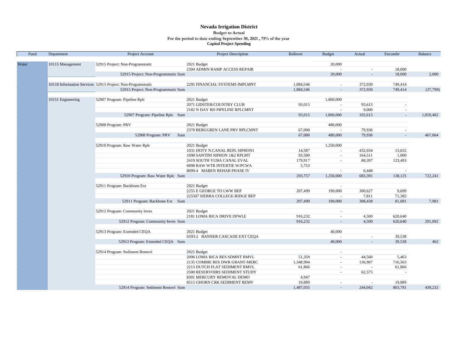#### **Nevada Irrigation District For the period to date ending September 30, 2021 , 75% of the year Capital Project Spending Budget to Actual**

| Water<br>52915 Project: Non-Programmatic<br>20,000<br>10115 Management<br>2021 Budget<br>2504 ADMIN RAMP ACCESS REPAIR<br>18,000<br>$\sim$<br>52915 Project: Non-Programmatic Sum<br>20,000<br>18,000<br>2,000<br>$\sim$<br>10118 Information Services 52915 Project: Non-Programmatic<br>2295 FINANCIAL SYSTEMS IMPLMNT<br>1,084,546<br>372,930<br>749,414<br>$\sim$<br>52915 Project: Non-Programmatic Sum<br>1,084,546<br>372,930<br>749,414<br>(37,799)<br>$\overline{a}$<br>10151 Engineering<br>52907 Program: Pipeline Rplc<br>1,860,000<br>2021 Budget<br>2071 LIDSTER/COUNTRY CLUB<br>93,613<br>93,015<br>$\sim$<br>2182 N DAY RD PIPELINE RPLCMNT<br>9,000<br>$\sim$<br>1,860,000<br>1,850,402<br>52907 Program: Pipeline Rplc Sum<br>93,015<br>102,613<br>$\sim$<br>52908 Program: PRV<br>2021 Budget<br>480,000<br>2370 BERGGREN LANE PRV RPLCMNT<br>67,000<br>79,936<br>$\sim$<br>$\overline{\phantom{a}}$<br>52908 Program: PRV<br>67,000<br>480,000<br>79,936<br>467,064<br>Sum<br>$\overline{\phantom{a}}$<br>52910 Program: Raw Water Rplc<br>2021 Budget<br>1,250,000<br>1031 DOTY N.CANAL REPL SIPHON1<br>14,587<br>432,034<br>13,632<br>$\sim$<br>1098 SANTINI SIPHON 1&2 RPLMT<br>93,500<br>164,511<br>1,000<br>$\sim$<br>2419 SOUTH YUBA CANAL EVAL<br>179,917<br>80,397<br>123,493<br>$\blacksquare$<br><b>6898 RAW WTR INTERTIE W/PCWA</b><br>5,753<br>6,448<br>8099-4 MABEN REHAB PHASE IV<br>$\overline{\phantom{a}}$<br>$\sim$<br>52910 Program: Raw Water Rplc Sum<br>293,757<br>1,250,000<br>683,391<br>138,125<br>722,241<br>52911 Program: Backbone Ext<br>2021 Budget<br>$\overline{\phantom{a}}$<br>2255 E GEORGE TO LWW BEP<br>207,499<br>190,000<br>300,627<br>9,699<br>7,811<br>71,382<br>225507 SIERRA COLLEGE-RIDGE BEP<br>$\sim$<br>52911 Program: Backbone Ext Sum<br>308,438<br>81,081<br>7,981<br>207,499<br>190,000<br>52912 Program: Community Inves<br>2021 Budget<br>$\blacksquare$<br>2181 LOMA RICA DRIVE DFWLE<br>916,232<br>4,500<br>620,640<br>$\sim$<br>52912 Program: Community Inves Sum<br>916,232<br>4,500<br>620,640<br>291,092<br>52913 Program: Extended CEQA<br>2021 Budget<br>40,000<br>6593-2 BANNER CASCADE EXT CEOA<br>39,538<br>÷,<br>$\sim$<br>52913 Program: Extended CEQA Sum<br>39,538<br>462<br>40,000<br>52914 Program: Sediment Removl<br>2021 Budget<br>$\overline{\phantom{a}}$<br>2090 LOMA RICA RES SDMNT RMVL<br>51,359<br>44,560<br>5,463<br>$\sim$<br>1,348,994<br>136,907<br>716,563<br>2135 COMBIE RES DWR GRANT-MERC<br>$\sim$<br>2213 DUTCH FLAT SEDIMENT RMVL<br>61,866<br>61,866<br>$\overline{\phantom{a}}$<br>2500 RESERVOIRS SEDIMENT STUDY<br>62,575<br>$\sim$<br>$\overline{\phantom{a}}$<br>8301 MERCURY REMOVAL DEMO<br>4,947<br>19,889<br>8515 GHORN CRK SEDIMENT REMV<br>19,889<br>$\omega$<br>$\sim$<br>52914 Program: Sediment Removl Sum | Fund | Department | Project Account | <b>Project Description</b> | Rollover  | <b>Budget</b> | Actual  | Encumbr | <b>Balance</b> |
|-------------------------------------------------------------------------------------------------------------------------------------------------------------------------------------------------------------------------------------------------------------------------------------------------------------------------------------------------------------------------------------------------------------------------------------------------------------------------------------------------------------------------------------------------------------------------------------------------------------------------------------------------------------------------------------------------------------------------------------------------------------------------------------------------------------------------------------------------------------------------------------------------------------------------------------------------------------------------------------------------------------------------------------------------------------------------------------------------------------------------------------------------------------------------------------------------------------------------------------------------------------------------------------------------------------------------------------------------------------------------------------------------------------------------------------------------------------------------------------------------------------------------------------------------------------------------------------------------------------------------------------------------------------------------------------------------------------------------------------------------------------------------------------------------------------------------------------------------------------------------------------------------------------------------------------------------------------------------------------------------------------------------------------------------------------------------------------------------------------------------------------------------------------------------------------------------------------------------------------------------------------------------------------------------------------------------------------------------------------------------------------------------------------------------------------------------------------------------------------------------------------------------------------------------------------------------------------------------------------------------------------------------------------------------------------------------------------------------------------------------------------------------------------------------------------------------------------------|------|------------|-----------------|----------------------------|-----------|---------------|---------|---------|----------------|
|                                                                                                                                                                                                                                                                                                                                                                                                                                                                                                                                                                                                                                                                                                                                                                                                                                                                                                                                                                                                                                                                                                                                                                                                                                                                                                                                                                                                                                                                                                                                                                                                                                                                                                                                                                                                                                                                                                                                                                                                                                                                                                                                                                                                                                                                                                                                                                                                                                                                                                                                                                                                                                                                                                                                                                                                                                           |      |            |                 |                            |           |               |         |         |                |
|                                                                                                                                                                                                                                                                                                                                                                                                                                                                                                                                                                                                                                                                                                                                                                                                                                                                                                                                                                                                                                                                                                                                                                                                                                                                                                                                                                                                                                                                                                                                                                                                                                                                                                                                                                                                                                                                                                                                                                                                                                                                                                                                                                                                                                                                                                                                                                                                                                                                                                                                                                                                                                                                                                                                                                                                                                           |      |            |                 |                            |           |               |         |         |                |
|                                                                                                                                                                                                                                                                                                                                                                                                                                                                                                                                                                                                                                                                                                                                                                                                                                                                                                                                                                                                                                                                                                                                                                                                                                                                                                                                                                                                                                                                                                                                                                                                                                                                                                                                                                                                                                                                                                                                                                                                                                                                                                                                                                                                                                                                                                                                                                                                                                                                                                                                                                                                                                                                                                                                                                                                                                           |      |            |                 |                            |           |               |         |         |                |
|                                                                                                                                                                                                                                                                                                                                                                                                                                                                                                                                                                                                                                                                                                                                                                                                                                                                                                                                                                                                                                                                                                                                                                                                                                                                                                                                                                                                                                                                                                                                                                                                                                                                                                                                                                                                                                                                                                                                                                                                                                                                                                                                                                                                                                                                                                                                                                                                                                                                                                                                                                                                                                                                                                                                                                                                                                           |      |            |                 |                            |           |               |         |         |                |
|                                                                                                                                                                                                                                                                                                                                                                                                                                                                                                                                                                                                                                                                                                                                                                                                                                                                                                                                                                                                                                                                                                                                                                                                                                                                                                                                                                                                                                                                                                                                                                                                                                                                                                                                                                                                                                                                                                                                                                                                                                                                                                                                                                                                                                                                                                                                                                                                                                                                                                                                                                                                                                                                                                                                                                                                                                           |      |            |                 |                            |           |               |         |         |                |
|                                                                                                                                                                                                                                                                                                                                                                                                                                                                                                                                                                                                                                                                                                                                                                                                                                                                                                                                                                                                                                                                                                                                                                                                                                                                                                                                                                                                                                                                                                                                                                                                                                                                                                                                                                                                                                                                                                                                                                                                                                                                                                                                                                                                                                                                                                                                                                                                                                                                                                                                                                                                                                                                                                                                                                                                                                           |      |            |                 |                            |           |               |         |         |                |
|                                                                                                                                                                                                                                                                                                                                                                                                                                                                                                                                                                                                                                                                                                                                                                                                                                                                                                                                                                                                                                                                                                                                                                                                                                                                                                                                                                                                                                                                                                                                                                                                                                                                                                                                                                                                                                                                                                                                                                                                                                                                                                                                                                                                                                                                                                                                                                                                                                                                                                                                                                                                                                                                                                                                                                                                                                           |      |            |                 |                            |           |               |         |         |                |
|                                                                                                                                                                                                                                                                                                                                                                                                                                                                                                                                                                                                                                                                                                                                                                                                                                                                                                                                                                                                                                                                                                                                                                                                                                                                                                                                                                                                                                                                                                                                                                                                                                                                                                                                                                                                                                                                                                                                                                                                                                                                                                                                                                                                                                                                                                                                                                                                                                                                                                                                                                                                                                                                                                                                                                                                                                           |      |            |                 |                            |           |               |         |         |                |
|                                                                                                                                                                                                                                                                                                                                                                                                                                                                                                                                                                                                                                                                                                                                                                                                                                                                                                                                                                                                                                                                                                                                                                                                                                                                                                                                                                                                                                                                                                                                                                                                                                                                                                                                                                                                                                                                                                                                                                                                                                                                                                                                                                                                                                                                                                                                                                                                                                                                                                                                                                                                                                                                                                                                                                                                                                           |      |            |                 |                            |           |               |         |         |                |
|                                                                                                                                                                                                                                                                                                                                                                                                                                                                                                                                                                                                                                                                                                                                                                                                                                                                                                                                                                                                                                                                                                                                                                                                                                                                                                                                                                                                                                                                                                                                                                                                                                                                                                                                                                                                                                                                                                                                                                                                                                                                                                                                                                                                                                                                                                                                                                                                                                                                                                                                                                                                                                                                                                                                                                                                                                           |      |            |                 |                            |           |               |         |         |                |
|                                                                                                                                                                                                                                                                                                                                                                                                                                                                                                                                                                                                                                                                                                                                                                                                                                                                                                                                                                                                                                                                                                                                                                                                                                                                                                                                                                                                                                                                                                                                                                                                                                                                                                                                                                                                                                                                                                                                                                                                                                                                                                                                                                                                                                                                                                                                                                                                                                                                                                                                                                                                                                                                                                                                                                                                                                           |      |            |                 |                            |           |               |         |         |                |
|                                                                                                                                                                                                                                                                                                                                                                                                                                                                                                                                                                                                                                                                                                                                                                                                                                                                                                                                                                                                                                                                                                                                                                                                                                                                                                                                                                                                                                                                                                                                                                                                                                                                                                                                                                                                                                                                                                                                                                                                                                                                                                                                                                                                                                                                                                                                                                                                                                                                                                                                                                                                                                                                                                                                                                                                                                           |      |            |                 |                            |           |               |         |         |                |
|                                                                                                                                                                                                                                                                                                                                                                                                                                                                                                                                                                                                                                                                                                                                                                                                                                                                                                                                                                                                                                                                                                                                                                                                                                                                                                                                                                                                                                                                                                                                                                                                                                                                                                                                                                                                                                                                                                                                                                                                                                                                                                                                                                                                                                                                                                                                                                                                                                                                                                                                                                                                                                                                                                                                                                                                                                           |      |            |                 |                            |           |               |         |         |                |
|                                                                                                                                                                                                                                                                                                                                                                                                                                                                                                                                                                                                                                                                                                                                                                                                                                                                                                                                                                                                                                                                                                                                                                                                                                                                                                                                                                                                                                                                                                                                                                                                                                                                                                                                                                                                                                                                                                                                                                                                                                                                                                                                                                                                                                                                                                                                                                                                                                                                                                                                                                                                                                                                                                                                                                                                                                           |      |            |                 |                            |           |               |         |         |                |
|                                                                                                                                                                                                                                                                                                                                                                                                                                                                                                                                                                                                                                                                                                                                                                                                                                                                                                                                                                                                                                                                                                                                                                                                                                                                                                                                                                                                                                                                                                                                                                                                                                                                                                                                                                                                                                                                                                                                                                                                                                                                                                                                                                                                                                                                                                                                                                                                                                                                                                                                                                                                                                                                                                                                                                                                                                           |      |            |                 |                            |           |               |         |         |                |
|                                                                                                                                                                                                                                                                                                                                                                                                                                                                                                                                                                                                                                                                                                                                                                                                                                                                                                                                                                                                                                                                                                                                                                                                                                                                                                                                                                                                                                                                                                                                                                                                                                                                                                                                                                                                                                                                                                                                                                                                                                                                                                                                                                                                                                                                                                                                                                                                                                                                                                                                                                                                                                                                                                                                                                                                                                           |      |            |                 |                            |           |               |         |         |                |
|                                                                                                                                                                                                                                                                                                                                                                                                                                                                                                                                                                                                                                                                                                                                                                                                                                                                                                                                                                                                                                                                                                                                                                                                                                                                                                                                                                                                                                                                                                                                                                                                                                                                                                                                                                                                                                                                                                                                                                                                                                                                                                                                                                                                                                                                                                                                                                                                                                                                                                                                                                                                                                                                                                                                                                                                                                           |      |            |                 |                            |           |               |         |         |                |
|                                                                                                                                                                                                                                                                                                                                                                                                                                                                                                                                                                                                                                                                                                                                                                                                                                                                                                                                                                                                                                                                                                                                                                                                                                                                                                                                                                                                                                                                                                                                                                                                                                                                                                                                                                                                                                                                                                                                                                                                                                                                                                                                                                                                                                                                                                                                                                                                                                                                                                                                                                                                                                                                                                                                                                                                                                           |      |            |                 |                            |           |               |         |         |                |
|                                                                                                                                                                                                                                                                                                                                                                                                                                                                                                                                                                                                                                                                                                                                                                                                                                                                                                                                                                                                                                                                                                                                                                                                                                                                                                                                                                                                                                                                                                                                                                                                                                                                                                                                                                                                                                                                                                                                                                                                                                                                                                                                                                                                                                                                                                                                                                                                                                                                                                                                                                                                                                                                                                                                                                                                                                           |      |            |                 |                            |           |               |         |         |                |
|                                                                                                                                                                                                                                                                                                                                                                                                                                                                                                                                                                                                                                                                                                                                                                                                                                                                                                                                                                                                                                                                                                                                                                                                                                                                                                                                                                                                                                                                                                                                                                                                                                                                                                                                                                                                                                                                                                                                                                                                                                                                                                                                                                                                                                                                                                                                                                                                                                                                                                                                                                                                                                                                                                                                                                                                                                           |      |            |                 |                            |           |               |         |         |                |
|                                                                                                                                                                                                                                                                                                                                                                                                                                                                                                                                                                                                                                                                                                                                                                                                                                                                                                                                                                                                                                                                                                                                                                                                                                                                                                                                                                                                                                                                                                                                                                                                                                                                                                                                                                                                                                                                                                                                                                                                                                                                                                                                                                                                                                                                                                                                                                                                                                                                                                                                                                                                                                                                                                                                                                                                                                           |      |            |                 |                            |           |               |         |         |                |
|                                                                                                                                                                                                                                                                                                                                                                                                                                                                                                                                                                                                                                                                                                                                                                                                                                                                                                                                                                                                                                                                                                                                                                                                                                                                                                                                                                                                                                                                                                                                                                                                                                                                                                                                                                                                                                                                                                                                                                                                                                                                                                                                                                                                                                                                                                                                                                                                                                                                                                                                                                                                                                                                                                                                                                                                                                           |      |            |                 |                            |           |               |         |         |                |
|                                                                                                                                                                                                                                                                                                                                                                                                                                                                                                                                                                                                                                                                                                                                                                                                                                                                                                                                                                                                                                                                                                                                                                                                                                                                                                                                                                                                                                                                                                                                                                                                                                                                                                                                                                                                                                                                                                                                                                                                                                                                                                                                                                                                                                                                                                                                                                                                                                                                                                                                                                                                                                                                                                                                                                                                                                           |      |            |                 |                            |           |               |         |         |                |
|                                                                                                                                                                                                                                                                                                                                                                                                                                                                                                                                                                                                                                                                                                                                                                                                                                                                                                                                                                                                                                                                                                                                                                                                                                                                                                                                                                                                                                                                                                                                                                                                                                                                                                                                                                                                                                                                                                                                                                                                                                                                                                                                                                                                                                                                                                                                                                                                                                                                                                                                                                                                                                                                                                                                                                                                                                           |      |            |                 |                            |           |               |         |         |                |
|                                                                                                                                                                                                                                                                                                                                                                                                                                                                                                                                                                                                                                                                                                                                                                                                                                                                                                                                                                                                                                                                                                                                                                                                                                                                                                                                                                                                                                                                                                                                                                                                                                                                                                                                                                                                                                                                                                                                                                                                                                                                                                                                                                                                                                                                                                                                                                                                                                                                                                                                                                                                                                                                                                                                                                                                                                           |      |            |                 |                            |           |               |         |         |                |
|                                                                                                                                                                                                                                                                                                                                                                                                                                                                                                                                                                                                                                                                                                                                                                                                                                                                                                                                                                                                                                                                                                                                                                                                                                                                                                                                                                                                                                                                                                                                                                                                                                                                                                                                                                                                                                                                                                                                                                                                                                                                                                                                                                                                                                                                                                                                                                                                                                                                                                                                                                                                                                                                                                                                                                                                                                           |      |            |                 |                            |           |               |         |         |                |
|                                                                                                                                                                                                                                                                                                                                                                                                                                                                                                                                                                                                                                                                                                                                                                                                                                                                                                                                                                                                                                                                                                                                                                                                                                                                                                                                                                                                                                                                                                                                                                                                                                                                                                                                                                                                                                                                                                                                                                                                                                                                                                                                                                                                                                                                                                                                                                                                                                                                                                                                                                                                                                                                                                                                                                                                                                           |      |            |                 |                            |           |               |         |         |                |
|                                                                                                                                                                                                                                                                                                                                                                                                                                                                                                                                                                                                                                                                                                                                                                                                                                                                                                                                                                                                                                                                                                                                                                                                                                                                                                                                                                                                                                                                                                                                                                                                                                                                                                                                                                                                                                                                                                                                                                                                                                                                                                                                                                                                                                                                                                                                                                                                                                                                                                                                                                                                                                                                                                                                                                                                                                           |      |            |                 |                            |           |               |         |         |                |
|                                                                                                                                                                                                                                                                                                                                                                                                                                                                                                                                                                                                                                                                                                                                                                                                                                                                                                                                                                                                                                                                                                                                                                                                                                                                                                                                                                                                                                                                                                                                                                                                                                                                                                                                                                                                                                                                                                                                                                                                                                                                                                                                                                                                                                                                                                                                                                                                                                                                                                                                                                                                                                                                                                                                                                                                                                           |      |            |                 |                            |           |               |         |         |                |
|                                                                                                                                                                                                                                                                                                                                                                                                                                                                                                                                                                                                                                                                                                                                                                                                                                                                                                                                                                                                                                                                                                                                                                                                                                                                                                                                                                                                                                                                                                                                                                                                                                                                                                                                                                                                                                                                                                                                                                                                                                                                                                                                                                                                                                                                                                                                                                                                                                                                                                                                                                                                                                                                                                                                                                                                                                           |      |            |                 |                            |           |               |         |         |                |
|                                                                                                                                                                                                                                                                                                                                                                                                                                                                                                                                                                                                                                                                                                                                                                                                                                                                                                                                                                                                                                                                                                                                                                                                                                                                                                                                                                                                                                                                                                                                                                                                                                                                                                                                                                                                                                                                                                                                                                                                                                                                                                                                                                                                                                                                                                                                                                                                                                                                                                                                                                                                                                                                                                                                                                                                                                           |      |            |                 |                            |           |               |         |         |                |
|                                                                                                                                                                                                                                                                                                                                                                                                                                                                                                                                                                                                                                                                                                                                                                                                                                                                                                                                                                                                                                                                                                                                                                                                                                                                                                                                                                                                                                                                                                                                                                                                                                                                                                                                                                                                                                                                                                                                                                                                                                                                                                                                                                                                                                                                                                                                                                                                                                                                                                                                                                                                                                                                                                                                                                                                                                           |      |            |                 |                            |           |               |         |         |                |
|                                                                                                                                                                                                                                                                                                                                                                                                                                                                                                                                                                                                                                                                                                                                                                                                                                                                                                                                                                                                                                                                                                                                                                                                                                                                                                                                                                                                                                                                                                                                                                                                                                                                                                                                                                                                                                                                                                                                                                                                                                                                                                                                                                                                                                                                                                                                                                                                                                                                                                                                                                                                                                                                                                                                                                                                                                           |      |            |                 |                            |           |               |         |         |                |
|                                                                                                                                                                                                                                                                                                                                                                                                                                                                                                                                                                                                                                                                                                                                                                                                                                                                                                                                                                                                                                                                                                                                                                                                                                                                                                                                                                                                                                                                                                                                                                                                                                                                                                                                                                                                                                                                                                                                                                                                                                                                                                                                                                                                                                                                                                                                                                                                                                                                                                                                                                                                                                                                                                                                                                                                                                           |      |            |                 |                            |           |               |         |         |                |
|                                                                                                                                                                                                                                                                                                                                                                                                                                                                                                                                                                                                                                                                                                                                                                                                                                                                                                                                                                                                                                                                                                                                                                                                                                                                                                                                                                                                                                                                                                                                                                                                                                                                                                                                                                                                                                                                                                                                                                                                                                                                                                                                                                                                                                                                                                                                                                                                                                                                                                                                                                                                                                                                                                                                                                                                                                           |      |            |                 |                            |           |               |         |         |                |
|                                                                                                                                                                                                                                                                                                                                                                                                                                                                                                                                                                                                                                                                                                                                                                                                                                                                                                                                                                                                                                                                                                                                                                                                                                                                                                                                                                                                                                                                                                                                                                                                                                                                                                                                                                                                                                                                                                                                                                                                                                                                                                                                                                                                                                                                                                                                                                                                                                                                                                                                                                                                                                                                                                                                                                                                                                           |      |            |                 |                            |           |               |         |         |                |
|                                                                                                                                                                                                                                                                                                                                                                                                                                                                                                                                                                                                                                                                                                                                                                                                                                                                                                                                                                                                                                                                                                                                                                                                                                                                                                                                                                                                                                                                                                                                                                                                                                                                                                                                                                                                                                                                                                                                                                                                                                                                                                                                                                                                                                                                                                                                                                                                                                                                                                                                                                                                                                                                                                                                                                                                                                           |      |            |                 |                            |           |               |         |         |                |
|                                                                                                                                                                                                                                                                                                                                                                                                                                                                                                                                                                                                                                                                                                                                                                                                                                                                                                                                                                                                                                                                                                                                                                                                                                                                                                                                                                                                                                                                                                                                                                                                                                                                                                                                                                                                                                                                                                                                                                                                                                                                                                                                                                                                                                                                                                                                                                                                                                                                                                                                                                                                                                                                                                                                                                                                                                           |      |            |                 |                            |           |               |         |         |                |
|                                                                                                                                                                                                                                                                                                                                                                                                                                                                                                                                                                                                                                                                                                                                                                                                                                                                                                                                                                                                                                                                                                                                                                                                                                                                                                                                                                                                                                                                                                                                                                                                                                                                                                                                                                                                                                                                                                                                                                                                                                                                                                                                                                                                                                                                                                                                                                                                                                                                                                                                                                                                                                                                                                                                                                                                                                           |      |            |                 |                            |           |               |         |         |                |
|                                                                                                                                                                                                                                                                                                                                                                                                                                                                                                                                                                                                                                                                                                                                                                                                                                                                                                                                                                                                                                                                                                                                                                                                                                                                                                                                                                                                                                                                                                                                                                                                                                                                                                                                                                                                                                                                                                                                                                                                                                                                                                                                                                                                                                                                                                                                                                                                                                                                                                                                                                                                                                                                                                                                                                                                                                           |      |            |                 |                            |           |               |         |         |                |
|                                                                                                                                                                                                                                                                                                                                                                                                                                                                                                                                                                                                                                                                                                                                                                                                                                                                                                                                                                                                                                                                                                                                                                                                                                                                                                                                                                                                                                                                                                                                                                                                                                                                                                                                                                                                                                                                                                                                                                                                                                                                                                                                                                                                                                                                                                                                                                                                                                                                                                                                                                                                                                                                                                                                                                                                                                           |      |            |                 |                            |           |               |         |         |                |
|                                                                                                                                                                                                                                                                                                                                                                                                                                                                                                                                                                                                                                                                                                                                                                                                                                                                                                                                                                                                                                                                                                                                                                                                                                                                                                                                                                                                                                                                                                                                                                                                                                                                                                                                                                                                                                                                                                                                                                                                                                                                                                                                                                                                                                                                                                                                                                                                                                                                                                                                                                                                                                                                                                                                                                                                                                           |      |            |                 |                            | 1,487,055 |               | 244,042 | 803,781 | 439,232        |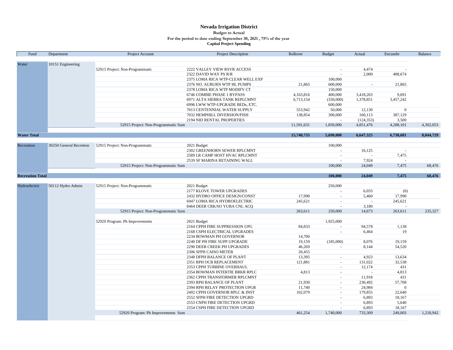#### **Nevada Irrigation District For the period to date ending September 30, 2021 , 75% of the year Capital Project Spending Budget to Actual**

| Water<br>10151 Engineering<br>52915 Project: Non-Programmatic<br>2222 VALLEY VIEW RSVR ACCESS<br>4,474<br>$\sim$<br>2,000<br>408,674<br>2322 DAVID WAY PS R/R<br>2375 LOMA RICA WTP-CLEAR WELL EXP<br>100,000<br>2376 NO. AUBURN WTP HL PUMPS<br>21,865<br>600,000<br>21,865<br>$\sim$<br>150,000<br>2378 LOMA RICA WTP MODIFY CT<br>4,163,816<br>400,000<br>9,691<br>6746 COMBIE PHASE 1 BYPASS<br>3,418,263<br>1,378,851<br>6,713,154<br>3,457,242<br>6971 ALTA SIERRA TANK REPLCMNT<br>(350,000)<br>600,000<br>6996 LWW WTP-UPGRADE BEDs, ETC.<br>553,942<br>50,000<br>7013 CENTENNIAL WATER SUPPLY<br>12,130<br>$\boldsymbol{0}$<br>138,854<br>300,000<br>160,113<br>387,129<br>7032 HEMPHILL DIVERSION/FISH<br>(124, 353)<br>3,500<br>2194 NID RENTAL PROPERTIES<br>$\sim$<br>52915 Project: Non-Programmatic Sum<br>11,591,631<br>1,850,000<br>4,851,476<br>4,288,101<br>4,302,053<br>15,740,735<br>5,690,000<br>6,647,325<br>8,044,729<br>6,738,681<br>30250 General Recretion<br>52915 Project: Non-Programmatic<br>2021 Budget<br>100,000<br>Recreation<br>2302 GREENHORN SEWER RPLCMNT<br>16,125<br>$\sim$<br>$\sim$<br>7,475<br>2589 LR CAMP HOST HVAC RPLCMNT<br>$\sim$<br>$\overline{a}$<br>7.924<br>2539 SF MARINA RETAINING WALL<br>$\sim$<br>100,000<br>24,049<br>7,475<br>68,476<br>52915 Project: Non-Programmatic Sum<br>100,000<br>7,475<br>68,476<br><b>Recreation Total</b><br>24,049<br>52915 Project: Non-Programmatic<br>250,000<br>Hydroelectric<br>50112 Hydro Admin<br>2021 Budget<br><b>2177 KLOVE TOWER UPGRADES</b><br>6,033<br>(0)<br>2432 HYDRO OFFICE DESIGN/CONST<br>17,990<br>5,460<br>17,990<br>$\sim$<br>245,621<br>245,621<br>6947 LOMA RICA HYDROELECTRIC<br>$\sim$<br>$\sim$<br>3,180<br>8464 DEER CRK/SO YUBA CNL ACQ<br>$\overline{a}$<br>$\sim$<br>52915 Project: Non-Programmatic Sum<br>263,611<br>250,000<br>14,673<br>263,611<br>235,327<br>1,925,000<br>52920 Program: Ph Improvements<br>2021 Budget<br>2164 CPPH FIRE SUPPRESSION UPG<br>84,833<br>94,578<br>1,138<br>$\sim$<br>19<br>2168 CSPH ELECTRICAL UPGRADES<br>6,464<br>$\sim$<br>2234 BOWMAN PH GOVERNOR<br>14,700<br>(185,000)<br>8,076<br>19,159<br>2240 DF PH FIRE SUPP UPGRADE<br>19,159<br>8,144<br>54,520<br>2290 DEER CREEK PH UPGRADES<br>46,269<br>$\blacksquare$<br>2306 SFPH CAISO METER<br>20,455<br>2348 DFPH BALANCE OF PLANT<br>13,395<br>4,923<br>13,634<br>$\sim$<br>32,538<br>121,881<br>131,022<br>2351 RPH OCB REPLACEMENT<br>$\sim$<br>2353 CPPH TURBINE OVERHAUL<br>12,174<br>431<br>$\omega$<br>2354 BOWMAN INTERTIE BRKR RPLC<br>4,813<br>4,813<br>$\sim$<br>$\overline{a}$<br>2362 CPPH TRANSFORMER RPLCMNT<br>11,918<br>431<br>$\sim$<br>2393 RPH BALANCE OF PLANT<br>21,930<br>230,492<br>57,708<br>$\sim$<br>24,984<br>2394 RPH RELAY PROTECTION UPGR<br>11,740<br>$\Omega$<br>$\sim$<br>179,855<br>22,640<br>2402 CPPH GOVERNOR RPLC & INST<br>102,079<br>$\sim$<br>6,893<br>2552 SFPH FIRE DETECTION UPGRD<br>18,167<br>$\sim$<br>6,893<br>2553 CNPH FIRE DETECTION UPGRD<br>5,640<br>$\sim$<br>18,167<br>2554 CSPH FIRE DETECTION UPGRD<br>6,893<br>$\sim$<br>52920 Program: Ph Improvements Sum<br>461,254<br>1,740,000<br>733,309<br>249,003<br>1,218,942 | Fund               | Department | Project Account | Project Description | Rollover | <b>Budget</b> | Actual | Encumbr | Balance |
|--------------------------------------------------------------------------------------------------------------------------------------------------------------------------------------------------------------------------------------------------------------------------------------------------------------------------------------------------------------------------------------------------------------------------------------------------------------------------------------------------------------------------------------------------------------------------------------------------------------------------------------------------------------------------------------------------------------------------------------------------------------------------------------------------------------------------------------------------------------------------------------------------------------------------------------------------------------------------------------------------------------------------------------------------------------------------------------------------------------------------------------------------------------------------------------------------------------------------------------------------------------------------------------------------------------------------------------------------------------------------------------------------------------------------------------------------------------------------------------------------------------------------------------------------------------------------------------------------------------------------------------------------------------------------------------------------------------------------------------------------------------------------------------------------------------------------------------------------------------------------------------------------------------------------------------------------------------------------------------------------------------------------------------------------------------------------------------------------------------------------------------------------------------------------------------------------------------------------------------------------------------------------------------------------------------------------------------------------------------------------------------------------------------------------------------------------------------------------------------------------------------------------------------------------------------------------------------------------------------------------------------------------------------------------------------------------------------------------------------------------------------------------------------------------------------------------------------------------------------------------------------------------------------------------------------------------------------------------------------------------------------------------------------------------------------------------------------------------------------------------------------------------------------------------------------------------------|--------------------|------------|-----------------|---------------------|----------|---------------|--------|---------|---------|
|                                                                                                                                                                                                                                                                                                                                                                                                                                                                                                                                                                                                                                                                                                                                                                                                                                                                                                                                                                                                                                                                                                                                                                                                                                                                                                                                                                                                                                                                                                                                                                                                                                                                                                                                                                                                                                                                                                                                                                                                                                                                                                                                                                                                                                                                                                                                                                                                                                                                                                                                                                                                                                                                                                                                                                                                                                                                                                                                                                                                                                                                                                                                                                                                        |                    |            |                 |                     |          |               |        |         |         |
|                                                                                                                                                                                                                                                                                                                                                                                                                                                                                                                                                                                                                                                                                                                                                                                                                                                                                                                                                                                                                                                                                                                                                                                                                                                                                                                                                                                                                                                                                                                                                                                                                                                                                                                                                                                                                                                                                                                                                                                                                                                                                                                                                                                                                                                                                                                                                                                                                                                                                                                                                                                                                                                                                                                                                                                                                                                                                                                                                                                                                                                                                                                                                                                                        |                    |            |                 |                     |          |               |        |         |         |
|                                                                                                                                                                                                                                                                                                                                                                                                                                                                                                                                                                                                                                                                                                                                                                                                                                                                                                                                                                                                                                                                                                                                                                                                                                                                                                                                                                                                                                                                                                                                                                                                                                                                                                                                                                                                                                                                                                                                                                                                                                                                                                                                                                                                                                                                                                                                                                                                                                                                                                                                                                                                                                                                                                                                                                                                                                                                                                                                                                                                                                                                                                                                                                                                        |                    |            |                 |                     |          |               |        |         |         |
|                                                                                                                                                                                                                                                                                                                                                                                                                                                                                                                                                                                                                                                                                                                                                                                                                                                                                                                                                                                                                                                                                                                                                                                                                                                                                                                                                                                                                                                                                                                                                                                                                                                                                                                                                                                                                                                                                                                                                                                                                                                                                                                                                                                                                                                                                                                                                                                                                                                                                                                                                                                                                                                                                                                                                                                                                                                                                                                                                                                                                                                                                                                                                                                                        |                    |            |                 |                     |          |               |        |         |         |
|                                                                                                                                                                                                                                                                                                                                                                                                                                                                                                                                                                                                                                                                                                                                                                                                                                                                                                                                                                                                                                                                                                                                                                                                                                                                                                                                                                                                                                                                                                                                                                                                                                                                                                                                                                                                                                                                                                                                                                                                                                                                                                                                                                                                                                                                                                                                                                                                                                                                                                                                                                                                                                                                                                                                                                                                                                                                                                                                                                                                                                                                                                                                                                                                        |                    |            |                 |                     |          |               |        |         |         |
|                                                                                                                                                                                                                                                                                                                                                                                                                                                                                                                                                                                                                                                                                                                                                                                                                                                                                                                                                                                                                                                                                                                                                                                                                                                                                                                                                                                                                                                                                                                                                                                                                                                                                                                                                                                                                                                                                                                                                                                                                                                                                                                                                                                                                                                                                                                                                                                                                                                                                                                                                                                                                                                                                                                                                                                                                                                                                                                                                                                                                                                                                                                                                                                                        |                    |            |                 |                     |          |               |        |         |         |
|                                                                                                                                                                                                                                                                                                                                                                                                                                                                                                                                                                                                                                                                                                                                                                                                                                                                                                                                                                                                                                                                                                                                                                                                                                                                                                                                                                                                                                                                                                                                                                                                                                                                                                                                                                                                                                                                                                                                                                                                                                                                                                                                                                                                                                                                                                                                                                                                                                                                                                                                                                                                                                                                                                                                                                                                                                                                                                                                                                                                                                                                                                                                                                                                        |                    |            |                 |                     |          |               |        |         |         |
|                                                                                                                                                                                                                                                                                                                                                                                                                                                                                                                                                                                                                                                                                                                                                                                                                                                                                                                                                                                                                                                                                                                                                                                                                                                                                                                                                                                                                                                                                                                                                                                                                                                                                                                                                                                                                                                                                                                                                                                                                                                                                                                                                                                                                                                                                                                                                                                                                                                                                                                                                                                                                                                                                                                                                                                                                                                                                                                                                                                                                                                                                                                                                                                                        |                    |            |                 |                     |          |               |        |         |         |
|                                                                                                                                                                                                                                                                                                                                                                                                                                                                                                                                                                                                                                                                                                                                                                                                                                                                                                                                                                                                                                                                                                                                                                                                                                                                                                                                                                                                                                                                                                                                                                                                                                                                                                                                                                                                                                                                                                                                                                                                                                                                                                                                                                                                                                                                                                                                                                                                                                                                                                                                                                                                                                                                                                                                                                                                                                                                                                                                                                                                                                                                                                                                                                                                        |                    |            |                 |                     |          |               |        |         |         |
|                                                                                                                                                                                                                                                                                                                                                                                                                                                                                                                                                                                                                                                                                                                                                                                                                                                                                                                                                                                                                                                                                                                                                                                                                                                                                                                                                                                                                                                                                                                                                                                                                                                                                                                                                                                                                                                                                                                                                                                                                                                                                                                                                                                                                                                                                                                                                                                                                                                                                                                                                                                                                                                                                                                                                                                                                                                                                                                                                                                                                                                                                                                                                                                                        |                    |            |                 |                     |          |               |        |         |         |
|                                                                                                                                                                                                                                                                                                                                                                                                                                                                                                                                                                                                                                                                                                                                                                                                                                                                                                                                                                                                                                                                                                                                                                                                                                                                                                                                                                                                                                                                                                                                                                                                                                                                                                                                                                                                                                                                                                                                                                                                                                                                                                                                                                                                                                                                                                                                                                                                                                                                                                                                                                                                                                                                                                                                                                                                                                                                                                                                                                                                                                                                                                                                                                                                        |                    |            |                 |                     |          |               |        |         |         |
|                                                                                                                                                                                                                                                                                                                                                                                                                                                                                                                                                                                                                                                                                                                                                                                                                                                                                                                                                                                                                                                                                                                                                                                                                                                                                                                                                                                                                                                                                                                                                                                                                                                                                                                                                                                                                                                                                                                                                                                                                                                                                                                                                                                                                                                                                                                                                                                                                                                                                                                                                                                                                                                                                                                                                                                                                                                                                                                                                                                                                                                                                                                                                                                                        |                    |            |                 |                     |          |               |        |         |         |
|                                                                                                                                                                                                                                                                                                                                                                                                                                                                                                                                                                                                                                                                                                                                                                                                                                                                                                                                                                                                                                                                                                                                                                                                                                                                                                                                                                                                                                                                                                                                                                                                                                                                                                                                                                                                                                                                                                                                                                                                                                                                                                                                                                                                                                                                                                                                                                                                                                                                                                                                                                                                                                                                                                                                                                                                                                                                                                                                                                                                                                                                                                                                                                                                        |                    |            |                 |                     |          |               |        |         |         |
|                                                                                                                                                                                                                                                                                                                                                                                                                                                                                                                                                                                                                                                                                                                                                                                                                                                                                                                                                                                                                                                                                                                                                                                                                                                                                                                                                                                                                                                                                                                                                                                                                                                                                                                                                                                                                                                                                                                                                                                                                                                                                                                                                                                                                                                                                                                                                                                                                                                                                                                                                                                                                                                                                                                                                                                                                                                                                                                                                                                                                                                                                                                                                                                                        | <b>Water Total</b> |            |                 |                     |          |               |        |         |         |
|                                                                                                                                                                                                                                                                                                                                                                                                                                                                                                                                                                                                                                                                                                                                                                                                                                                                                                                                                                                                                                                                                                                                                                                                                                                                                                                                                                                                                                                                                                                                                                                                                                                                                                                                                                                                                                                                                                                                                                                                                                                                                                                                                                                                                                                                                                                                                                                                                                                                                                                                                                                                                                                                                                                                                                                                                                                                                                                                                                                                                                                                                                                                                                                                        |                    |            |                 |                     |          |               |        |         |         |
|                                                                                                                                                                                                                                                                                                                                                                                                                                                                                                                                                                                                                                                                                                                                                                                                                                                                                                                                                                                                                                                                                                                                                                                                                                                                                                                                                                                                                                                                                                                                                                                                                                                                                                                                                                                                                                                                                                                                                                                                                                                                                                                                                                                                                                                                                                                                                                                                                                                                                                                                                                                                                                                                                                                                                                                                                                                                                                                                                                                                                                                                                                                                                                                                        |                    |            |                 |                     |          |               |        |         |         |
|                                                                                                                                                                                                                                                                                                                                                                                                                                                                                                                                                                                                                                                                                                                                                                                                                                                                                                                                                                                                                                                                                                                                                                                                                                                                                                                                                                                                                                                                                                                                                                                                                                                                                                                                                                                                                                                                                                                                                                                                                                                                                                                                                                                                                                                                                                                                                                                                                                                                                                                                                                                                                                                                                                                                                                                                                                                                                                                                                                                                                                                                                                                                                                                                        |                    |            |                 |                     |          |               |        |         |         |
|                                                                                                                                                                                                                                                                                                                                                                                                                                                                                                                                                                                                                                                                                                                                                                                                                                                                                                                                                                                                                                                                                                                                                                                                                                                                                                                                                                                                                                                                                                                                                                                                                                                                                                                                                                                                                                                                                                                                                                                                                                                                                                                                                                                                                                                                                                                                                                                                                                                                                                                                                                                                                                                                                                                                                                                                                                                                                                                                                                                                                                                                                                                                                                                                        |                    |            |                 |                     |          |               |        |         |         |
|                                                                                                                                                                                                                                                                                                                                                                                                                                                                                                                                                                                                                                                                                                                                                                                                                                                                                                                                                                                                                                                                                                                                                                                                                                                                                                                                                                                                                                                                                                                                                                                                                                                                                                                                                                                                                                                                                                                                                                                                                                                                                                                                                                                                                                                                                                                                                                                                                                                                                                                                                                                                                                                                                                                                                                                                                                                                                                                                                                                                                                                                                                                                                                                                        |                    |            |                 |                     |          |               |        |         |         |
|                                                                                                                                                                                                                                                                                                                                                                                                                                                                                                                                                                                                                                                                                                                                                                                                                                                                                                                                                                                                                                                                                                                                                                                                                                                                                                                                                                                                                                                                                                                                                                                                                                                                                                                                                                                                                                                                                                                                                                                                                                                                                                                                                                                                                                                                                                                                                                                                                                                                                                                                                                                                                                                                                                                                                                                                                                                                                                                                                                                                                                                                                                                                                                                                        |                    |            |                 |                     |          |               |        |         |         |
|                                                                                                                                                                                                                                                                                                                                                                                                                                                                                                                                                                                                                                                                                                                                                                                                                                                                                                                                                                                                                                                                                                                                                                                                                                                                                                                                                                                                                                                                                                                                                                                                                                                                                                                                                                                                                                                                                                                                                                                                                                                                                                                                                                                                                                                                                                                                                                                                                                                                                                                                                                                                                                                                                                                                                                                                                                                                                                                                                                                                                                                                                                                                                                                                        |                    |            |                 |                     |          |               |        |         |         |
|                                                                                                                                                                                                                                                                                                                                                                                                                                                                                                                                                                                                                                                                                                                                                                                                                                                                                                                                                                                                                                                                                                                                                                                                                                                                                                                                                                                                                                                                                                                                                                                                                                                                                                                                                                                                                                                                                                                                                                                                                                                                                                                                                                                                                                                                                                                                                                                                                                                                                                                                                                                                                                                                                                                                                                                                                                                                                                                                                                                                                                                                                                                                                                                                        |                    |            |                 |                     |          |               |        |         |         |
|                                                                                                                                                                                                                                                                                                                                                                                                                                                                                                                                                                                                                                                                                                                                                                                                                                                                                                                                                                                                                                                                                                                                                                                                                                                                                                                                                                                                                                                                                                                                                                                                                                                                                                                                                                                                                                                                                                                                                                                                                                                                                                                                                                                                                                                                                                                                                                                                                                                                                                                                                                                                                                                                                                                                                                                                                                                                                                                                                                                                                                                                                                                                                                                                        |                    |            |                 |                     |          |               |        |         |         |
|                                                                                                                                                                                                                                                                                                                                                                                                                                                                                                                                                                                                                                                                                                                                                                                                                                                                                                                                                                                                                                                                                                                                                                                                                                                                                                                                                                                                                                                                                                                                                                                                                                                                                                                                                                                                                                                                                                                                                                                                                                                                                                                                                                                                                                                                                                                                                                                                                                                                                                                                                                                                                                                                                                                                                                                                                                                                                                                                                                                                                                                                                                                                                                                                        |                    |            |                 |                     |          |               |        |         |         |
|                                                                                                                                                                                                                                                                                                                                                                                                                                                                                                                                                                                                                                                                                                                                                                                                                                                                                                                                                                                                                                                                                                                                                                                                                                                                                                                                                                                                                                                                                                                                                                                                                                                                                                                                                                                                                                                                                                                                                                                                                                                                                                                                                                                                                                                                                                                                                                                                                                                                                                                                                                                                                                                                                                                                                                                                                                                                                                                                                                                                                                                                                                                                                                                                        |                    |            |                 |                     |          |               |        |         |         |
|                                                                                                                                                                                                                                                                                                                                                                                                                                                                                                                                                                                                                                                                                                                                                                                                                                                                                                                                                                                                                                                                                                                                                                                                                                                                                                                                                                                                                                                                                                                                                                                                                                                                                                                                                                                                                                                                                                                                                                                                                                                                                                                                                                                                                                                                                                                                                                                                                                                                                                                                                                                                                                                                                                                                                                                                                                                                                                                                                                                                                                                                                                                                                                                                        |                    |            |                 |                     |          |               |        |         |         |
|                                                                                                                                                                                                                                                                                                                                                                                                                                                                                                                                                                                                                                                                                                                                                                                                                                                                                                                                                                                                                                                                                                                                                                                                                                                                                                                                                                                                                                                                                                                                                                                                                                                                                                                                                                                                                                                                                                                                                                                                                                                                                                                                                                                                                                                                                                                                                                                                                                                                                                                                                                                                                                                                                                                                                                                                                                                                                                                                                                                                                                                                                                                                                                                                        |                    |            |                 |                     |          |               |        |         |         |
|                                                                                                                                                                                                                                                                                                                                                                                                                                                                                                                                                                                                                                                                                                                                                                                                                                                                                                                                                                                                                                                                                                                                                                                                                                                                                                                                                                                                                                                                                                                                                                                                                                                                                                                                                                                                                                                                                                                                                                                                                                                                                                                                                                                                                                                                                                                                                                                                                                                                                                                                                                                                                                                                                                                                                                                                                                                                                                                                                                                                                                                                                                                                                                                                        |                    |            |                 |                     |          |               |        |         |         |
|                                                                                                                                                                                                                                                                                                                                                                                                                                                                                                                                                                                                                                                                                                                                                                                                                                                                                                                                                                                                                                                                                                                                                                                                                                                                                                                                                                                                                                                                                                                                                                                                                                                                                                                                                                                                                                                                                                                                                                                                                                                                                                                                                                                                                                                                                                                                                                                                                                                                                                                                                                                                                                                                                                                                                                                                                                                                                                                                                                                                                                                                                                                                                                                                        |                    |            |                 |                     |          |               |        |         |         |
|                                                                                                                                                                                                                                                                                                                                                                                                                                                                                                                                                                                                                                                                                                                                                                                                                                                                                                                                                                                                                                                                                                                                                                                                                                                                                                                                                                                                                                                                                                                                                                                                                                                                                                                                                                                                                                                                                                                                                                                                                                                                                                                                                                                                                                                                                                                                                                                                                                                                                                                                                                                                                                                                                                                                                                                                                                                                                                                                                                                                                                                                                                                                                                                                        |                    |            |                 |                     |          |               |        |         |         |
|                                                                                                                                                                                                                                                                                                                                                                                                                                                                                                                                                                                                                                                                                                                                                                                                                                                                                                                                                                                                                                                                                                                                                                                                                                                                                                                                                                                                                                                                                                                                                                                                                                                                                                                                                                                                                                                                                                                                                                                                                                                                                                                                                                                                                                                                                                                                                                                                                                                                                                                                                                                                                                                                                                                                                                                                                                                                                                                                                                                                                                                                                                                                                                                                        |                    |            |                 |                     |          |               |        |         |         |
|                                                                                                                                                                                                                                                                                                                                                                                                                                                                                                                                                                                                                                                                                                                                                                                                                                                                                                                                                                                                                                                                                                                                                                                                                                                                                                                                                                                                                                                                                                                                                                                                                                                                                                                                                                                                                                                                                                                                                                                                                                                                                                                                                                                                                                                                                                                                                                                                                                                                                                                                                                                                                                                                                                                                                                                                                                                                                                                                                                                                                                                                                                                                                                                                        |                    |            |                 |                     |          |               |        |         |         |
|                                                                                                                                                                                                                                                                                                                                                                                                                                                                                                                                                                                                                                                                                                                                                                                                                                                                                                                                                                                                                                                                                                                                                                                                                                                                                                                                                                                                                                                                                                                                                                                                                                                                                                                                                                                                                                                                                                                                                                                                                                                                                                                                                                                                                                                                                                                                                                                                                                                                                                                                                                                                                                                                                                                                                                                                                                                                                                                                                                                                                                                                                                                                                                                                        |                    |            |                 |                     |          |               |        |         |         |
|                                                                                                                                                                                                                                                                                                                                                                                                                                                                                                                                                                                                                                                                                                                                                                                                                                                                                                                                                                                                                                                                                                                                                                                                                                                                                                                                                                                                                                                                                                                                                                                                                                                                                                                                                                                                                                                                                                                                                                                                                                                                                                                                                                                                                                                                                                                                                                                                                                                                                                                                                                                                                                                                                                                                                                                                                                                                                                                                                                                                                                                                                                                                                                                                        |                    |            |                 |                     |          |               |        |         |         |
|                                                                                                                                                                                                                                                                                                                                                                                                                                                                                                                                                                                                                                                                                                                                                                                                                                                                                                                                                                                                                                                                                                                                                                                                                                                                                                                                                                                                                                                                                                                                                                                                                                                                                                                                                                                                                                                                                                                                                                                                                                                                                                                                                                                                                                                                                                                                                                                                                                                                                                                                                                                                                                                                                                                                                                                                                                                                                                                                                                                                                                                                                                                                                                                                        |                    |            |                 |                     |          |               |        |         |         |
|                                                                                                                                                                                                                                                                                                                                                                                                                                                                                                                                                                                                                                                                                                                                                                                                                                                                                                                                                                                                                                                                                                                                                                                                                                                                                                                                                                                                                                                                                                                                                                                                                                                                                                                                                                                                                                                                                                                                                                                                                                                                                                                                                                                                                                                                                                                                                                                                                                                                                                                                                                                                                                                                                                                                                                                                                                                                                                                                                                                                                                                                                                                                                                                                        |                    |            |                 |                     |          |               |        |         |         |
|                                                                                                                                                                                                                                                                                                                                                                                                                                                                                                                                                                                                                                                                                                                                                                                                                                                                                                                                                                                                                                                                                                                                                                                                                                                                                                                                                                                                                                                                                                                                                                                                                                                                                                                                                                                                                                                                                                                                                                                                                                                                                                                                                                                                                                                                                                                                                                                                                                                                                                                                                                                                                                                                                                                                                                                                                                                                                                                                                                                                                                                                                                                                                                                                        |                    |            |                 |                     |          |               |        |         |         |
|                                                                                                                                                                                                                                                                                                                                                                                                                                                                                                                                                                                                                                                                                                                                                                                                                                                                                                                                                                                                                                                                                                                                                                                                                                                                                                                                                                                                                                                                                                                                                                                                                                                                                                                                                                                                                                                                                                                                                                                                                                                                                                                                                                                                                                                                                                                                                                                                                                                                                                                                                                                                                                                                                                                                                                                                                                                                                                                                                                                                                                                                                                                                                                                                        |                    |            |                 |                     |          |               |        |         |         |
|                                                                                                                                                                                                                                                                                                                                                                                                                                                                                                                                                                                                                                                                                                                                                                                                                                                                                                                                                                                                                                                                                                                                                                                                                                                                                                                                                                                                                                                                                                                                                                                                                                                                                                                                                                                                                                                                                                                                                                                                                                                                                                                                                                                                                                                                                                                                                                                                                                                                                                                                                                                                                                                                                                                                                                                                                                                                                                                                                                                                                                                                                                                                                                                                        |                    |            |                 |                     |          |               |        |         |         |
|                                                                                                                                                                                                                                                                                                                                                                                                                                                                                                                                                                                                                                                                                                                                                                                                                                                                                                                                                                                                                                                                                                                                                                                                                                                                                                                                                                                                                                                                                                                                                                                                                                                                                                                                                                                                                                                                                                                                                                                                                                                                                                                                                                                                                                                                                                                                                                                                                                                                                                                                                                                                                                                                                                                                                                                                                                                                                                                                                                                                                                                                                                                                                                                                        |                    |            |                 |                     |          |               |        |         |         |
|                                                                                                                                                                                                                                                                                                                                                                                                                                                                                                                                                                                                                                                                                                                                                                                                                                                                                                                                                                                                                                                                                                                                                                                                                                                                                                                                                                                                                                                                                                                                                                                                                                                                                                                                                                                                                                                                                                                                                                                                                                                                                                                                                                                                                                                                                                                                                                                                                                                                                                                                                                                                                                                                                                                                                                                                                                                                                                                                                                                                                                                                                                                                                                                                        |                    |            |                 |                     |          |               |        |         |         |
|                                                                                                                                                                                                                                                                                                                                                                                                                                                                                                                                                                                                                                                                                                                                                                                                                                                                                                                                                                                                                                                                                                                                                                                                                                                                                                                                                                                                                                                                                                                                                                                                                                                                                                                                                                                                                                                                                                                                                                                                                                                                                                                                                                                                                                                                                                                                                                                                                                                                                                                                                                                                                                                                                                                                                                                                                                                                                                                                                                                                                                                                                                                                                                                                        |                    |            |                 |                     |          |               |        |         |         |
|                                                                                                                                                                                                                                                                                                                                                                                                                                                                                                                                                                                                                                                                                                                                                                                                                                                                                                                                                                                                                                                                                                                                                                                                                                                                                                                                                                                                                                                                                                                                                                                                                                                                                                                                                                                                                                                                                                                                                                                                                                                                                                                                                                                                                                                                                                                                                                                                                                                                                                                                                                                                                                                                                                                                                                                                                                                                                                                                                                                                                                                                                                                                                                                                        |                    |            |                 |                     |          |               |        |         |         |
|                                                                                                                                                                                                                                                                                                                                                                                                                                                                                                                                                                                                                                                                                                                                                                                                                                                                                                                                                                                                                                                                                                                                                                                                                                                                                                                                                                                                                                                                                                                                                                                                                                                                                                                                                                                                                                                                                                                                                                                                                                                                                                                                                                                                                                                                                                                                                                                                                                                                                                                                                                                                                                                                                                                                                                                                                                                                                                                                                                                                                                                                                                                                                                                                        |                    |            |                 |                     |          |               |        |         |         |
|                                                                                                                                                                                                                                                                                                                                                                                                                                                                                                                                                                                                                                                                                                                                                                                                                                                                                                                                                                                                                                                                                                                                                                                                                                                                                                                                                                                                                                                                                                                                                                                                                                                                                                                                                                                                                                                                                                                                                                                                                                                                                                                                                                                                                                                                                                                                                                                                                                                                                                                                                                                                                                                                                                                                                                                                                                                                                                                                                                                                                                                                                                                                                                                                        |                    |            |                 |                     |          |               |        |         |         |
|                                                                                                                                                                                                                                                                                                                                                                                                                                                                                                                                                                                                                                                                                                                                                                                                                                                                                                                                                                                                                                                                                                                                                                                                                                                                                                                                                                                                                                                                                                                                                                                                                                                                                                                                                                                                                                                                                                                                                                                                                                                                                                                                                                                                                                                                                                                                                                                                                                                                                                                                                                                                                                                                                                                                                                                                                                                                                                                                                                                                                                                                                                                                                                                                        |                    |            |                 |                     |          |               |        |         |         |
|                                                                                                                                                                                                                                                                                                                                                                                                                                                                                                                                                                                                                                                                                                                                                                                                                                                                                                                                                                                                                                                                                                                                                                                                                                                                                                                                                                                                                                                                                                                                                                                                                                                                                                                                                                                                                                                                                                                                                                                                                                                                                                                                                                                                                                                                                                                                                                                                                                                                                                                                                                                                                                                                                                                                                                                                                                                                                                                                                                                                                                                                                                                                                                                                        |                    |            |                 |                     |          |               |        |         |         |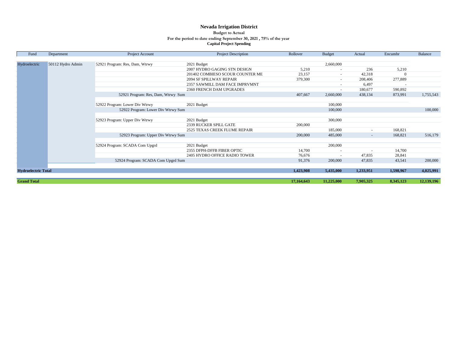#### **Nevada Irrigation District For the period to date ending September 30, 2021 , 75% of the year Capital Project Spending Budget to Actual**

| Fund                               | Department | Project Account                    | <b>Project Description</b>       | Rollover   | <b>Budget</b>            | Actual                   | Encumbr   | Balance    |
|------------------------------------|------------|------------------------------------|----------------------------------|------------|--------------------------|--------------------------|-----------|------------|
|                                    |            |                                    |                                  |            |                          |                          |           |            |
| 50112 Hydro Admin<br>Hydroelectric |            | 52921 Program: Res, Dam, Wtrwy     | 2021 Budget                      |            | 2,660,000                |                          |           |            |
|                                    |            |                                    | 2007 HYDRO GAGING STN DESIGN     | 5,210      | $\overline{\phantom{a}}$ | 236                      | 5,210     |            |
|                                    |            |                                    | 201402 COMBIESO SCOUR COUNTER ME | 23,157     | $\overline{\phantom{a}}$ | 42,318                   |           |            |
|                                    |            |                                    | 2094 SF SPILLWAY REPAIR          | 379,300    | $\sim$                   | 208,406                  | 277,889   |            |
|                                    |            |                                    | 2357 SAWMILL DAM FACE IMPRVMNT   |            | $\overline{\phantom{a}}$ | 6,497                    |           |            |
|                                    |            |                                    | 2360 FRENCH DAM UPGRADES         |            |                          | 180,677                  | 590,892   |            |
|                                    |            | 52921 Program: Res, Dam, Wtrwy Sum |                                  | 407,667    | 2,660,000                | 438,134                  | 873,991   | 1,755,543  |
|                                    |            |                                    |                                  |            |                          |                          |           |            |
|                                    |            | 52922 Program: Lower Div Wtrwy     | 2021 Budget                      |            | 100,000                  |                          |           |            |
|                                    |            | 52922 Program: Lower Div Wtrwy Sum |                                  |            | 100,000                  |                          |           | 100,000    |
|                                    |            |                                    |                                  |            |                          |                          |           |            |
|                                    |            | 52923 Program: Upper Div Wtrwy     | 2021 Budget                      |            | 300,000                  |                          |           |            |
|                                    |            |                                    | 2339 RUCKER SPILL GATE           | 200,000    |                          |                          |           |            |
|                                    |            |                                    | 2525 TEXAS CREEK FLUME REPAIR    |            | 185,000                  |                          | 168,821   |            |
|                                    |            | 52923 Program: Upper Div Wtrwy Sum |                                  | 200,000    | 485,000                  | $\overline{\phantom{a}}$ | 168,821   | 516,179    |
|                                    |            |                                    |                                  |            |                          |                          |           |            |
|                                    |            | 52924 Program: SCADA Com Upgrd     | 2021 Budget                      |            | 200,000                  |                          |           |            |
|                                    |            |                                    | 2355 DFPH-DFFB FIBER OPTIC       | 14,700     |                          |                          | 14,700    |            |
|                                    |            |                                    | 2405 HYDRO OFFICE RADIO TOWER    | 76,676     |                          | 47,835                   | 28,841    |            |
|                                    |            | 52924 Program: SCADA Com Upgrd Sum |                                  | 91,376     | 200,000                  | 47,835                   | 43,541    | 200,000    |
|                                    |            |                                    |                                  |            |                          |                          |           |            |
| <b>Hydroelectric Total</b>         |            |                                    |                                  | 1,423,908  | 5,435,000                | 1,233,951                | 1,598,967 | 4,025,991  |
|                                    |            |                                    |                                  |            |                          |                          |           |            |
| <b>Grand Total</b>                 |            |                                    |                                  | 17,164,643 | 11,225,000               | 7,905,325                | 8,345,123 | 12,139,196 |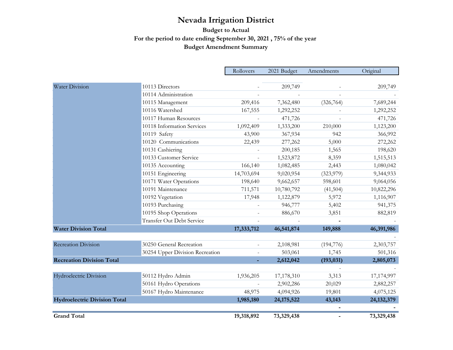# **For the period to date ending September 30, 2021 , 75% of the year Budget Amendment Summary Budget to Actual**

|                                     |                                  | Rollovers  | 2021 Budget  | Amendments | Original     |
|-------------------------------------|----------------------------------|------------|--------------|------------|--------------|
|                                     |                                  |            |              |            |              |
| <b>Water Division</b>               | 10113 Directors                  |            | 209,749      |            | 209,749      |
|                                     | 10114 Administration             |            |              |            |              |
|                                     | 10115 Management                 | 209,416    | 7,362,480    | (326, 764) | 7,689,244    |
|                                     | 10116 Watershed                  | 167,555    | 1,292,252    |            | 1,292,252    |
|                                     | 10117 Human Resources            |            | 471,726      |            | 471,726      |
|                                     | 10118 Information Services       | 1,092,409  | 1,333,200    | 210,000    | 1,123,200    |
|                                     | 10119 Safety                     | 43,900     | 367,934      | 942        | 366,992      |
|                                     | 10120 Communications             | 22,439     | 277,262      | 5,000      | 272,262      |
|                                     | 10131 Cashiering                 |            | 200,185      | 1,565      | 198,620      |
|                                     | 10133 Customer Service           |            | 1,523,872    | 8,359      | 1,515,513    |
|                                     | 10135 Accounting                 | 166,140    | 1,082,485    | 2,443      | 1,080,042    |
|                                     | 10151 Engineering                | 14,703,694 | 9,020,954    | (323, 979) | 9,344,933    |
|                                     | 10171 Water Operations           | 198,640    | 9,662,657    | 598,601    | 9,064,056    |
|                                     | 10191 Maintenance                | 711,571    | 10,780,792   | (41, 504)  | 10,822,296   |
|                                     | 10192 Vegetation                 | 17,948     | 1,122,879    | 5,972      | 1,116,907    |
|                                     | 10193 Purchasing                 |            | 946,777      | 5,402      | 941,375      |
|                                     | 10195 Shop Operations            |            | 886,670      | 3,851      | 882,819      |
|                                     | <b>Transfer Out Debt Service</b> |            |              |            |              |
| <b>Water Division Total</b>         |                                  | 17,333,712 | 46,541,874   | 149,888    | 46,391,986   |
|                                     |                                  |            |              |            |              |
| <b>Recreation Division</b>          | 30250 General Recreation         |            | 2,108,981    | (194, 776) | 2,303,757    |
|                                     | 30254 Upper Division Recreation  |            | 503,061      | 1,745      | 501,316      |
| <b>Recreation Division Total</b>    |                                  |            | 2,612,042    | (193, 031) | 2,805,073    |
|                                     |                                  |            |              |            |              |
| Hydroelectric Division              | 50112 Hydro Admin                | 1,936,205  | 17,178,310   | 3,313      | 17,174,997   |
|                                     | 50161 Hydro Operations           |            | 2,902,286    | 20,029     | 2,882,257    |
|                                     | 50167 Hydro Maintenance          | 48,975     | 4,094,926    | 19,801     | 4,075,125    |
| <b>Hydroelectric Division Total</b> |                                  | 1,985,180  | 24, 175, 522 | 43,143     | 24, 132, 379 |
| <b>Grand Total</b>                  |                                  | 19,318,892 | 73,329,438   |            | 73,329,438   |
|                                     |                                  |            |              |            |              |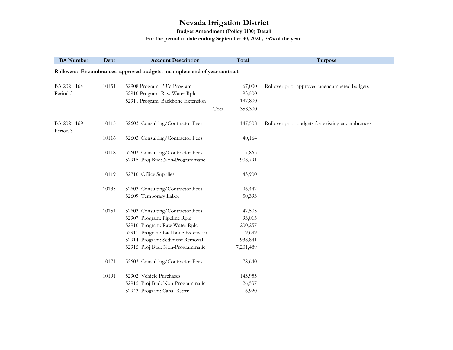**Budget Amendment (Policy 3100) Detail**

#### **For the period to date ending September 30, 2021 , 75% of the year**

| <b>BA</b> Number        | Dept  | <b>Account Description</b>                                                  | Total            | Purpose                                          |
|-------------------------|-------|-----------------------------------------------------------------------------|------------------|--------------------------------------------------|
|                         |       | Rollovers: Encumbrances, approved budgets, incomplete end of year contracts |                  |                                                  |
|                         |       |                                                                             |                  |                                                  |
| BA 2021-164             | 10151 | 52908 Program: PRV Program                                                  | 67,000           | Rollover prior approved unencumbered budgets     |
| Period 3                |       | 52910 Program: Raw Water Rplc                                               | 93,500           |                                                  |
|                         |       | 52911 Program: Backbone Extension                                           | 197,800          |                                                  |
|                         |       |                                                                             | Total<br>358,300 |                                                  |
| BA 2021-169<br>Period 3 | 10115 | 52603 Consulting/Contractor Fees                                            | 147,508          | Rollover prior budgets for existing encumbrances |
|                         | 10116 | 52603 Consulting/Contractor Fees                                            | 40,164           |                                                  |
|                         | 10118 | 52603 Consulting/Contractor Fees                                            | 7,863            |                                                  |
|                         |       | 52915 Proj Bud: Non-Programmatic                                            | 908,791          |                                                  |
|                         | 10119 | 52710 Office Supplies                                                       | 43,900           |                                                  |
|                         | 10135 | 52603 Consulting/Contractor Fees                                            | 96,447           |                                                  |
|                         |       | 52609 Temporary Labor                                                       | 50,393           |                                                  |
|                         | 10151 | 52603 Consulting/Contractor Fees                                            | 47,505           |                                                  |
|                         |       | 52907 Program: Pipeline Rplc                                                | 93,015           |                                                  |
|                         |       | 52910 Program: Raw Water Rplc                                               | 200,257          |                                                  |
|                         |       | 52911 Program: Backbone Extension                                           | 9,699            |                                                  |
|                         |       | 52914 Program: Sediment Removal                                             | 938,841          |                                                  |
|                         |       | 52915 Proj Bud: Non-Programmatic                                            | 7,201,489        |                                                  |
|                         | 10171 | 52603 Consulting/Contractor Fees                                            | 78,640           |                                                  |
|                         | 10191 | 52902 Vehicle Purchases                                                     | 143,955          |                                                  |
|                         |       | 52915 Proj Bud: Non-Programmatic                                            | 26,537           |                                                  |
|                         |       | 52943 Program: Canal Rstrtn                                                 | 6,920            |                                                  |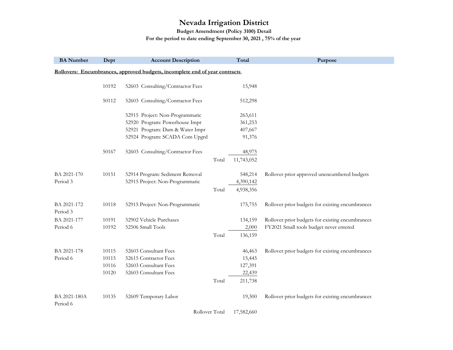**Budget Amendment (Policy 3100) Detail**

**For the period to date ending September 30, 2021 , 75% of the year** 

| <b>BA</b> Number         | Dept  | <b>Account Description</b>                                                  |       | Total      | Purpose                                          |
|--------------------------|-------|-----------------------------------------------------------------------------|-------|------------|--------------------------------------------------|
|                          |       | Rollovers: Encumbrances, approved budgets, incomplete end of year contracts |       |            |                                                  |
|                          | 10192 | 52603 Consulting/Contractor Fees                                            |       | 15,948     |                                                  |
|                          |       |                                                                             |       |            |                                                  |
|                          | 50112 | 52603 Consulting/Contractor Fees                                            |       | 512,298    |                                                  |
|                          |       | 52915 Project: Non-Programmatic                                             |       | 263,611    |                                                  |
|                          |       | 52920 Program: Powerhouse Impr                                              |       | 361,253    |                                                  |
|                          |       | 52921 Program: Dam & Water Impr                                             |       | 407,667    |                                                  |
|                          |       | 52924 Program: SCADA Com Upgrd                                              |       | 91,376     |                                                  |
|                          | 50167 | 52603 Consulting/Contractor Fees                                            |       | 48,975     |                                                  |
|                          |       |                                                                             | Total | 11,743,052 |                                                  |
| BA 2021-170              | 10151 | 52914 Program: Sediment Removal                                             |       | 548,214    | Rollover prior approved unencumbered budgets     |
| Period 3                 |       | 52915 Project: Non-Programmatic                                             |       | 4,390,142  |                                                  |
|                          |       |                                                                             | Total | 4,938,356  |                                                  |
| BA 2021-172<br>Period 3  | 10118 | 52915 Project: Non-Programmatic                                             |       | 175,755    | Rollover prior budgets for existing encumbrances |
| BA 2021-177              | 10191 | 52902 Vehicle Purchases                                                     |       | 134,159    | Rollover prior budgets for existing encumbrances |
| Period 6                 | 10192 | 52506 Small Tools                                                           |       | 2,000      | FY2021 Small tools budget never entered          |
|                          |       |                                                                             | Total | 136,159    |                                                  |
| BA 2021-178              | 10115 | 52603 Consultant Fees                                                       |       | 46,463     | Rollover prior budgets for existing encumbrances |
| Period 6                 | 10115 | 52615 Contractor Fees                                                       |       | 15,445     |                                                  |
|                          | 10116 | 52603 Consultant Fees                                                       |       | 127,391    |                                                  |
|                          | 10120 | 52603 Consultant Fees                                                       |       | 22,439     |                                                  |
|                          |       |                                                                             | Total | 211,738    |                                                  |
| BA 2021-180A<br>Period 6 | 10135 | 52609 Temporary Labor                                                       |       | 19,300     | Rollover prior budgets for existing encumbrances |

Rollover Total 17,582,660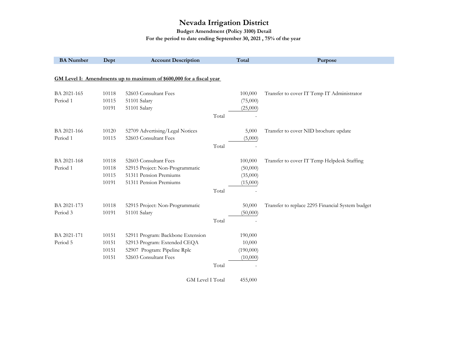**Budget Amendment (Policy 3100) Detail**

#### **For the period to date ending September 30, 2021 , 75% of the year**

| <b>BA</b> Number | Dept  | <b>Account Description</b>                                          |       | Total     | Purpose                                          |
|------------------|-------|---------------------------------------------------------------------|-------|-----------|--------------------------------------------------|
|                  |       |                                                                     |       |           |                                                  |
|                  |       | GM Level I: Amendments up to maximum of \$600,000 for a fiscal year |       |           |                                                  |
|                  |       |                                                                     |       |           |                                                  |
| BA 2021-165      | 10118 | 52603 Consultant Fees                                               |       | 100,000   | Transfer to cover IT Temp IT Administrator       |
| Period 1         | 10115 | 51101 Salary                                                        |       | (75,000)  |                                                  |
|                  | 10191 | 51101 Salary                                                        |       | (25,000)  |                                                  |
|                  |       |                                                                     | Total |           |                                                  |
| BA 2021-166      | 10120 | 52709 Advertising/Legal Notices                                     |       | 5,000     | Transfer to cover NID brochure update            |
| Period 1         | 10115 | 52603 Consultant Fees                                               |       | (5,000)   |                                                  |
|                  |       |                                                                     | Total |           |                                                  |
| BA 2021-168      | 10118 | 52603 Consultant Fees                                               |       | 100,000   | Transfer to cover IT Temp Helpdesk Staffing      |
| Period 1         | 10118 | 52915 Project: Non-Programmatic                                     |       | (50,000)  |                                                  |
|                  | 10115 | 51311 Pension Premiums                                              |       | (35,000)  |                                                  |
|                  | 10191 | 51311 Pension Premiums                                              |       | (15,000)  |                                                  |
|                  |       |                                                                     | Total |           |                                                  |
| BA 2021-173      | 10118 | 52915 Project: Non-Programmatic                                     |       | 50,000    | Transfer to replace 2295 Financial System budget |
| Period 3         | 10191 | 51101 Salary                                                        |       | (50,000)  |                                                  |
|                  |       |                                                                     | Total |           |                                                  |
| BA 2021-171      | 10151 | 52911 Program: Backbone Extension                                   |       | 190,000   |                                                  |
| Period 5         | 10151 | 52913 Program: Extended CEQA                                        |       | 10,000    |                                                  |
|                  | 10151 | 52907 Program: Pipeline Rplc                                        |       | (190,000) |                                                  |
|                  | 10151 | 52603 Consultant Fees                                               |       | (10,000)  |                                                  |
|                  |       |                                                                     | Total |           |                                                  |
|                  |       | GM Level I Total                                                    |       | 455,000   |                                                  |